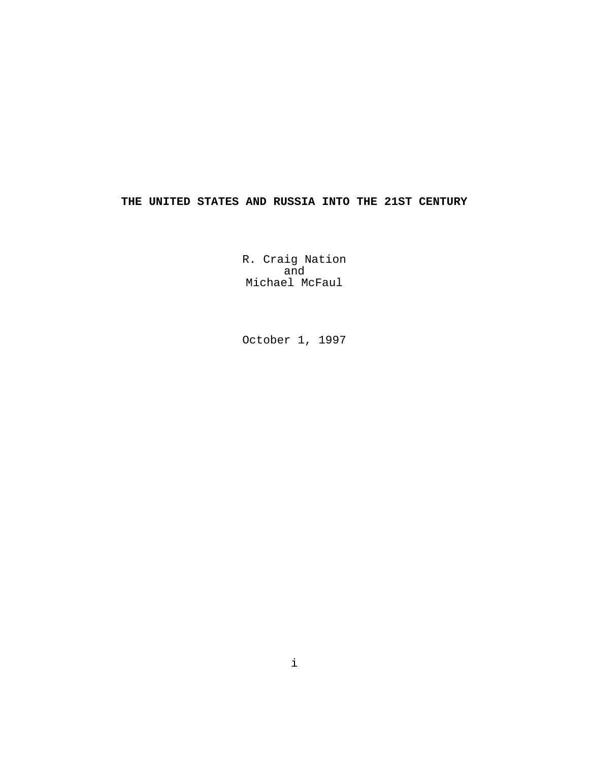# **THE UNITED STATES AND RUSSIA INTO THE 21ST CENTURY**

R. Craig Nation and Michael McFaul

October 1, 1997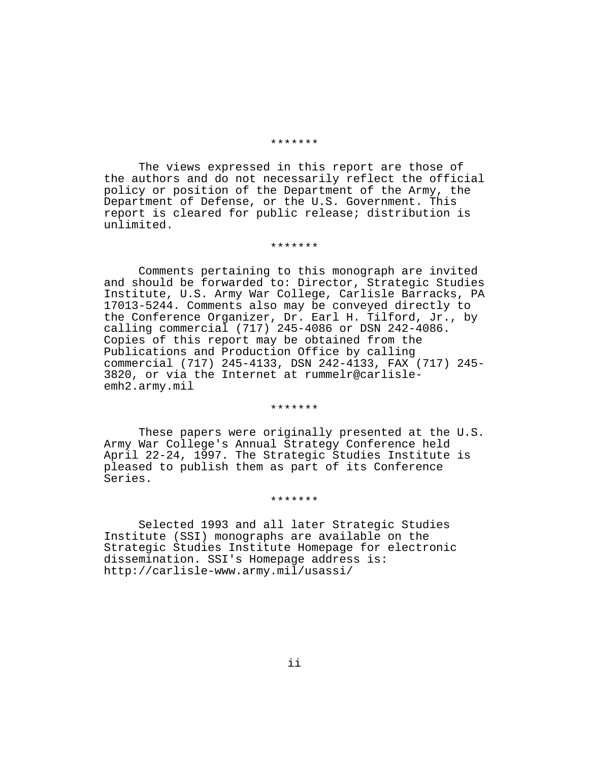#### \*\*\*\*\*\*\*

The views expressed in this report are those of the authors and do not necessarily reflect the official policy or position of the Department of the Army, the Department of Defense, or the U.S. Government. This report is cleared for public release; distribution is unlimited.

#### \*\*\*\*\*\*\*

Comments pertaining to this monograph are invited and should be forwarded to: Director, Strategic Studies Institute, U.S. Army War College, Carlisle Barracks, PA 17013-5244. Comments also may be conveyed directly to the Conference Organizer, Dr. Earl H. Tilford, Jr., by calling commercial (717) 245-4086 or DSN 242-4086. Copies of this report may be obtained from the Publications and Production Office by calling commercial (717) 245-4133, DSN 242-4133, FAX (717) 245- 3820, or via the Internet at rummelr@carlisleemh2.army.mil

#### \*\*\*\*\*\*\*

These papers were originally presented at the U.S. Army War College's Annual Strategy Conference held April 22-24, 1997. The Strategic Studies Institute is pleased to publish them as part of its Conference Series.

#### \*\*\*\*\*\*\*

Selected 1993 and all later Strategic Studies Institute (SSI) monographs are available on the Strategic Studies Institute Homepage for electronic dissemination. SSI's Homepage address is: http://carlisle-www.army.mil/usassi/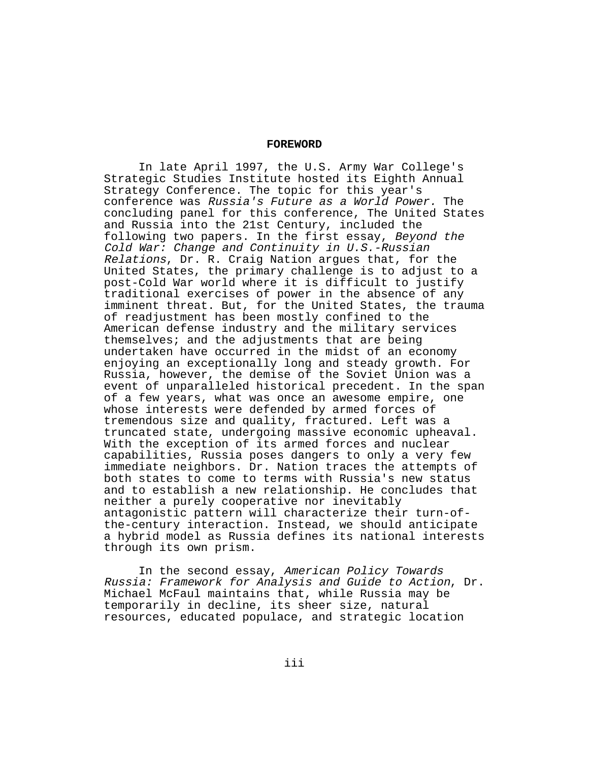#### **FOREWORD**

In late April 1997, the U.S. Army War College's Strategic Studies Institute hosted its Eighth Annual Strategy Conference. The topic for this year's conference was Russia's Future as a World Power. The concluding panel for this conference, The United States and Russia into the 21st Century, included the following two papers. In the first essay, Beyond the Cold War: Change and Continuity in U.S.-Russian Relations, Dr. R. Craig Nation argues that, for the United States, the primary challenge is to adjust to a post-Cold War world where it is difficult to justify traditional exercises of power in the absence of any imminent threat. But, for the United States, the trauma of readjustment has been mostly confined to the American defense industry and the military services themselves; and the adjustments that are being undertaken have occurred in the midst of an economy enjoying an exceptionally long and steady growth. For Russia, however, the demise of the Soviet Union was a event of unparalleled historical precedent. In the span of a few years, what was once an awesome empire, one whose interests were defended by armed forces of tremendous size and quality, fractured. Left was a truncated state, undergoing massive economic upheaval. With the exception of its armed forces and nuclear capabilities, Russia poses dangers to only a very few immediate neighbors. Dr. Nation traces the attempts of both states to come to terms with Russia's new status and to establish a new relationship. He concludes that neither a purely cooperative nor inevitably antagonistic pattern will characterize their turn-ofthe-century interaction. Instead, we should anticipate a hybrid model as Russia defines its national interests through its own prism.

In the second essay, American Policy Towards Russia: Framework for Analysis and Guide to Action, Dr. Michael McFaul maintains that, while Russia may be temporarily in decline, its sheer size, natural resources, educated populace, and strategic location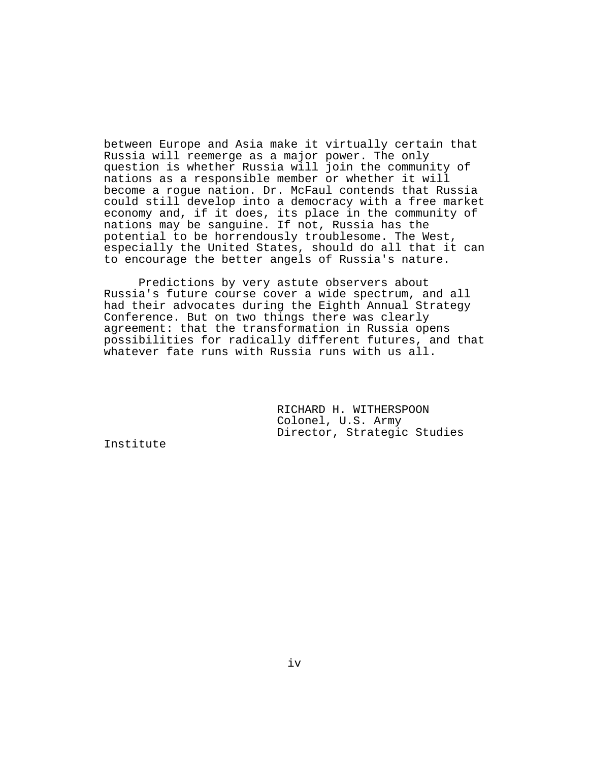between Europe and Asia make it virtually certain that Russia will reemerge as a major power. The only question is whether Russia will join the community of nations as a responsible member or whether it will become a rogue nation. Dr. McFaul contends that Russia could still develop into a democracy with a free market economy and, if it does, its place in the community of nations may be sanguine. If not, Russia has the potential to be horrendously troublesome. The West, especially the United States, should do all that it can to encourage the better angels of Russia's nature.

Predictions by very astute observers about Russia's future course cover a wide spectrum, and all had their advocates during the Eighth Annual Strategy Conference. But on two things there was clearly agreement: that the transformation in Russia opens possibilities for radically different futures, and that whatever fate runs with Russia runs with us all.

> RICHARD H. WITHERSPOON Colonel, U.S. Army Director, Strategic Studies

Institute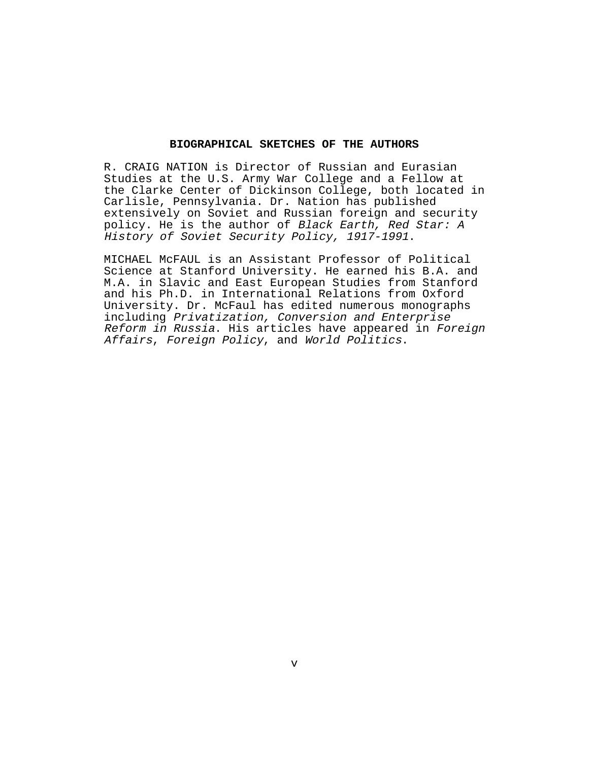#### **BIOGRAPHICAL SKETCHES OF THE AUTHORS**

R. CRAIG NATION is Director of Russian and Eurasian Studies at the U.S. Army War College and a Fellow at the Clarke Center of Dickinson College, both located in Carlisle, Pennsylvania. Dr. Nation has published extensively on Soviet and Russian foreign and security policy. He is the author of Black Earth, Red Star: A History of Soviet Security Policy, 1917-1991.

MICHAEL McFAUL is an Assistant Professor of Political Science at Stanford University. He earned his B.A. and M.A. in Slavic and East European Studies from Stanford and his Ph.D. in International Relations from Oxford University. Dr. McFaul has edited numerous monographs including Privatization, Conversion and Enterprise Reform in Russia. His articles have appeared in Foreign Affairs, Foreign Policy, and World Politics.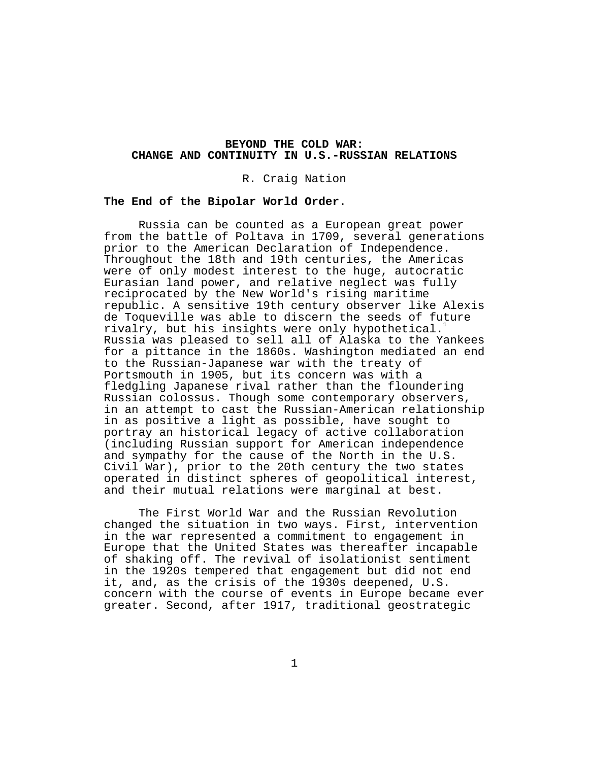### **BEYOND THE COLD WAR: CHANGE AND CONTINUITY IN U.S.-RUSSIAN RELATIONS**

R. Craig Nation

## **The End of the Bipolar World Order**.

Russia can be counted as a European great power from the battle of Poltava in 1709, several generations prior to the American Declaration of Independence. Throughout the 18th and 19th centuries, the Americas were of only modest interest to the huge, autocratic Eurasian land power, and relative neglect was fully reciprocated by the New World's rising maritime republic. A sensitive 19th century observer like Alexis de Toqueville was able to discern the seeds of future rivalry, but his insights were only hypothetical. Russia was pleased to sell all of Alaska to the Yankees for a pittance in the 1860s. Washington mediated an end to the Russian-Japanese war with the treaty of Portsmouth in 1905, but its concern was with a fledgling Japanese rival rather than the floundering Russian colossus. Though some contemporary observers, in an attempt to cast the Russian-American relationship in as positive a light as possible, have sought to portray an historical legacy of active collaboration (including Russian support for American independence and sympathy for the cause of the North in the U.S. Civil War), prior to the 20th century the two states operated in distinct spheres of geopolitical interest, and their mutual relations were marginal at best.

The First World War and the Russian Revolution changed the situation in two ways. First, intervention in the war represented a commitment to engagement in Europe that the United States was thereafter incapable of shaking off. The revival of isolationist sentiment in the 1920s tempered that engagement but did not end it, and, as the crisis of the 1930s deepened, U.S. concern with the course of events in Europe became ever greater. Second, after 1917, traditional geostrategic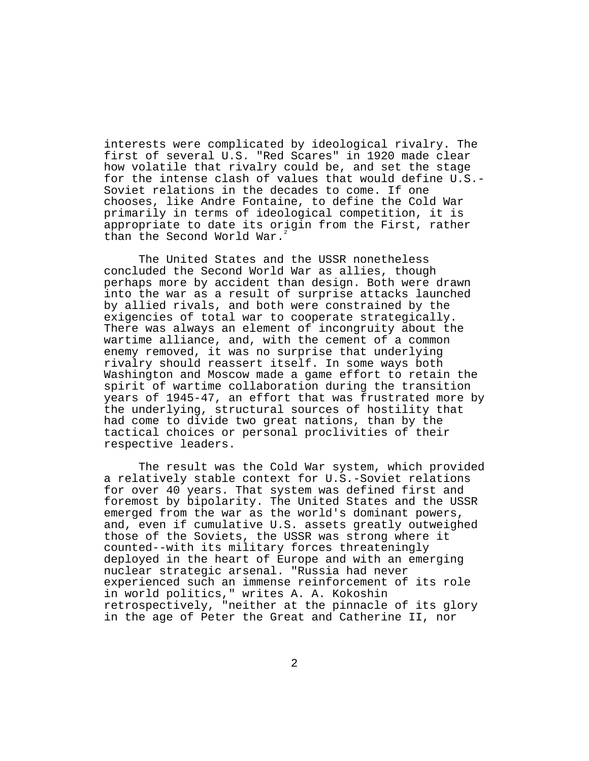interests were complicated by ideological rivalry. The first of several U.S. "Red Scares" in 1920 made clear how volatile that rivalry could be, and set the stage for the intense clash of values that would define U.S.- Soviet relations in the decades to come. If one chooses, like Andre Fontaine, to define the Cold War primarily in terms of ideological competition, it is appropriate to date its origin from the First, rather than the Second World War.

The United States and the USSR nonetheless concluded the Second World War as allies, though perhaps more by accident than design. Both were drawn into the war as a result of surprise attacks launched by allied rivals, and both were constrained by the exigencies of total war to cooperate strategically. There was always an element of incongruity about the wartime alliance, and, with the cement of a common enemy removed, it was no surprise that underlying rivalry should reassert itself. In some ways both Washington and Moscow made a game effort to retain the spirit of wartime collaboration during the transition years of 1945-47, an effort that was frustrated more by the underlying, structural sources of hostility that had come to divide two great nations, than by the tactical choices or personal proclivities of their respective leaders.

The result was the Cold War system, which provided a relatively stable context for U.S.-Soviet relations for over 40 years. That system was defined first and foremost by bipolarity. The United States and the USSR emerged from the war as the world's dominant powers, and, even if cumulative U.S. assets greatly outweighed those of the Soviets, the USSR was strong where it counted--with its military forces threateningly deployed in the heart of Europe and with an emerging nuclear strategic arsenal. "Russia had never experienced such an immense reinforcement of its role in world politics," writes A. A. Kokoshin retrospectively, "neither at the pinnacle of its glory in the age of Peter the Great and Catherine II, nor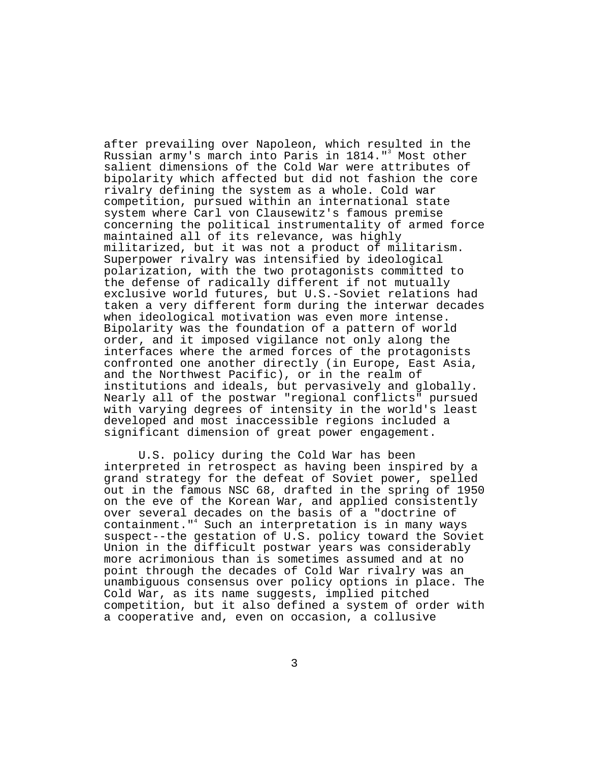after prevailing over Napoleon, which resulted in the Russian army's march into Paris in 1814."<sup>3</sup> Most other salient dimensions of the Cold War were attributes of bipolarity which affected but did not fashion the core rivalry defining the system as a whole. Cold war competition, pursued within an international state system where Carl von Clausewitz's famous premise concerning the political instrumentality of armed force maintained all of its relevance, was highly militarized, but it was not a product of militarism. Superpower rivalry was intensified by ideological polarization, with the two protagonists committed to the defense of radically different if not mutually exclusive world futures, but U.S.-Soviet relations had taken a very different form during the interwar decades when ideological motivation was even more intense. Bipolarity was the foundation of a pattern of world order, and it imposed vigilance not only along the interfaces where the armed forces of the protagonists confronted one another directly (in Europe, East Asia, and the Northwest Pacific), or in the realm of institutions and ideals, but pervasively and globally. Nearly all of the postwar "regional conflicts" pursued with varying degrees of intensity in the world's least developed and most inaccessible regions included a significant dimension of great power engagement.

U.S. policy during the Cold War has been interpreted in retrospect as having been inspired by a grand strategy for the defeat of Soviet power, spelled out in the famous NSC 68, drafted in the spring of 1950 on the eve of the Korean War, and applied consistently over several decades on the basis of a "doctrine of containment."4 Such an interpretation is in many ways suspect--the gestation of U.S. policy toward the Soviet Union in the difficult postwar years was considerably more acrimonious than is sometimes assumed and at no point through the decades of Cold War rivalry was an unambiguous consensus over policy options in place. The Cold War, as its name suggests, implied pitched competition, but it also defined a system of order with a cooperative and, even on occasion, a collusive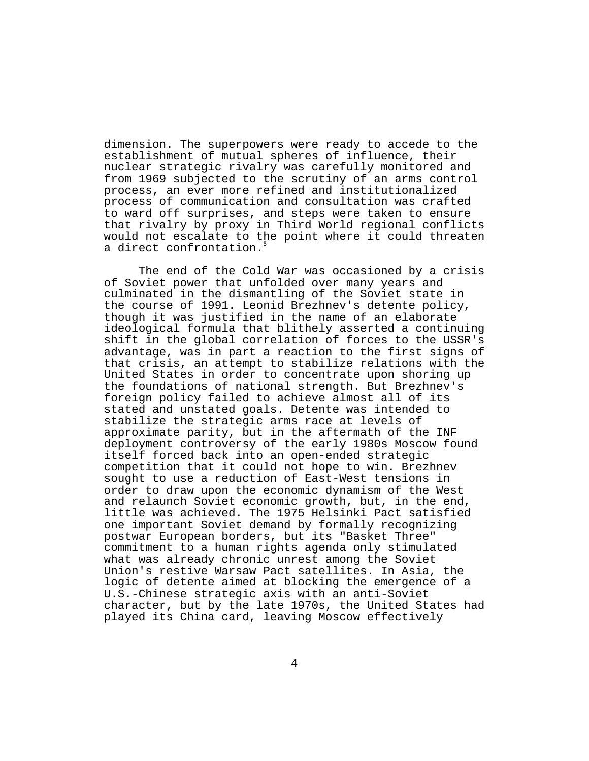dimension. The superpowers were ready to accede to the establishment of mutual spheres of influence, their nuclear strategic rivalry was carefully monitored and from 1969 subjected to the scrutiny of an arms control process, an ever more refined and institutionalized process of communication and consultation was crafted to ward off surprises, and steps were taken to ensure that rivalry by proxy in Third World regional conflicts would not escalate to the point where it could threaten a direct confrontation.<sup>5</sup>

The end of the Cold War was occasioned by a crisis of Soviet power that unfolded over many years and culminated in the dismantling of the Soviet state in the course of 1991. Leonid Brezhnev's detente policy, though it was justified in the name of an elaborate ideological formula that blithely asserted a continuing shift in the global correlation of forces to the USSR's advantage, was in part a reaction to the first signs of that crisis, an attempt to stabilize relations with the United States in order to concentrate upon shoring up the foundations of national strength. But Brezhnev's foreign policy failed to achieve almost all of its stated and unstated goals. Detente was intended to stabilize the strategic arms race at levels of approximate parity, but in the aftermath of the INF deployment controversy of the early 1980s Moscow found itself forced back into an open-ended strategic competition that it could not hope to win. Brezhnev sought to use a reduction of East-West tensions in order to draw upon the economic dynamism of the West and relaunch Soviet economic growth, but, in the end, little was achieved. The 1975 Helsinki Pact satisfied one important Soviet demand by formally recognizing postwar European borders, but its "Basket Three" commitment to a human rights agenda only stimulated what was already chronic unrest among the Soviet Union's restive Warsaw Pact satellites. In Asia, the logic of detente aimed at blocking the emergence of a U.S.-Chinese strategic axis with an anti-Soviet character, but by the late 1970s, the United States had played its China card, leaving Moscow effectively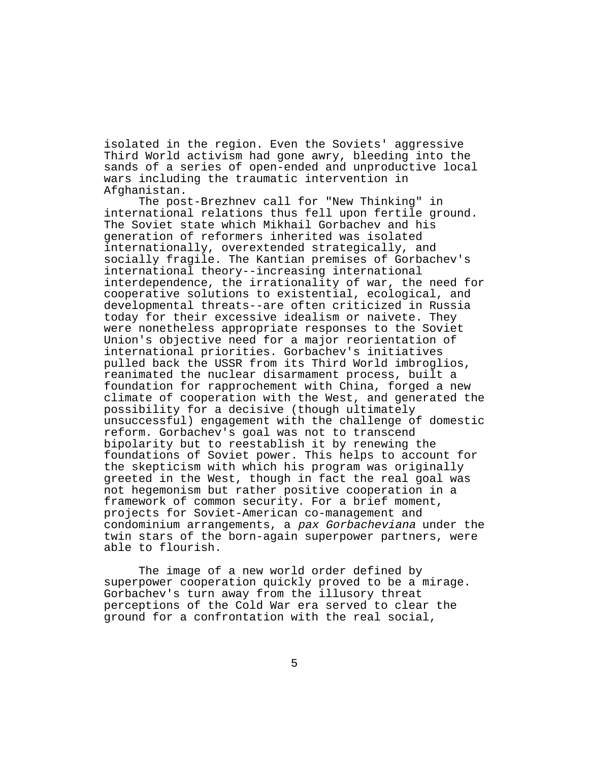isolated in the region. Even the Soviets' aggressive Third World activism had gone awry, bleeding into the sands of a series of open-ended and unproductive local wars including the traumatic intervention in Afghanistan.

The post-Brezhnev call for "New Thinking" in international relations thus fell upon fertile ground. The Soviet state which Mikhail Gorbachev and his generation of reformers inherited was isolated internationally, overextended strategically, and socially fragile. The Kantian premises of Gorbachev's international theory--increasing international interdependence, the irrationality of war, the need for cooperative solutions to existential, ecological, and developmental threats--are often criticized in Russia today for their excessive idealism or naivete. They were nonetheless appropriate responses to the Soviet Union's objective need for a major reorientation of international priorities. Gorbachev's initiatives pulled back the USSR from its Third World imbroglios, reanimated the nuclear disarmament process, built a foundation for rapprochement with China, forged a new climate of cooperation with the West, and generated the possibility for a decisive (though ultimately unsuccessful) engagement with the challenge of domestic reform. Gorbachev's goal was not to transcend bipolarity but to reestablish it by renewing the foundations of Soviet power. This helps to account for the skepticism with which his program was originally greeted in the West, though in fact the real goal was not hegemonism but rather positive cooperation in a framework of common security. For a brief moment, projects for Soviet-American co-management and condominium arrangements, a pax Gorbacheviana under the twin stars of the born-again superpower partners, were able to flourish.

The image of a new world order defined by superpower cooperation quickly proved to be a mirage. Gorbachev's turn away from the illusory threat perceptions of the Cold War era served to clear the ground for a confrontation with the real social,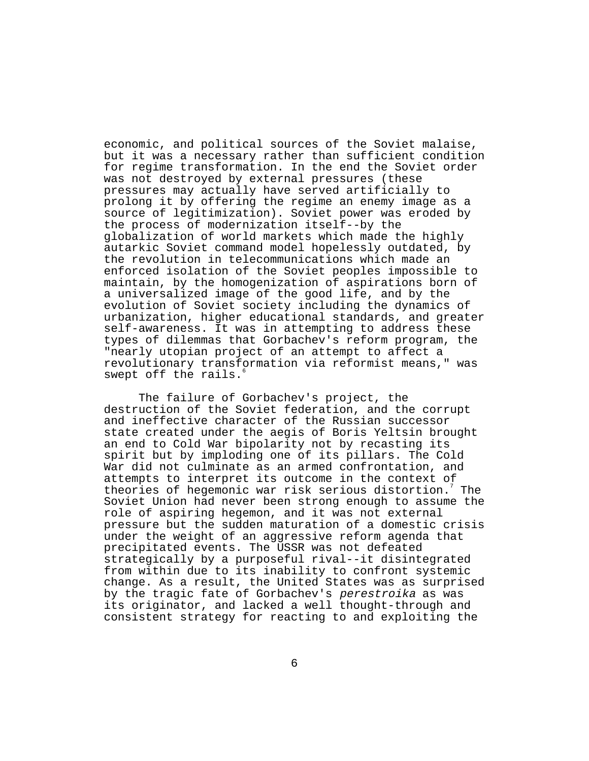economic, and political sources of the Soviet malaise, but it was a necessary rather than sufficient condition for regime transformation. In the end the Soviet order was not destroyed by external pressures (these pressures may actually have served artificially to prolong it by offering the regime an enemy image as a source of legitimization). Soviet power was eroded by the process of modernization itself--by the globalization of world markets which made the highly autarkic Soviet command model hopelessly outdated, by the revolution in telecommunications which made an enforced isolation of the Soviet peoples impossible to maintain, by the homogenization of aspirations born of a universalized image of the good life, and by the evolution of Soviet society including the dynamics of urbanization, higher educational standards, and greater self-awareness. It was in attempting to address these types of dilemmas that Gorbachev's reform program, the "nearly utopian project of an attempt to affect a revolutionary transformation via reformist means," was swept off the rails.

The failure of Gorbachev's project, the destruction of the Soviet federation, and the corrupt and ineffective character of the Russian successor state created under the aegis of Boris Yeltsin brought an end to Cold War bipolarity not by recasting its spirit but by imploding one of its pillars. The Cold War did not culminate as an armed confrontation, and attempts to interpret its outcome in the context of theories of hegemonic war risk serious distortion.<sup>7</sup> The Soviet Union had never been strong enough to assume the role of aspiring hegemon, and it was not external pressure but the sudden maturation of a domestic crisis under the weight of an aggressive reform agenda that precipitated events. The USSR was not defeated strategically by a purposeful rival--it disintegrated from within due to its inability to confront systemic change. As a result, the United States was as surprised by the tragic fate of Gorbachev's perestroika as was its originator, and lacked a well thought-through and consistent strategy for reacting to and exploiting the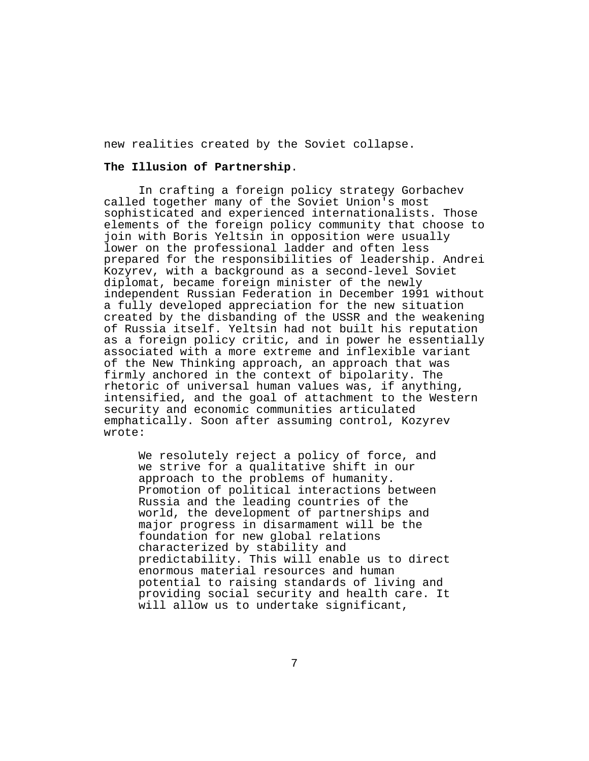new realities created by the Soviet collapse.

### **The Illusion of Partnership**.

In crafting a foreign policy strategy Gorbachev called together many of the Soviet Union's most sophisticated and experienced internationalists. Those elements of the foreign policy community that choose to join with Boris Yeltsin in opposition were usually lower on the professional ladder and often less prepared for the responsibilities of leadership. Andrei Kozyrev, with a background as a second-level Soviet diplomat, became foreign minister of the newly independent Russian Federation in December 1991 without a fully developed appreciation for the new situation created by the disbanding of the USSR and the weakening of Russia itself. Yeltsin had not built his reputation as a foreign policy critic, and in power he essentially associated with a more extreme and inflexible variant of the New Thinking approach, an approach that was firmly anchored in the context of bipolarity. The rhetoric of universal human values was, if anything, intensified, and the goal of attachment to the Western security and economic communities articulated emphatically. Soon after assuming control, Kozyrev wrote:

We resolutely reject a policy of force, and we strive for a qualitative shift in our approach to the problems of humanity. Promotion of political interactions between Russia and the leading countries of the world, the development of partnerships and major progress in disarmament will be the foundation for new global relations characterized by stability and predictability. This will enable us to direct enormous material resources and human potential to raising standards of living and providing social security and health care. It will allow us to undertake significant,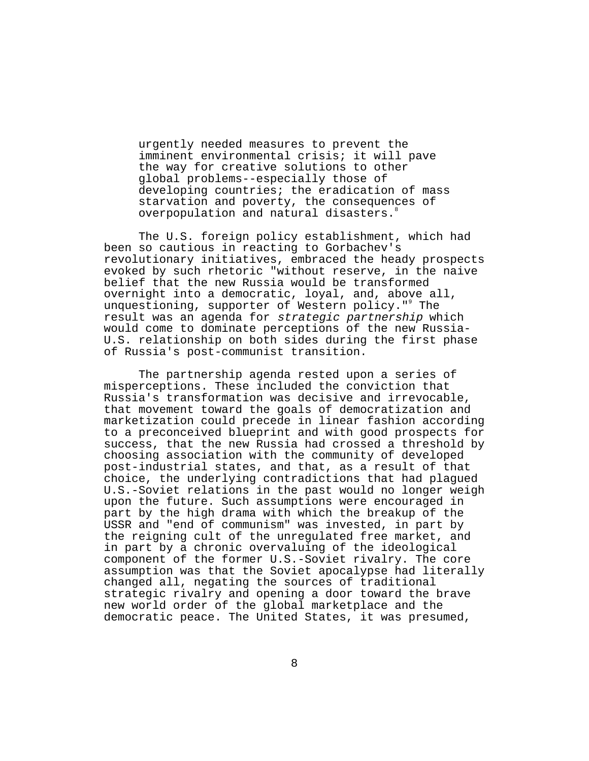urgently needed measures to prevent the imminent environmental crisis; it will pave the way for creative solutions to other global problems--especially those of developing countries; the eradication of mass starvation and poverty, the consequences of overpopulation and natural disasters.

The U.S. foreign policy establishment, which had been so cautious in reacting to Gorbachev's revolutionary initiatives, embraced the heady prospects evoked by such rhetoric "without reserve, in the naive belief that the new Russia would be transformed overnight into a democratic, loyal, and, above all, unquestioning, supporter of Western policy."<sup>9</sup> The result was an agenda for strategic partnership which would come to dominate perceptions of the new Russia-U.S. relationship on both sides during the first phase of Russia's post-communist transition.

The partnership agenda rested upon a series of misperceptions. These included the conviction that Russia's transformation was decisive and irrevocable, that movement toward the goals of democratization and marketization could precede in linear fashion according to a preconceived blueprint and with good prospects for success, that the new Russia had crossed a threshold by choosing association with the community of developed post-industrial states, and that, as a result of that choice, the underlying contradictions that had plagued U.S.-Soviet relations in the past would no longer weigh upon the future. Such assumptions were encouraged in part by the high drama with which the breakup of the USSR and "end of communism" was invested, in part by the reigning cult of the unregulated free market, and in part by a chronic overvaluing of the ideological component of the former U.S.-Soviet rivalry. The core assumption was that the Soviet apocalypse had literally changed all, negating the sources of traditional strategic rivalry and opening a door toward the brave new world order of the global marketplace and the democratic peace. The United States, it was presumed,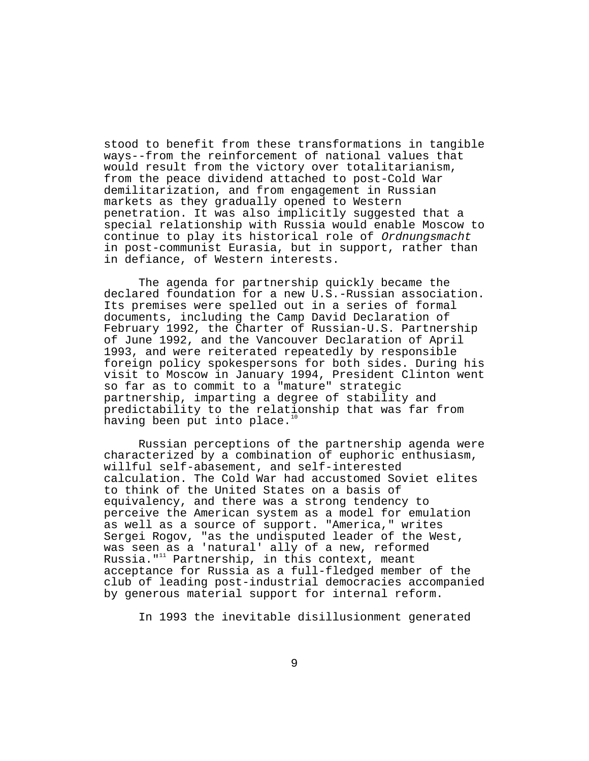stood to benefit from these transformations in tangible ways--from the reinforcement of national values that would result from the victory over totalitarianism, from the peace dividend attached to post-Cold War demilitarization, and from engagement in Russian markets as they gradually opened to Western penetration. It was also implicitly suggested that a special relationship with Russia would enable Moscow to continue to play its historical role of Ordnungsmacht in post-communist Eurasia, but in support, rather than in defiance, of Western interests.

The agenda for partnership quickly became the declared foundation for a new U.S.-Russian association. Its premises were spelled out in a series of formal documents, including the Camp David Declaration of February 1992, the Charter of Russian-U.S. Partnership of June 1992, and the Vancouver Declaration of April 1993, and were reiterated repeatedly by responsible foreign policy spokespersons for both sides. During his visit to Moscow in January 1994, President Clinton went so far as to commit to a "mature" strategic partnership, imparting a degree of stability and predictability to the relationship that was far from having been put into place.<sup>10</sup>

Russian perceptions of the partnership agenda were characterized by a combination of euphoric enthusiasm, willful self-abasement, and self-interested calculation. The Cold War had accustomed Soviet elites to think of the United States on a basis of equivalency, and there was a strong tendency to perceive the American system as a model for emulation as well as a source of support. "America," writes Sergei Rogov, "as the undisputed leader of the West, was seen as a 'natural' ally of a new, reformed Russia." $11$  Partnership, in this context, meant acceptance for Russia as a full-fledged member of the club of leading post-industrial democracies accompanied by generous material support for internal reform.

In 1993 the inevitable disillusionment generated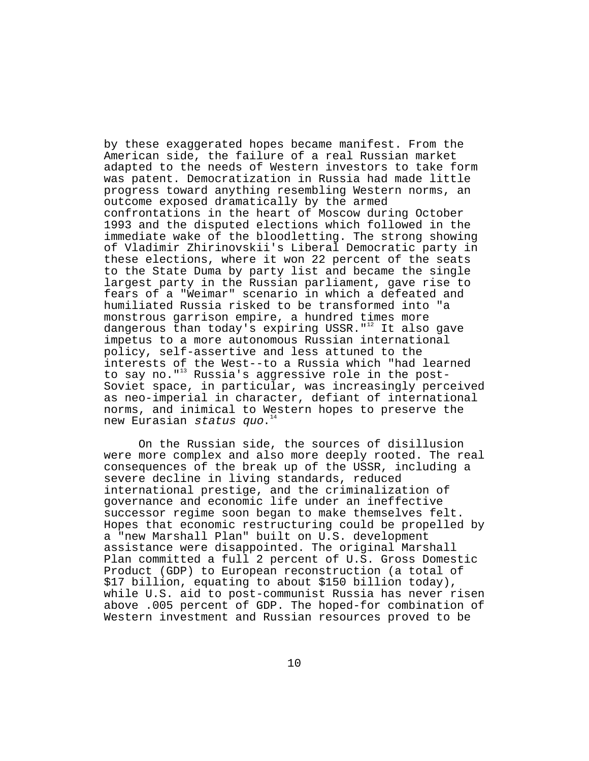by these exaggerated hopes became manifest. From the American side, the failure of a real Russian market adapted to the needs of Western investors to take form was patent. Democratization in Russia had made little progress toward anything resembling Western norms, an outcome exposed dramatically by the armed confrontations in the heart of Moscow during October 1993 and the disputed elections which followed in the immediate wake of the bloodletting. The strong showing of Vladimir Zhirinovskii's Liberal Democratic party in these elections, where it won 22 percent of the seats to the State Duma by party list and became the single largest party in the Russian parliament, gave rise to fears of a "Weimar" scenario in which a defeated and humiliated Russia risked to be transformed into "a monstrous garrison empire, a hundred times more dangerous than today's expiring USSR.  $"$ <sup>12</sup> It also gave impetus to a more autonomous Russian international policy, self-assertive and less attuned to the interests of the West--to a Russia which "had learned to say no."<sup>13</sup> Russia's aggressive role in the post-Soviet space, in particular, was increasingly perceived as neo-imperial in character, defiant of international norms, and inimical to Western hopes to preserve the new Eurasian status quo.<sup>14</sup>

On the Russian side, the sources of disillusion were more complex and also more deeply rooted. The real consequences of the break up of the USSR, including a severe decline in living standards, reduced international prestige, and the criminalization of governance and economic life under an ineffective successor regime soon began to make themselves felt. Hopes that economic restructuring could be propelled by a "new Marshall Plan" built on U.S. development assistance were disappointed. The original Marshall Plan committed a full 2 percent of U.S. Gross Domestic Product (GDP) to European reconstruction (a total of \$17 billion, equating to about \$150 billion today), while U.S. aid to post-communist Russia has never risen above .005 percent of GDP. The hoped-for combination of Western investment and Russian resources proved to be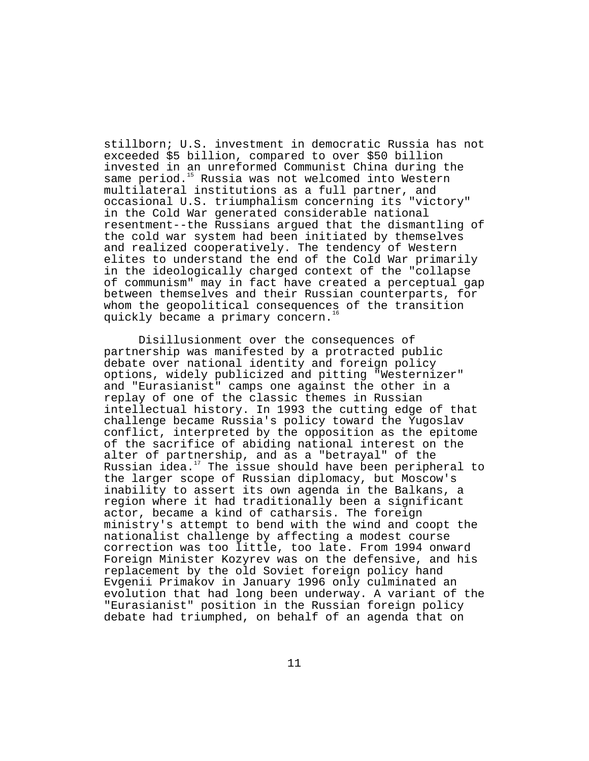stillborn; U.S. investment in democratic Russia has not exceeded \$5 billion, compared to over \$50 billion invested in an unreformed Communist China during the same period.<sup>15</sup> Russia was not welcomed into Western multilateral institutions as a full partner, and occasional U.S. triumphalism concerning its "victory" in the Cold War generated considerable national resentment--the Russians argued that the dismantling of the cold war system had been initiated by themselves and realized cooperatively. The tendency of Western elites to understand the end of the Cold War primarily in the ideologically charged context of the "collapse of communism" may in fact have created a perceptual gap between themselves and their Russian counterparts, for whom the geopolitical consequences of the transition quickly became a primary concern.<sup>1</sup>

Disillusionment over the consequences of partnership was manifested by a protracted public debate over national identity and foreign policy options, widely publicized and pitting "Westernizer" and "Eurasianist" camps one against the other in a replay of one of the classic themes in Russian intellectual history. In 1993 the cutting edge of that challenge became Russia's policy toward the Yugoslav conflict, interpreted by the opposition as the epitome of the sacrifice of abiding national interest on the alter of partnership, and as a "betrayal" of the Russian idea.<sup>17</sup> The issue should have been peripheral to the larger scope of Russian diplomacy, but Moscow's inability to assert its own agenda in the Balkans, a region where it had traditionally been a significant actor, became a kind of catharsis. The foreign ministry's attempt to bend with the wind and coopt the nationalist challenge by affecting a modest course correction was too little, too late. From 1994 onward Foreign Minister Kozyrev was on the defensive, and his replacement by the old Soviet foreign policy hand Evgenii Primakov in January 1996 only culminated an evolution that had long been underway. A variant of the "Eurasianist" position in the Russian foreign policy debate had triumphed, on behalf of an agenda that on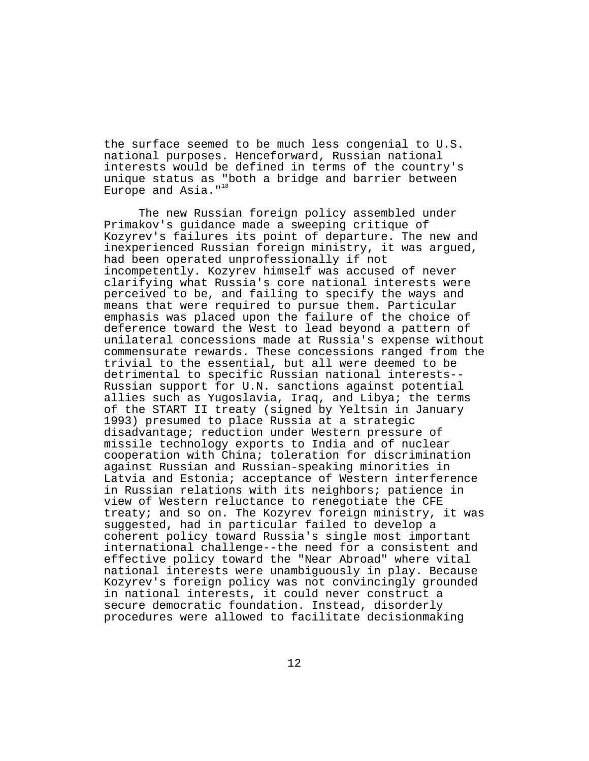the surface seemed to be much less congenial to U.S. national purposes. Henceforward, Russian national interests would be defined in terms of the country's unique status as "both a bridge and barrier between Europe and Asia."<sup>18</sup>

The new Russian foreign policy assembled under Primakov's guidance made a sweeping critique of Kozyrev's failures its point of departure. The new and inexperienced Russian foreign ministry, it was argued, had been operated unprofessionally if not incompetently. Kozyrev himself was accused of never clarifying what Russia's core national interests were perceived to be, and failing to specify the ways and means that were required to pursue them. Particular emphasis was placed upon the failure of the choice of deference toward the West to lead beyond a pattern of unilateral concessions made at Russia's expense without commensurate rewards. These concessions ranged from the trivial to the essential, but all were deemed to be detrimental to specific Russian national interests-- Russian support for U.N. sanctions against potential allies such as Yugoslavia, Iraq, and Libya; the terms of the START II treaty (signed by Yeltsin in January 1993) presumed to place Russia at a strategic disadvantage; reduction under Western pressure of missile technology exports to India and of nuclear cooperation with China; toleration for discrimination against Russian and Russian-speaking minorities in Latvia and Estonia; acceptance of Western interference in Russian relations with its neighbors; patience in view of Western reluctance to renegotiate the CFE treaty; and so on. The Kozyrev foreign ministry, it was suggested, had in particular failed to develop a coherent policy toward Russia's single most important international challenge--the need for a consistent and effective policy toward the "Near Abroad" where vital national interests were unambiguously in play. Because Kozyrev's foreign policy was not convincingly grounded in national interests, it could never construct a secure democratic foundation. Instead, disorderly procedures were allowed to facilitate decisionmaking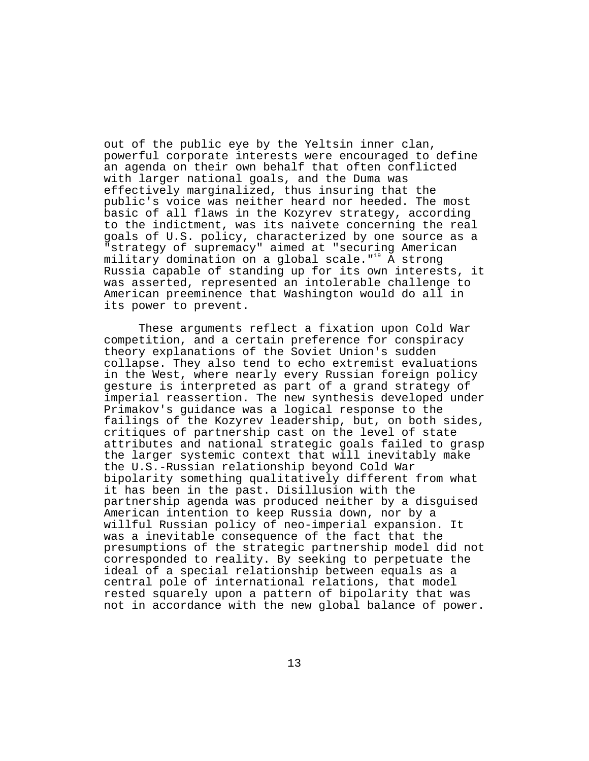out of the public eye by the Yeltsin inner clan, powerful corporate interests were encouraged to define an agenda on their own behalf that often conflicted with larger national goals, and the Duma was effectively marginalized, thus insuring that the public's voice was neither heard nor heeded. The most basic of all flaws in the Kozyrev strategy, according to the indictment, was its naivete concerning the real goals of U.S. policy, characterized by one source as a "strategy of supremacy" aimed at "securing American military domination on a global scale."<sup>19</sup> A strong Russia capable of standing up for its own interests, it was asserted, represented an intolerable challenge to American preeminence that Washington would do all in its power to prevent.

These arguments reflect a fixation upon Cold War competition, and a certain preference for conspiracy theory explanations of the Soviet Union's sudden collapse. They also tend to echo extremist evaluations in the West, where nearly every Russian foreign policy gesture is interpreted as part of a grand strategy of imperial reassertion. The new synthesis developed under Primakov's guidance was a logical response to the failings of the Kozyrev leadership, but, on both sides, critiques of partnership cast on the level of state attributes and national strategic goals failed to grasp the larger systemic context that will inevitably make the U.S.-Russian relationship beyond Cold War bipolarity something qualitatively different from what it has been in the past. Disillusion with the partnership agenda was produced neither by a disguised American intention to keep Russia down, nor by a willful Russian policy of neo-imperial expansion. It was a inevitable consequence of the fact that the presumptions of the strategic partnership model did not corresponded to reality. By seeking to perpetuate the ideal of a special relationship between equals as a central pole of international relations, that model rested squarely upon a pattern of bipolarity that was not in accordance with the new global balance of power.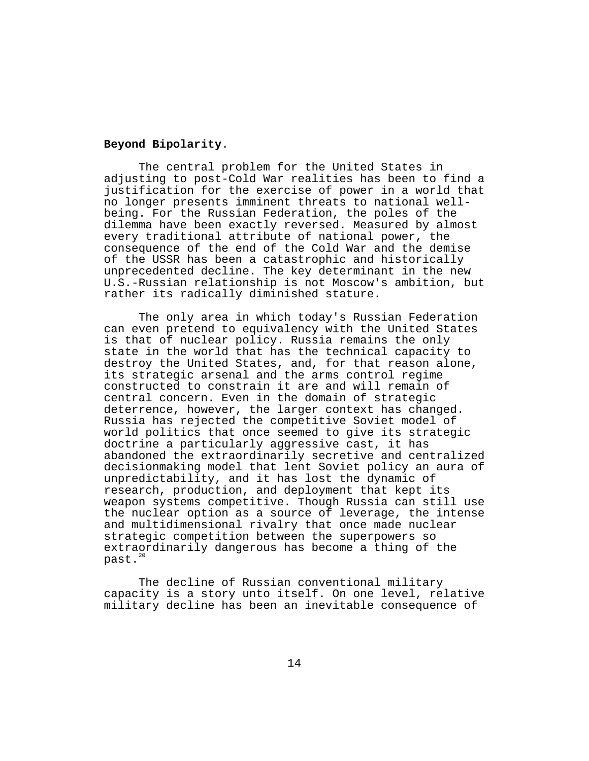# **Beyond Bipolarity**.

The central problem for the United States in adjusting to post-Cold War realities has been to find a justification for the exercise of power in a world that no longer presents imminent threats to national wellbeing. For the Russian Federation, the poles of the dilemma have been exactly reversed. Measured by almost every traditional attribute of national power, the consequence of the end of the Cold War and the demise of the USSR has been a catastrophic and historically unprecedented decline. The key determinant in the new U.S.-Russian relationship is not Moscow's ambition, but rather its radically diminished stature.

The only area in which today's Russian Federation can even pretend to equivalency with the United States is that of nuclear policy. Russia remains the only state in the world that has the technical capacity to destroy the United States, and, for that reason alone, its strategic arsenal and the arms control regime constructed to constrain it are and will remain of central concern. Even in the domain of strategic deterrence, however, the larger context has changed. Russia has rejected the competitive Soviet model of world politics that once seemed to give its strategic doctrine a particularly aggressive cast, it has abandoned the extraordinarily secretive and centralized decisionmaking model that lent Soviet policy an aura of unpredictability, and it has lost the dynamic of research, production, and deployment that kept its weapon systems competitive. Though Russia can still use the nuclear option as a source of leverage, the intense and multidimensional rivalry that once made nuclear strategic competition between the superpowers so extraordinarily dangerous has become a thing of the  $past.^2$ 

The decline of Russian conventional military capacity is a story unto itself. On one level, relative military decline has been an inevitable consequence of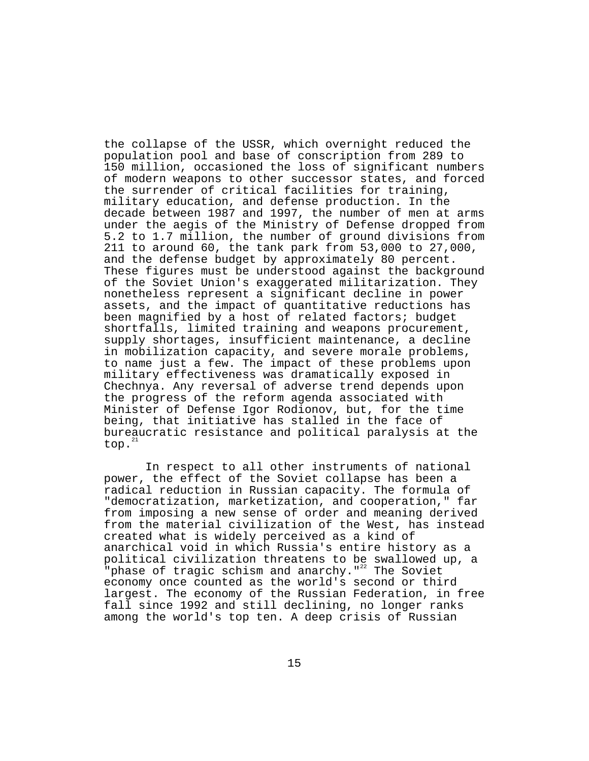the collapse of the USSR, which overnight reduced the population pool and base of conscription from 289 to 150 million, occasioned the loss of significant numbers of modern weapons to other successor states, and forced the surrender of critical facilities for training, military education, and defense production. In the decade between 1987 and 1997, the number of men at arms under the aegis of the Ministry of Defense dropped from 5.2 to 1.7 million, the number of ground divisions from 211 to around 60, the tank park from 53,000 to 27,000, and the defense budget by approximately 80 percent. These figures must be understood against the background of the Soviet Union's exaggerated militarization. They nonetheless represent a significant decline in power assets, and the impact of quantitative reductions has been magnified by a host of related factors; budget shortfalls, limited training and weapons procurement, supply shortages, insufficient maintenance, a decline in mobilization capacity, and severe morale problems, to name just a few. The impact of these problems upon military effectiveness was dramatically exposed in Chechnya. Any reversal of adverse trend depends upon the progress of the reform agenda associated with Minister of Defense Igor Rodionov, but, for the time being, that initiative has stalled in the face of bureaucratic resistance and political paralysis at the top.<sup>2</sup>

 In respect to all other instruments of national power, the effect of the Soviet collapse has been a radical reduction in Russian capacity. The formula of "democratization, marketization, and cooperation," far from imposing a new sense of order and meaning derived from the material civilization of the West, has instead created what is widely perceived as a kind of anarchical void in which Russia's entire history as a political civilization threatens to be swallowed up, a "phase of tragic schism and anarchy." $22$  The Soviet economy once counted as the world's second or third largest. The economy of the Russian Federation, in free fall since 1992 and still declining, no longer ranks among the world's top ten. A deep crisis of Russian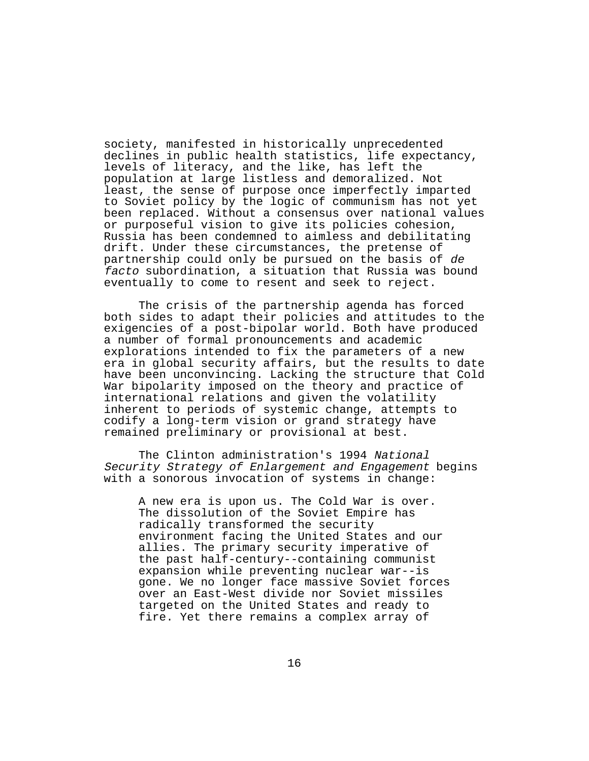society, manifested in historically unprecedented declines in public health statistics, life expectancy, levels of literacy, and the like, has left the population at large listless and demoralized. Not least, the sense of purpose once imperfectly imparted to Soviet policy by the logic of communism has not yet been replaced. Without a consensus over national values or purposeful vision to give its policies cohesion, Russia has been condemned to aimless and debilitating drift. Under these circumstances, the pretense of partnership could only be pursued on the basis of de facto subordination, a situation that Russia was bound eventually to come to resent and seek to reject.

The crisis of the partnership agenda has forced both sides to adapt their policies and attitudes to the exigencies of a post-bipolar world. Both have produced a number of formal pronouncements and academic explorations intended to fix the parameters of a new era in global security affairs, but the results to date have been unconvincing. Lacking the structure that Cold War bipolarity imposed on the theory and practice of international relations and given the volatility inherent to periods of systemic change, attempts to codify a long-term vision or grand strategy have remained preliminary or provisional at best.

The Clinton administration's 1994 National Security Strategy of Enlargement and Engagement begins with a sonorous invocation of systems in change:

A new era is upon us. The Cold War is over. The dissolution of the Soviet Empire has radically transformed the security environment facing the United States and our allies. The primary security imperative of the past half-century--containing communist expansion while preventing nuclear war--is gone. We no longer face massive Soviet forces over an East-West divide nor Soviet missiles targeted on the United States and ready to fire. Yet there remains a complex array of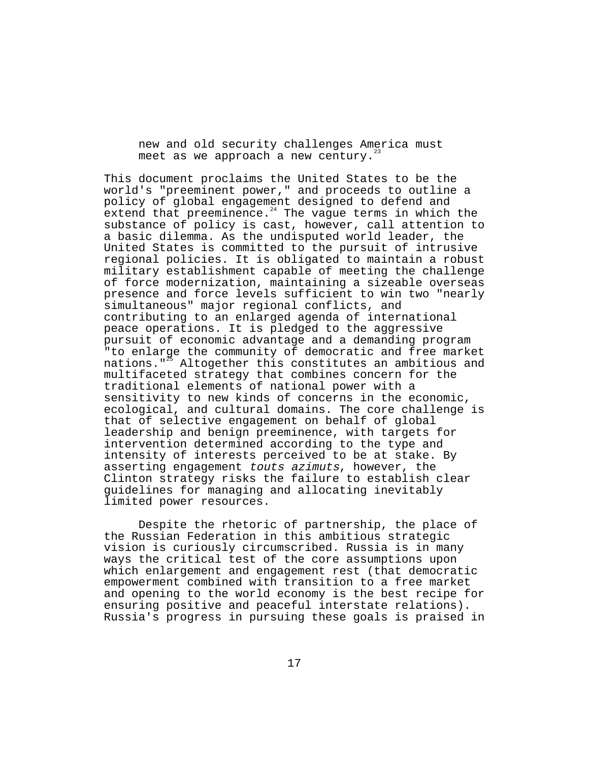new and old security challenges America must meet as we approach a new century.<sup>23</sup>

This document proclaims the United States to be the world's "preeminent power," and proceeds to outline a policy of global engagement designed to defend and  $ext{end}$  that preeminence. $24$  The vague terms in which the substance of policy is cast, however, call attention to a basic dilemma. As the undisputed world leader, the United States is committed to the pursuit of intrusive regional policies. It is obligated to maintain a robust military establishment capable of meeting the challenge of force modernization, maintaining a sizeable overseas presence and force levels sufficient to win two "nearly simultaneous" major regional conflicts, and contributing to an enlarged agenda of international peace operations. It is pledged to the aggressive pursuit of economic advantage and a demanding program "to enlarge the community of democratic and free market nations."<sup>25</sup> Altogether this constitutes an ambitious and multifaceted strategy that combines concern for the traditional elements of national power with a sensitivity to new kinds of concerns in the economic, ecological, and cultural domains. The core challenge is that of selective engagement on behalf of global leadership and benign preeminence, with targets for intervention determined according to the type and intensity of interests perceived to be at stake. By asserting engagement touts azimuts, however, the Clinton strategy risks the failure to establish clear guidelines for managing and allocating inevitably limited power resources.

Despite the rhetoric of partnership, the place of the Russian Federation in this ambitious strategic vision is curiously circumscribed. Russia is in many ways the critical test of the core assumptions upon which enlargement and engagement rest (that democratic empowerment combined with transition to a free market and opening to the world economy is the best recipe for ensuring positive and peaceful interstate relations). Russia's progress in pursuing these goals is praised in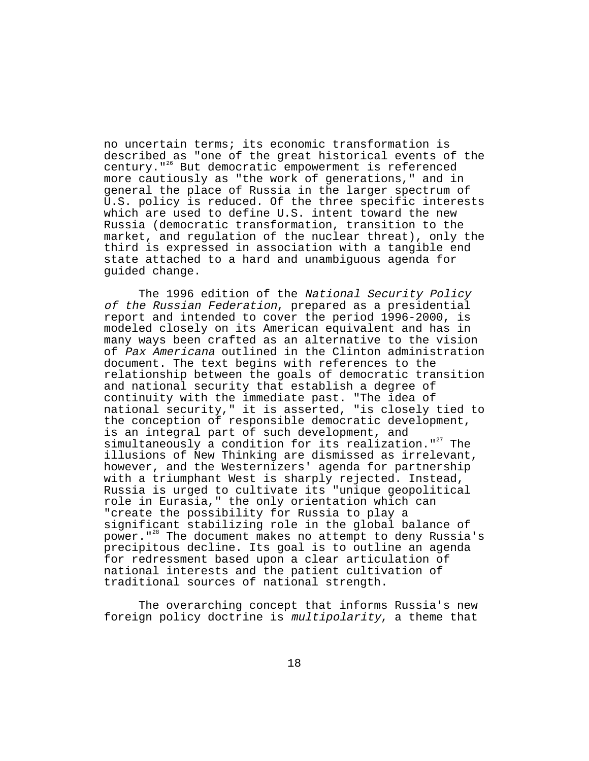no uncertain terms; its economic transformation is described as "one of the great historical events of the century."26 But democratic empowerment is referenced more cautiously as "the work of generations," and in general the place of Russia in the larger spectrum of U.S. policy is reduced. Of the three specific interests which are used to define U.S. intent toward the new Russia (democratic transformation, transition to the market, and regulation of the nuclear threat), only the third is expressed in association with a tangible end state attached to a hard and unambiguous agenda for guided change.

The 1996 edition of the National Security Policy of the Russian Federation, prepared as a presidential report and intended to cover the period 1996-2000, is modeled closely on its American equivalent and has in many ways been crafted as an alternative to the vision of Pax Americana outlined in the Clinton administration document. The text begins with references to the relationship between the goals of democratic transition and national security that establish a degree of continuity with the immediate past. "The idea of national security," it is asserted, "is closely tied to the conception of responsible democratic development, is an integral part of such development, and simultaneously a condition for its realization.  $"$  The illusions of New Thinking are dismissed as irrelevant, however, and the Westernizers' agenda for partnership with a triumphant West is sharply rejected. Instead, Russia is urged to cultivate its "unique geopolitical role in Eurasia," the only orientation which can "create the possibility for Russia to play a significant stabilizing role in the global balance of power."28 The document makes no attempt to deny Russia's precipitous decline. Its goal is to outline an agenda for redressment based upon a clear articulation of national interests and the patient cultivation of traditional sources of national strength.

The overarching concept that informs Russia's new foreign policy doctrine is multipolarity, a theme that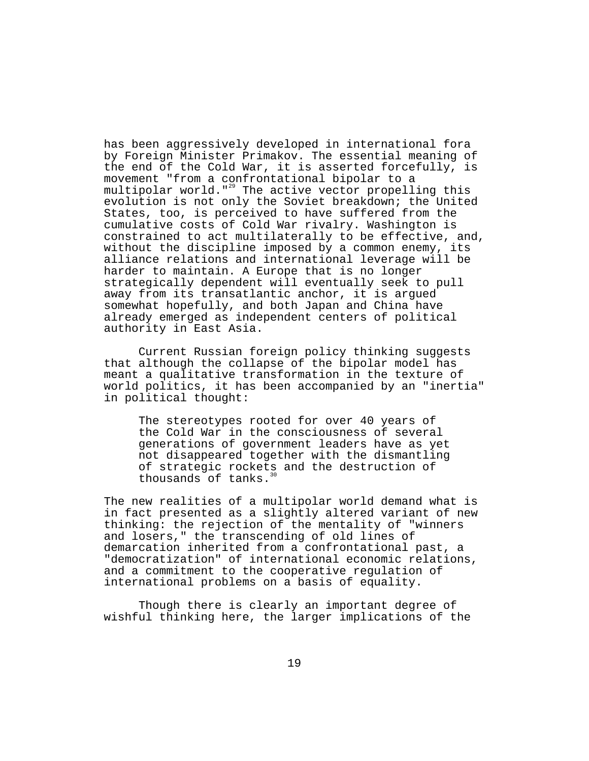has been aggressively developed in international fora by Foreign Minister Primakov. The essential meaning of the end of the Cold War, it is asserted forcefully, is movement "from a confrontational bipolar to a multipolar world."<sup>29</sup> The active vector propelling this evolution is not only the Soviet breakdown; the United States, too, is perceived to have suffered from the cumulative costs of Cold War rivalry. Washington is constrained to act multilaterally to be effective, and, without the discipline imposed by a common enemy, its alliance relations and international leverage will be harder to maintain. A Europe that is no longer strategically dependent will eventually seek to pull away from its transatlantic anchor, it is argued somewhat hopefully, and both Japan and China have already emerged as independent centers of political authority in East Asia.

Current Russian foreign policy thinking suggests that although the collapse of the bipolar model has meant a qualitative transformation in the texture of world politics, it has been accompanied by an "inertia" in political thought:

The stereotypes rooted for over 40 years of the Cold War in the consciousness of several generations of government leaders have as yet not disappeared together with the dismantling of strategic rockets and the destruction of thousands of tanks.

The new realities of a multipolar world demand what is in fact presented as a slightly altered variant of new thinking: the rejection of the mentality of "winners and losers," the transcending of old lines of demarcation inherited from a confrontational past, a "democratization" of international economic relations, and a commitment to the cooperative regulation of international problems on a basis of equality.

Though there is clearly an important degree of wishful thinking here, the larger implications of the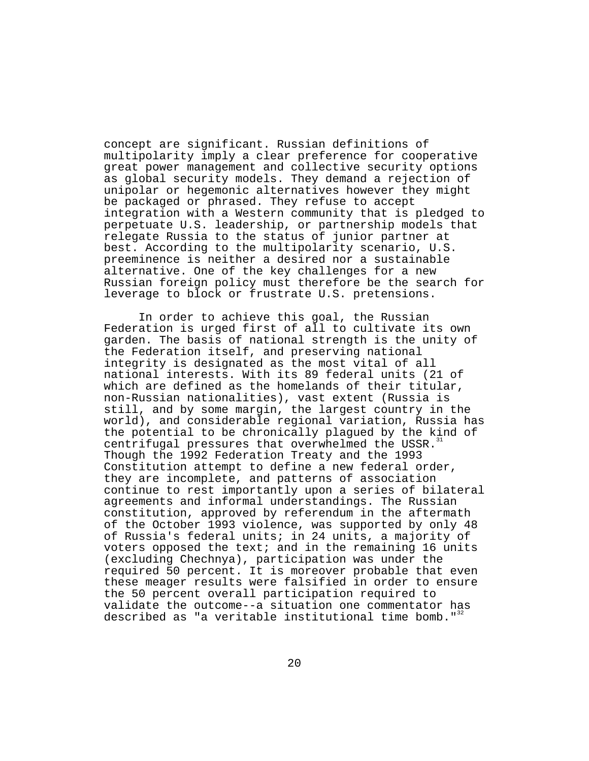concept are significant. Russian definitions of multipolarity imply a clear preference for cooperative great power management and collective security options as global security models. They demand a rejection of unipolar or hegemonic alternatives however they might be packaged or phrased. They refuse to accept integration with a Western community that is pledged to perpetuate U.S. leadership, or partnership models that relegate Russia to the status of junior partner at best. According to the multipolarity scenario, U.S. preeminence is neither a desired nor a sustainable alternative. One of the key challenges for a new Russian foreign policy must therefore be the search for leverage to block or frustrate U.S. pretensions.

In order to achieve this goal, the Russian Federation is urged first of all to cultivate its own garden. The basis of national strength is the unity of the Federation itself, and preserving national integrity is designated as the most vital of all national interests. With its 89 federal units (21 of which are defined as the homelands of their titular, non-Russian nationalities), vast extent (Russia is still, and by some margin, the largest country in the world), and considerable regional variation, Russia has the potential to be chronically plagued by the kind of centrifugal pressures that overwhelmed the USSR. Though the 1992 Federation Treaty and the 1993 Constitution attempt to define a new federal order, they are incomplete, and patterns of association continue to rest importantly upon a series of bilateral agreements and informal understandings. The Russian constitution, approved by referendum in the aftermath of the October 1993 violence, was supported by only 48 of Russia's federal units; in 24 units, a majority of voters opposed the text; and in the remaining 16 units (excluding Chechnya), participation was under the required 50 percent. It is moreover probable that even these meager results were falsified in order to ensure the 50 percent overall participation required to validate the outcome--a situation one commentator has described as "a veritable institutional time bomb."<sup>3</sup>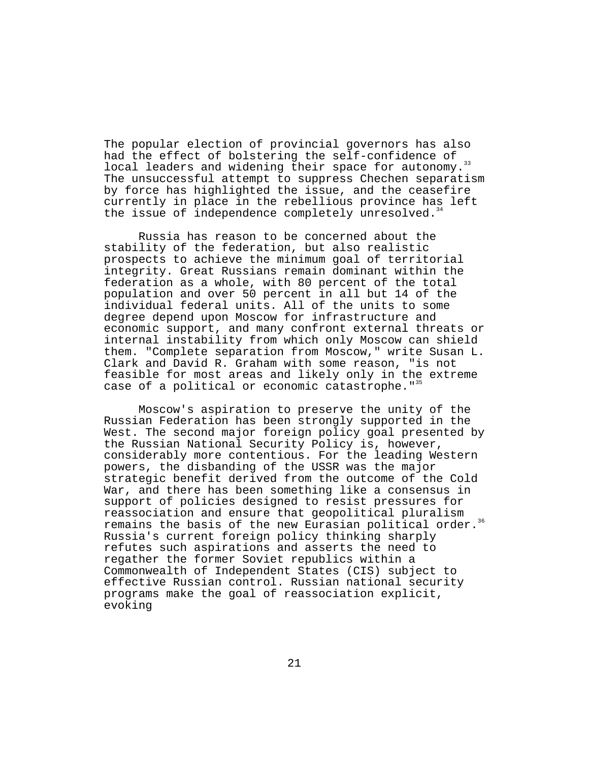The popular election of provincial governors has also had the effect of bolstering the self-confidence of local leaders and widening their space for autonomy.<sup>33</sup> The unsuccessful attempt to suppress Chechen separatism by force has highlighted the issue, and the ceasefire currently in place in the rebellious province has left the issue of independence completely unresolved.<sup>3</sup>

Russia has reason to be concerned about the stability of the federation, but also realistic prospects to achieve the minimum goal of territorial integrity. Great Russians remain dominant within the federation as a whole, with 80 percent of the total population and over 50 percent in all but 14 of the individual federal units. All of the units to some degree depend upon Moscow for infrastructure and economic support, and many confront external threats or internal instability from which only Moscow can shield them. "Complete separation from Moscow," write Susan L. Clark and David R. Graham with some reason, "is not feasible for most areas and likely only in the extreme case of a political or economic catastrophe."<sup>35</sup>

Moscow's aspiration to preserve the unity of the Russian Federation has been strongly supported in the West. The second major foreign policy goal presented by the Russian National Security Policy is, however, considerably more contentious. For the leading Western powers, the disbanding of the USSR was the major strategic benefit derived from the outcome of the Cold War, and there has been something like a consensus in support of policies designed to resist pressures for reassociation and ensure that geopolitical pluralism remains the basis of the new Eurasian political order.<sup>36</sup> Russia's current foreign policy thinking sharply refutes such aspirations and asserts the need to regather the former Soviet republics within a Commonwealth of Independent States (CIS) subject to effective Russian control. Russian national security programs make the goal of reassociation explicit, evoking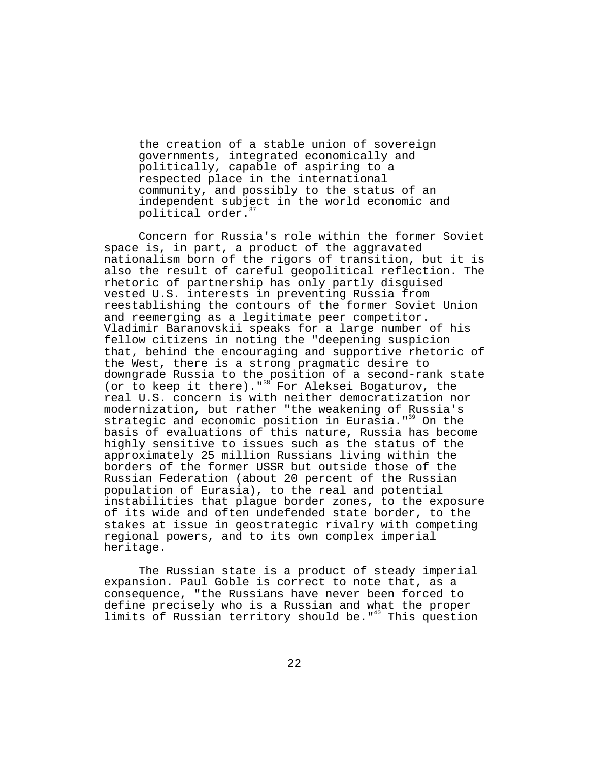the creation of a stable union of sovereign governments, integrated economically and politically, capable of aspiring to a respected place in the international community, and possibly to the status of an independent subject in the world economic and political order.

Concern for Russia's role within the former Soviet space is, in part, a product of the aggravated nationalism born of the rigors of transition, but it is also the result of careful geopolitical reflection. The rhetoric of partnership has only partly disguised vested U.S. interests in preventing Russia from reestablishing the contours of the former Soviet Union and reemerging as a legitimate peer competitor. Vladimir Baranovskii speaks for a large number of his fellow citizens in noting the "deepening suspicion that, behind the encouraging and supportive rhetoric of the West, there is a strong pragmatic desire to downgrade Russia to the position of a second-rank state (or to keep it there)."<sup>38</sup> For Aleksei Bogaturov, the real U.S. concern is with neither democratization nor modernization, but rather "the weakening of Russia's strategic and economic position in Eurasia."<sup>39</sup> On the basis of evaluations of this nature, Russia has become highly sensitive to issues such as the status of the approximately 25 million Russians living within the borders of the former USSR but outside those of the Russian Federation (about 20 percent of the Russian population of Eurasia), to the real and potential instabilities that plague border zones, to the exposure of its wide and often undefended state border, to the stakes at issue in geostrategic rivalry with competing regional powers, and to its own complex imperial heritage.

The Russian state is a product of steady imperial expansion. Paul Goble is correct to note that, as a consequence, "the Russians have never been forced to define precisely who is a Russian and what the proper limits of Russian territory should be."<sup>40</sup> This question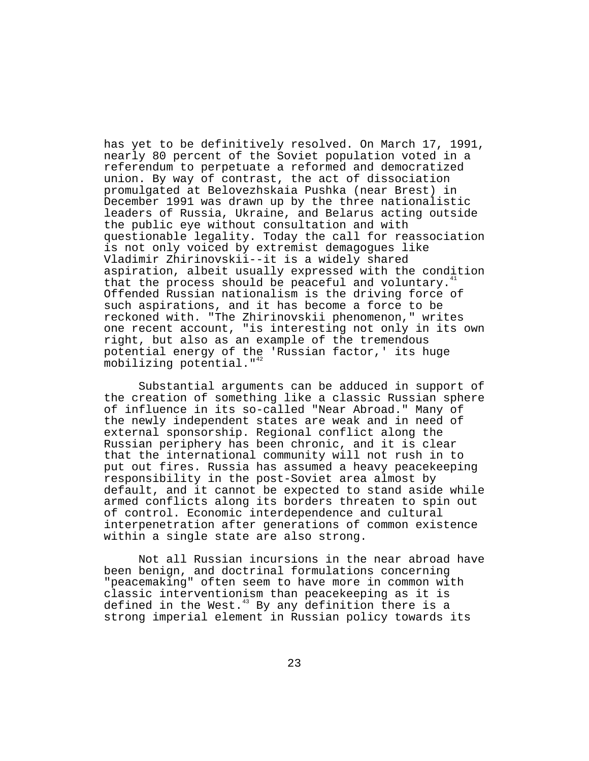has yet to be definitively resolved. On March 17, 1991, nearly 80 percent of the Soviet population voted in a referendum to perpetuate a reformed and democratized union. By way of contrast, the act of dissociation promulgated at Belovezhskaia Pushka (near Brest) in December 1991 was drawn up by the three nationalistic leaders of Russia, Ukraine, and Belarus acting outside the public eye without consultation and with questionable legality. Today the call for reassociation is not only voiced by extremist demagogues like Vladimir Zhirinovskii--it is a widely shared aspiration, albeit usually expressed with the condition that the process should be peaceful and voluntary. Offended Russian nationalism is the driving force of such aspirations, and it has become a force to be reckoned with. "The Zhirinovskii phenomenon," writes one recent account, "is interesting not only in its own right, but also as an example of the tremendous potential energy of the 'Russian factor,' its huge mobilizing potential."<sup>42</sup>

Substantial arguments can be adduced in support of the creation of something like a classic Russian sphere of influence in its so-called "Near Abroad." Many of the newly independent states are weak and in need of external sponsorship. Regional conflict along the Russian periphery has been chronic, and it is clear that the international community will not rush in to put out fires. Russia has assumed a heavy peacekeeping responsibility in the post-Soviet area almost by default, and it cannot be expected to stand aside while armed conflicts along its borders threaten to spin out of control. Economic interdependence and cultural interpenetration after generations of common existence within a single state are also strong.

Not all Russian incursions in the near abroad have been benign, and doctrinal formulations concerning "peacemaking" often seem to have more in common with classic interventionism than peacekeeping as it is defined in the West. $43$  By any definition there is a strong imperial element in Russian policy towards its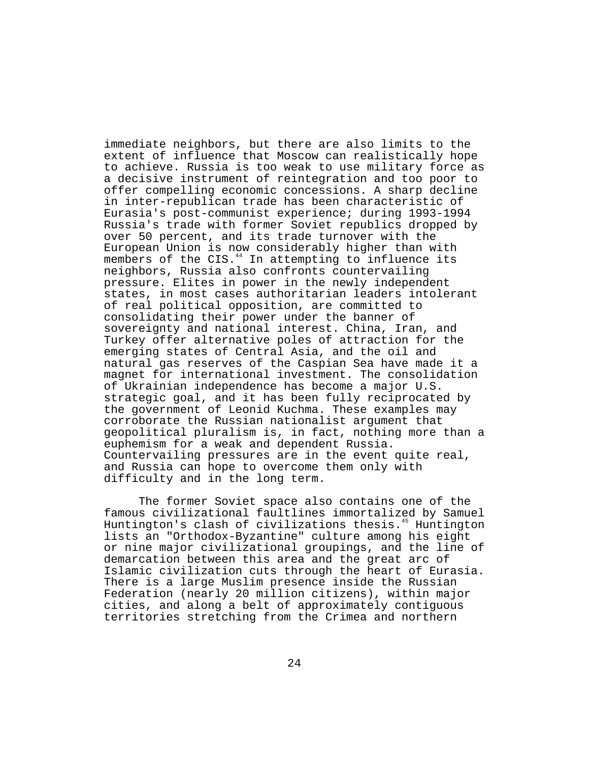immediate neighbors, but there are also limits to the extent of influence that Moscow can realistically hope to achieve. Russia is too weak to use military force as a decisive instrument of reintegration and too poor to offer compelling economic concessions. A sharp decline in inter-republican trade has been characteristic of Eurasia's post-communist experience; during 1993-1994 Russia's trade with former Soviet republics dropped by over 50 percent, and its trade turnover with the European Union is now considerably higher than with members of the CIS. $44$  In attempting to influence its neighbors, Russia also confronts countervailing pressure. Elites in power in the newly independent states, in most cases authoritarian leaders intolerant of real political opposition, are committed to consolidating their power under the banner of sovereignty and national interest. China, Iran, and Turkey offer alternative poles of attraction for the emerging states of Central Asia, and the oil and natural gas reserves of the Caspian Sea have made it a magnet for international investment. The consolidation of Ukrainian independence has become a major U.S. strategic goal, and it has been fully reciprocated by the government of Leonid Kuchma. These examples may corroborate the Russian nationalist argument that geopolitical pluralism is, in fact, nothing more than a euphemism for a weak and dependent Russia. Countervailing pressures are in the event quite real, and Russia can hope to overcome them only with difficulty and in the long term.

The former Soviet space also contains one of the famous civilizational faultlines immortalized by Samuel Huntington's clash of civilizations thesis.<sup>45</sup> Huntington lists an "Orthodox-Byzantine" culture among his eight or nine major civilizational groupings, and the line of demarcation between this area and the great arc of Islamic civilization cuts through the heart of Eurasia. There is a large Muslim presence inside the Russian Federation (nearly 20 million citizens), within major cities, and along a belt of approximately contiguous territories stretching from the Crimea and northern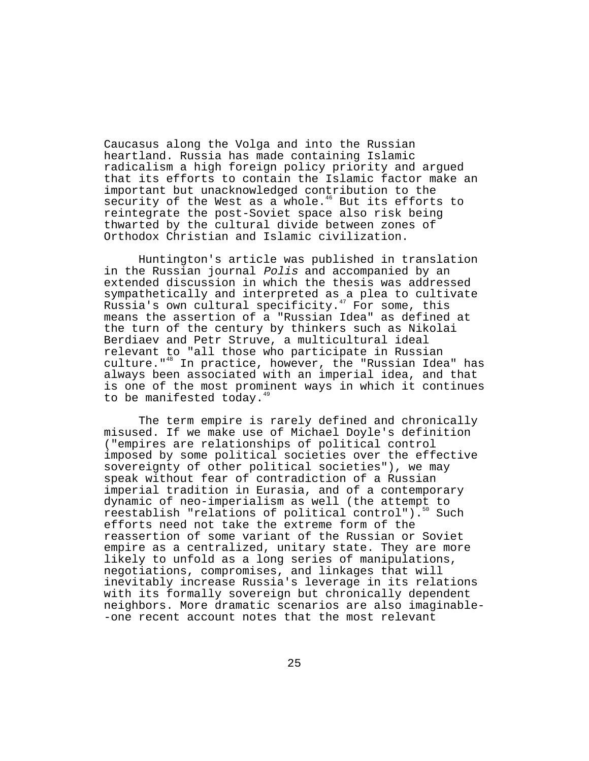Caucasus along the Volga and into the Russian heartland. Russia has made containing Islamic radicalism a high foreign policy priority and argued that its efforts to contain the Islamic factor make an important but unacknowledged contribution to the security of the West as a whole. $46$  But its efforts to reintegrate the post-Soviet space also risk being thwarted by the cultural divide between zones of Orthodox Christian and Islamic civilization.

Huntington's article was published in translation in the Russian journal Polis and accompanied by an extended discussion in which the thesis was addressed sympathetically and interpreted as a plea to cultivate Russia's own cultural specificity.<sup> $47$ </sup> For some, this means the assertion of a "Russian Idea" as defined at the turn of the century by thinkers such as Nikolai Berdiaev and Petr Struve, a multicultural ideal relevant to "all those who participate in Russian culture."48 In practice, however, the "Russian Idea" has always been associated with an imperial idea, and that is one of the most prominent ways in which it continues to be manifested today. $49$ 

The term empire is rarely defined and chronically misused. If we make use of Michael Doyle's definition ("empires are relationships of political control imposed by some political societies over the effective sovereignty of other political societies"), we may speak without fear of contradiction of a Russian imperial tradition in Eurasia, and of a contemporary dynamic of neo-imperialism as well (the attempt to reestablish "relations of political control").<sup>50</sup> Such efforts need not take the extreme form of the reassertion of some variant of the Russian or Soviet empire as a centralized, unitary state. They are more likely to unfold as a long series of manipulations, negotiations, compromises, and linkages that will inevitably increase Russia's leverage in its relations with its formally sovereign but chronically dependent neighbors. More dramatic scenarios are also imaginable- -one recent account notes that the most relevant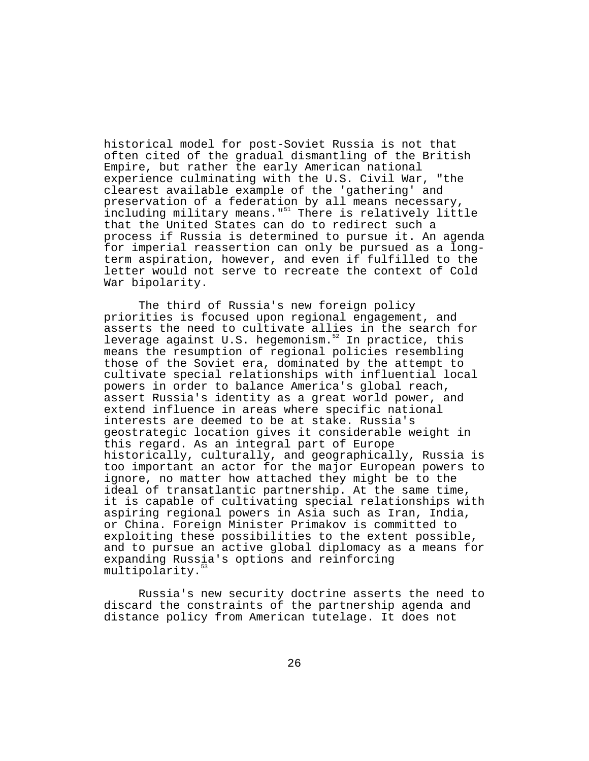historical model for post-Soviet Russia is not that often cited of the gradual dismantling of the British Empire, but rather the early American national experience culminating with the U.S. Civil War, "the clearest available example of the 'gathering' and preservation of a federation by all means necessary, including military means."<sup>51</sup> There is relatively little that the United States can do to redirect such a process if Russia is determined to pursue it. An agenda for imperial reassertion can only be pursued as a longterm aspiration, however, and even if fulfilled to the letter would not serve to recreate the context of Cold War bipolarity.

The third of Russia's new foreign policy priorities is focused upon regional engagement, and asserts the need to cultivate allies in the search for leverage against U.S. hegemonism.<sup>52</sup> In practice, this means the resumption of regional policies resembling those of the Soviet era, dominated by the attempt to cultivate special relationships with influential local powers in order to balance America's global reach, assert Russia's identity as a great world power, and extend influence in areas where specific national interests are deemed to be at stake. Russia's geostrategic location gives it considerable weight in this regard. As an integral part of Europe historically, culturally, and geographically, Russia is too important an actor for the major European powers to ignore, no matter how attached they might be to the ideal of transatlantic partnership. At the same time, it is capable of cultivating special relationships with aspiring regional powers in Asia such as Iran, India, or China. Foreign Minister Primakov is committed to exploiting these possibilities to the extent possible, and to pursue an active global diplomacy as a means for expanding Russia's options and reinforcing multipolarity.<sup>5</sup>

Russia's new security doctrine asserts the need to discard the constraints of the partnership agenda and distance policy from American tutelage. It does not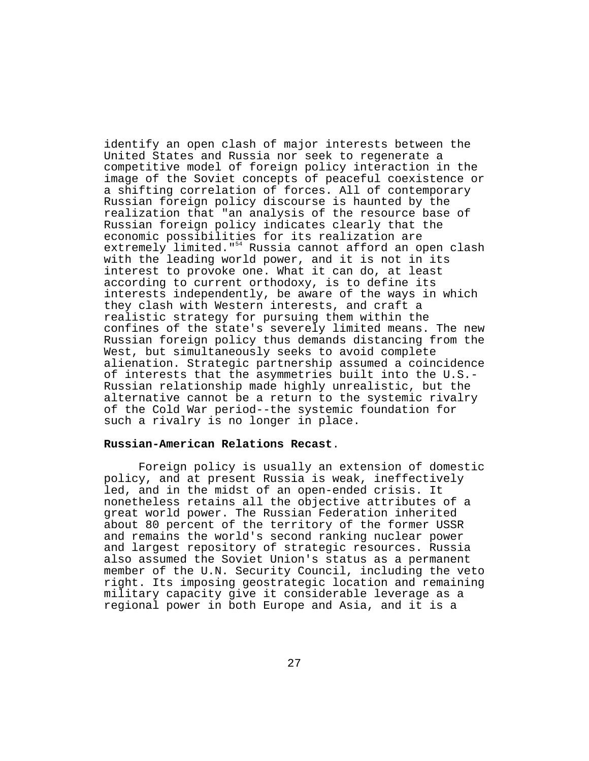identify an open clash of major interests between the United States and Russia nor seek to regenerate a competitive model of foreign policy interaction in the image of the Soviet concepts of peaceful coexistence or a shifting correlation of forces. All of contemporary Russian foreign policy discourse is haunted by the realization that "an analysis of the resource base of Russian foreign policy indicates clearly that the economic possibilities for its realization are extremely limited."<sup>54</sup> Russia cannot afford an open clash with the leading world power, and it is not in its interest to provoke one. What it can do, at least according to current orthodoxy, is to define its interests independently, be aware of the ways in which they clash with Western interests, and craft a realistic strategy for pursuing them within the confines of the state's severely limited means. The new Russian foreign policy thus demands distancing from the West, but simultaneously seeks to avoid complete alienation. Strategic partnership assumed a coincidence of interests that the asymmetries built into the U.S.- Russian relationship made highly unrealistic, but the alternative cannot be a return to the systemic rivalry of the Cold War period--the systemic foundation for such a rivalry is no longer in place.

# **Russian-American Relations Recast**.

Foreign policy is usually an extension of domestic policy, and at present Russia is weak, ineffectively led, and in the midst of an open-ended crisis. It nonetheless retains all the objective attributes of a great world power. The Russian Federation inherited about 80 percent of the territory of the former USSR and remains the world's second ranking nuclear power and largest repository of strategic resources. Russia also assumed the Soviet Union's status as a permanent member of the U.N. Security Council, including the veto right. Its imposing geostrategic location and remaining military capacity give it considerable leverage as a regional power in both Europe and Asia, and it is a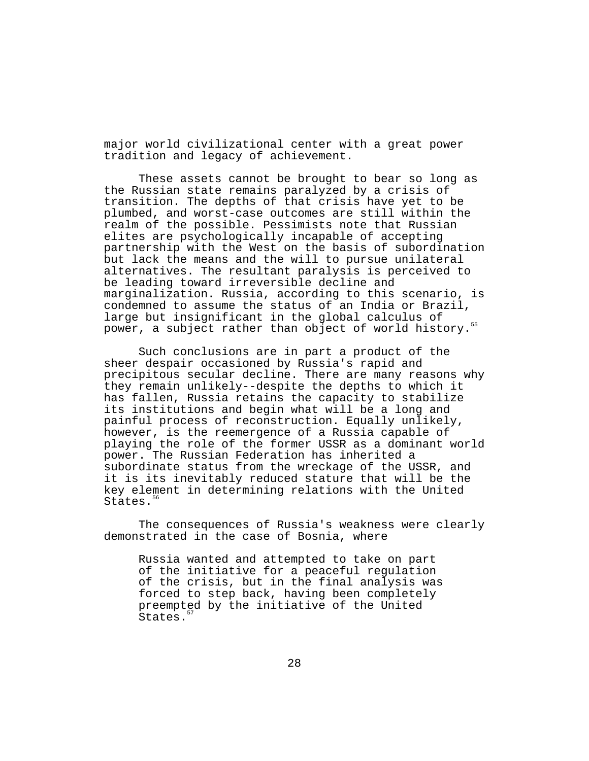major world civilizational center with a great power tradition and legacy of achievement.

These assets cannot be brought to bear so long as the Russian state remains paralyzed by a crisis of transition. The depths of that crisis have yet to be plumbed, and worst-case outcomes are still within the realm of the possible. Pessimists note that Russian elites are psychologically incapable of accepting partnership with the West on the basis of subordination but lack the means and the will to pursue unilateral alternatives. The resultant paralysis is perceived to be leading toward irreversible decline and marginalization. Russia, according to this scenario, is condemned to assume the status of an India or Brazil, large but insignificant in the global calculus of power, a subject rather than object of world history.<sup>55</sup>

Such conclusions are in part a product of the sheer despair occasioned by Russia's rapid and precipitous secular decline. There are many reasons why they remain unlikely--despite the depths to which it has fallen, Russia retains the capacity to stabilize its institutions and begin what will be a long and painful process of reconstruction. Equally unlikely, however, is the reemergence of a Russia capable of playing the role of the former USSR as a dominant world power. The Russian Federation has inherited a subordinate status from the wreckage of the USSR, and it is its inevitably reduced stature that will be the key element in determining relations with the United States.<sup>56</sup>

The consequences of Russia's weakness were clearly demonstrated in the case of Bosnia, where

Russia wanted and attempted to take on part of the initiative for a peaceful regulation of the crisis, but in the final analysis was forced to step back, having been completely preempted by the initiative of the United States.<sup>5</sup>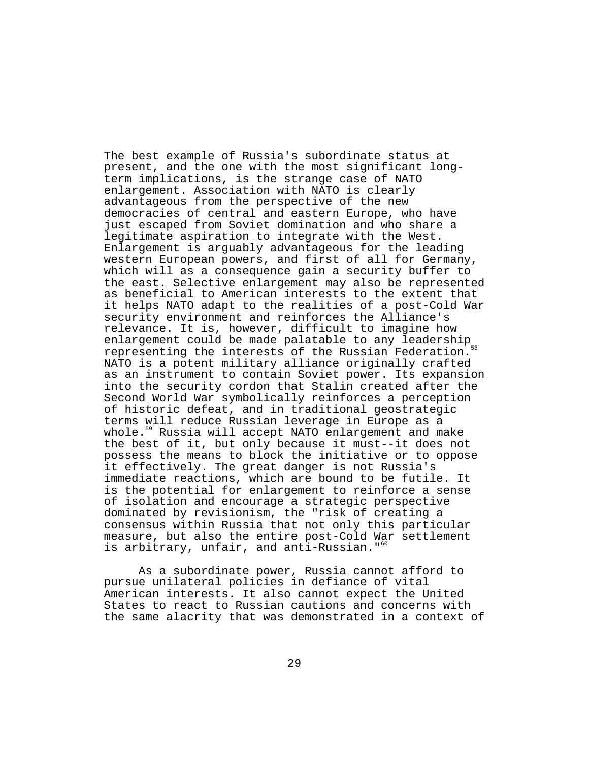The best example of Russia's subordinate status at present, and the one with the most significant longterm implications, is the strange case of NATO enlargement. Association with NATO is clearly advantageous from the perspective of the new democracies of central and eastern Europe, who have just escaped from Soviet domination and who share a legitimate aspiration to integrate with the West. Enlargement is arguably advantageous for the leading western European powers, and first of all for Germany, which will as a consequence gain a security buffer to the east. Selective enlargement may also be represented as beneficial to American interests to the extent that it helps NATO adapt to the realities of a post-Cold War security environment and reinforces the Alliance's relevance. It is, however, difficult to imagine how enlargement could be made palatable to any leadership<sub>se</sub> representing the interests of the Russian Federation. NATO is a potent military alliance originally crafted as an instrument to contain Soviet power. Its expansion into the security cordon that Stalin created after the Second World War symbolically reinforces a perception of historic defeat, and in traditional geostrategic terms will reduce Russian leverage in Europe as a whole.<sup>59</sup> Russia will accept NATO enlargement and make the best of it, but only because it must--it does not possess the means to block the initiative or to oppose it effectively. The great danger is not Russia's immediate reactions, which are bound to be futile. It is the potential for enlargement to reinforce a sense of isolation and encourage a strategic perspective dominated by revisionism, the "risk of creating a consensus within Russia that not only this particular measure, but also the entire post-Cold War settlement is arbitrary, unfair, and anti-Russian."<sup>60</sup>

As a subordinate power, Russia cannot afford to pursue unilateral policies in defiance of vital American interests. It also cannot expect the United States to react to Russian cautions and concerns with the same alacrity that was demonstrated in a context of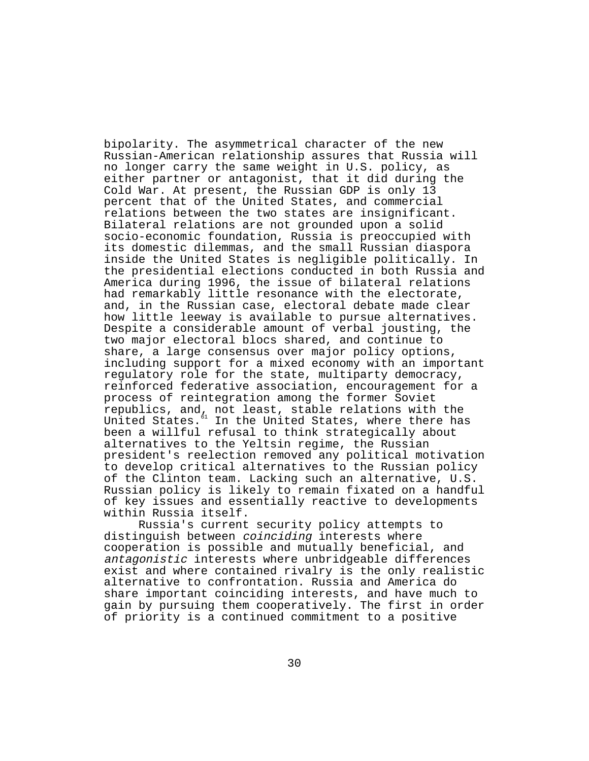bipolarity. The asymmetrical character of the new Russian-American relationship assures that Russia will no longer carry the same weight in U.S. policy, as either partner or antagonist, that it did during the Cold War. At present, the Russian GDP is only 13 percent that of the United States, and commercial relations between the two states are insignificant. Bilateral relations are not grounded upon a solid socio-economic foundation, Russia is preoccupied with its domestic dilemmas, and the small Russian diaspora inside the United States is negligible politically. In the presidential elections conducted in both Russia and America during 1996, the issue of bilateral relations had remarkably little resonance with the electorate, and, in the Russian case, electoral debate made clear how little leeway is available to pursue alternatives. Despite a considerable amount of verbal jousting, the two major electoral blocs shared, and continue to share, a large consensus over major policy options, including support for a mixed economy with an important regulatory role for the state, multiparty democracy, reinforced federative association, encouragement for a process of reintegration among the former Soviet republics, and, not least, stable relations with the United States. $^{61}$  In the United States, where there has been a willful refusal to think strategically about alternatives to the Yeltsin regime, the Russian president's reelection removed any political motivation to develop critical alternatives to the Russian policy of the Clinton team. Lacking such an alternative, U.S. Russian policy is likely to remain fixated on a handful of key issues and essentially reactive to developments within Russia itself.

Russia's current security policy attempts to distinguish between coinciding interests where cooperation is possible and mutually beneficial, and antagonistic interests where unbridgeable differences exist and where contained rivalry is the only realistic alternative to confrontation. Russia and America do share important coinciding interests, and have much to gain by pursuing them cooperatively. The first in order of priority is a continued commitment to a positive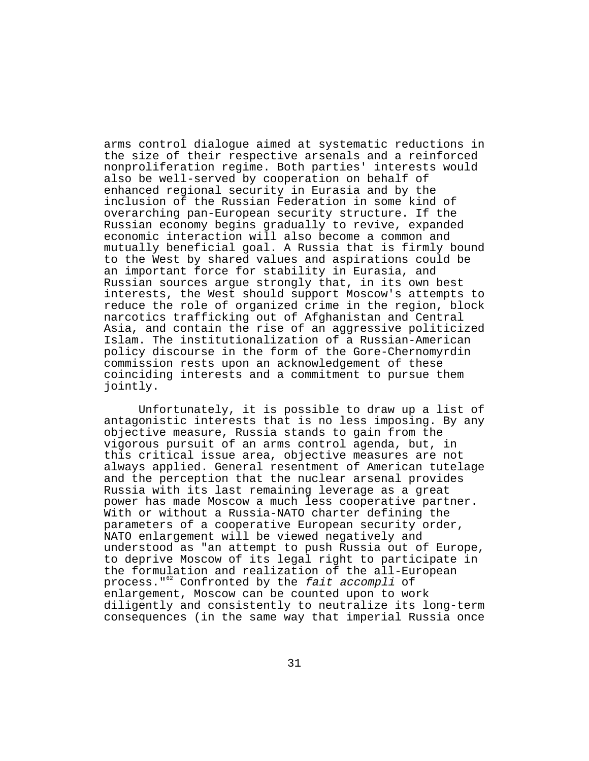arms control dialogue aimed at systematic reductions in the size of their respective arsenals and a reinforced nonproliferation regime. Both parties' interests would also be well-served by cooperation on behalf of enhanced regional security in Eurasia and by the inclusion of the Russian Federation in some kind of overarching pan-European security structure. If the Russian economy begins gradually to revive, expanded economic interaction will also become a common and mutually beneficial goal. A Russia that is firmly bound to the West by shared values and aspirations could be an important force for stability in Eurasia, and Russian sources argue strongly that, in its own best interests, the West should support Moscow's attempts to reduce the role of organized crime in the region, block narcotics trafficking out of Afghanistan and Central Asia, and contain the rise of an aggressive politicized Islam. The institutionalization of a Russian-American policy discourse in the form of the Gore-Chernomyrdin commission rests upon an acknowledgement of these coinciding interests and a commitment to pursue them jointly.

Unfortunately, it is possible to draw up a list of antagonistic interests that is no less imposing. By any objective measure, Russia stands to gain from the vigorous pursuit of an arms control agenda, but, in this critical issue area, objective measures are not always applied. General resentment of American tutelage and the perception that the nuclear arsenal provides Russia with its last remaining leverage as a great power has made Moscow a much less cooperative partner. With or without a Russia-NATO charter defining the parameters of a cooperative European security order, NATO enlargement will be viewed negatively and understood as "an attempt to push Russia out of Europe, to deprive Moscow of its legal right to participate in the formulation and realization of the all-European process."62 Confronted by the fait accompli of enlargement, Moscow can be counted upon to work diligently and consistently to neutralize its long-term consequences (in the same way that imperial Russia once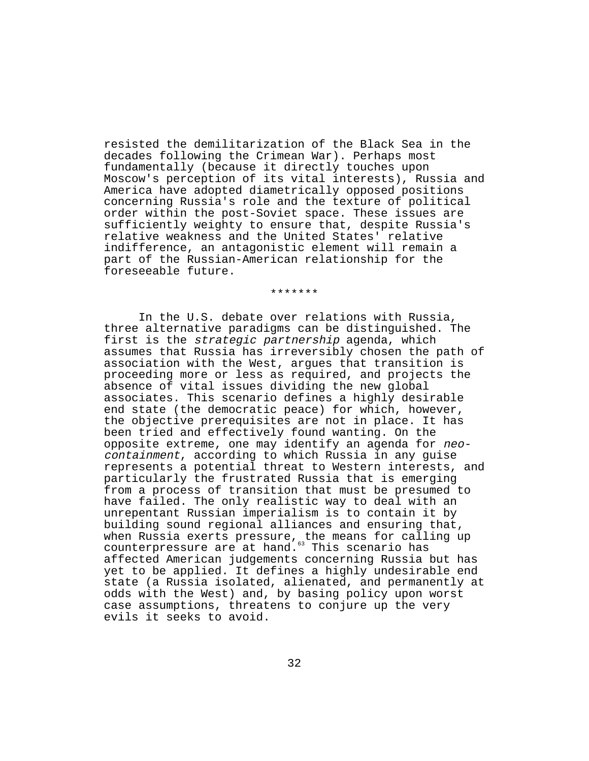resisted the demilitarization of the Black Sea in the decades following the Crimean War). Perhaps most fundamentally (because it directly touches upon Moscow's perception of its vital interests), Russia and America have adopted diametrically opposed positions concerning Russia's role and the texture of political order within the post-Soviet space. These issues are sufficiently weighty to ensure that, despite Russia's relative weakness and the United States' relative indifference, an antagonistic element will remain a part of the Russian-American relationship for the foreseeable future.

#### \*\*\*\*\*\*\*

In the U.S. debate over relations with Russia, three alternative paradigms can be distinguished. The first is the strategic partnership agenda, which assumes that Russia has irreversibly chosen the path of association with the West, argues that transition is proceeding more or less as required, and projects the absence of vital issues dividing the new global associates. This scenario defines a highly desirable end state (the democratic peace) for which, however, the objective prerequisites are not in place. It has been tried and effectively found wanting. On the opposite extreme, one may identify an agenda for neocontainment, according to which Russia in any guise represents a potential threat to Western interests, and particularly the frustrated Russia that is emerging from a process of transition that must be presumed to have failed. The only realistic way to deal with an unrepentant Russian imperialism is to contain it by building sound regional alliances and ensuring that, when Russia exerts pressure, the means for calling up counterpressure are at hand.<sup>63</sup> This scenario has affected American judgements concerning Russia but has yet to be applied. It defines a highly undesirable end state (a Russia isolated, alienated, and permanently at odds with the West) and, by basing policy upon worst case assumptions, threatens to conjure up the very evils it seeks to avoid.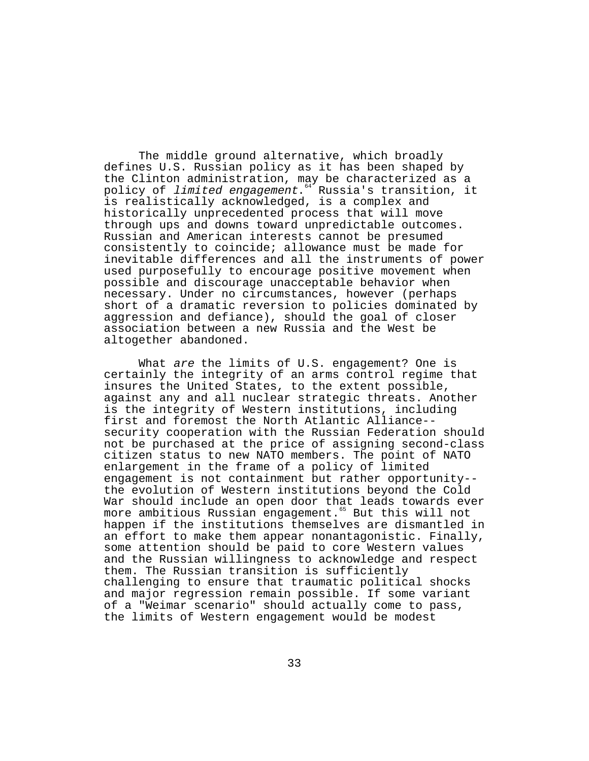The middle ground alternative, which broadly defines U.S. Russian policy as it has been shaped by the Clinton administration, may be characterized as a policy of *limited engagement*.<sup>64</sup> Russia's transition, it is realistically acknowledged, is a complex and historically unprecedented process that will move through ups and downs toward unpredictable outcomes. Russian and American interests cannot be presumed consistently to coincide; allowance must be made for inevitable differences and all the instruments of power used purposefully to encourage positive movement when possible and discourage unacceptable behavior when necessary. Under no circumstances, however (perhaps short of a dramatic reversion to policies dominated by aggression and defiance), should the goal of closer association between a new Russia and the West be altogether abandoned.

What are the limits of U.S. engagement? One is certainly the integrity of an arms control regime that insures the United States, to the extent possible, against any and all nuclear strategic threats. Another is the integrity of Western institutions, including first and foremost the North Atlantic Alliance- security cooperation with the Russian Federation should not be purchased at the price of assigning second-class citizen status to new NATO members. The point of NATO enlargement in the frame of a policy of limited engagement is not containment but rather opportunity- the evolution of Western institutions beyond the Cold War should include an open door that leads towards ever more ambitious Russian engagement.<sup>65</sup> But this will not happen if the institutions themselves are dismantled in an effort to make them appear nonantagonistic. Finally, some attention should be paid to core Western values and the Russian willingness to acknowledge and respect them. The Russian transition is sufficiently challenging to ensure that traumatic political shocks and major regression remain possible. If some variant of a "Weimar scenario" should actually come to pass, the limits of Western engagement would be modest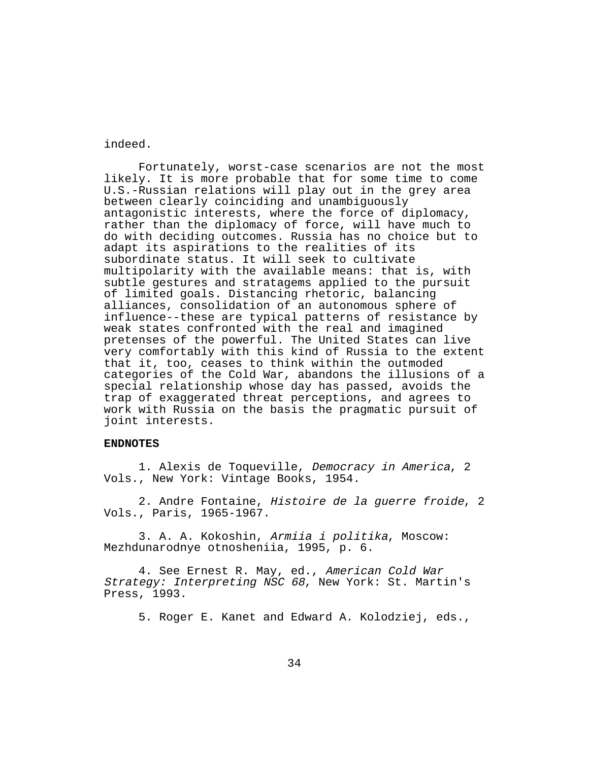## indeed.

Fortunately, worst-case scenarios are not the most likely. It is more probable that for some time to come U.S.-Russian relations will play out in the grey area between clearly coinciding and unambiguously antagonistic interests, where the force of diplomacy, rather than the diplomacy of force, will have much to do with deciding outcomes. Russia has no choice but to adapt its aspirations to the realities of its subordinate status. It will seek to cultivate multipolarity with the available means: that is, with subtle gestures and stratagems applied to the pursuit of limited goals. Distancing rhetoric, balancing alliances, consolidation of an autonomous sphere of influence--these are typical patterns of resistance by weak states confronted with the real and imagined pretenses of the powerful. The United States can live very comfortably with this kind of Russia to the extent that it, too, ceases to think within the outmoded categories of the Cold War, abandons the illusions of a special relationship whose day has passed, avoids the trap of exaggerated threat perceptions, and agrees to work with Russia on the basis the pragmatic pursuit of joint interests.

### **ENDNOTES**

1. Alexis de Toqueville, Democracy in America, 2 Vols., New York: Vintage Books, 1954.

2. Andre Fontaine, Histoire de la guerre froide, 2 Vols., Paris, 1965-1967.

3. A. A. Kokoshin, Armiia i politika, Moscow: Mezhdunarodnye otnosheniia, 1995, p. 6.

4. See Ernest R. May, ed., American Cold War Strategy: Interpreting NSC 68, New York: St. Martin's Press, 1993.

5. Roger E. Kanet and Edward A. Kolodziej, eds.,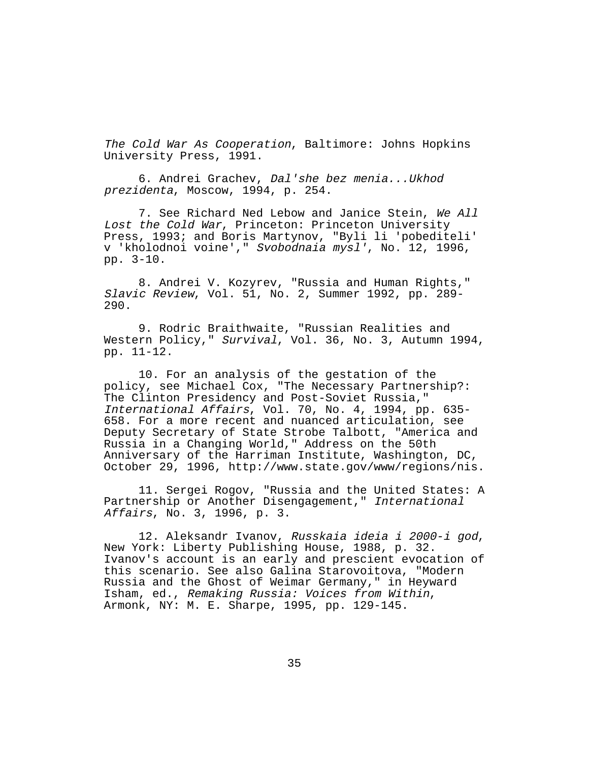The Cold War As Cooperation, Baltimore: Johns Hopkins University Press, 1991.

6. Andrei Grachev, Dal'she bez menia...Ukhod prezidenta, Moscow, 1994, p. 254.

7. See Richard Ned Lebow and Janice Stein, We All Lost the Cold War, Princeton: Princeton University Press, 1993; and Boris Martynov, "Byli li 'pobediteli' v 'kholodnoi voine'," Svobodnaia mysl', No. 12, 1996, pp. 3-10.

8. Andrei V. Kozyrev, "Russia and Human Rights," Slavic Review, Vol. 51, No. 2, Summer 1992, pp. 289- 290.

9. Rodric Braithwaite, "Russian Realities and Western Policy," Survival, Vol. 36, No. 3, Autumn 1994, pp. 11-12.

10. For an analysis of the gestation of the policy, see Michael Cox, "The Necessary Partnership?: The Clinton Presidency and Post-Soviet Russia," International Affairs, Vol. 70, No. 4, 1994, pp. 635- 658. For a more recent and nuanced articulation, see Deputy Secretary of State Strobe Talbott, "America and Russia in a Changing World," Address on the 50th Anniversary of the Harriman Institute, Washington, DC, October 29, 1996, http://www.state.gov/www/regions/nis.

11. Sergei Rogov, "Russia and the United States: A Partnership or Another Disengagement," International Affairs, No. 3, 1996, p. 3.

12. Aleksandr Ivanov, Russkaia ideia i 2000-i god, New York: Liberty Publishing House, 1988, p. 32. Ivanov's account is an early and prescient evocation of this scenario. See also Galina Starovoitova, "Modern Russia and the Ghost of Weimar Germany," in Heyward Isham, ed., Remaking Russia: Voices from Within, Armonk, NY: M. E. Sharpe, 1995, pp. 129-145.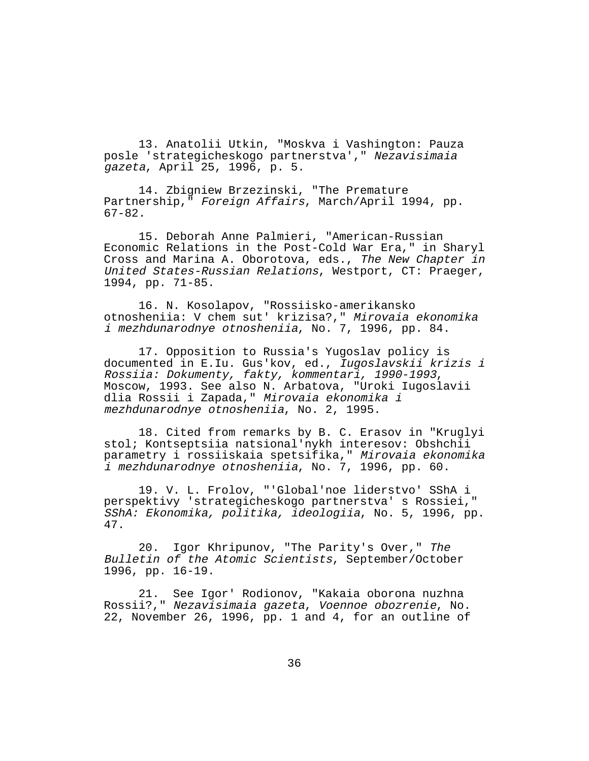13. Anatolii Utkin, "Moskva i Vashington: Pauza posle 'strategicheskogo partnerstva'," Nezavisimaia gazeta, April 25, 1996, p. 5.

14. Zbigniew Brzezinski, "The Premature Partnership," Foreign Affairs, March/April 1994, pp. 67-82.

15. Deborah Anne Palmieri, "American-Russian Economic Relations in the Post-Cold War Era," in Sharyl Cross and Marina A. Oborotova, eds., The New Chapter in United States-Russian Relations, Westport, CT: Praeger, 1994, pp. 71-85.

16. N. Kosolapov, "Rossiisko-amerikansko otnosheniia: V chem sut' krizisa?," Mirovaia ekonomika i mezhdunarodnye otnosheniia, No. 7, 1996, pp. 84.

17. Opposition to Russia's Yugoslav policy is documented in E.Iu. Gus'kov, ed., Iugoslavskii krizis i Rossiia: Dokumenty, fakty, kommentari, 1990-1993, Moscow, 1993. See also N. Arbatova, "Uroki Iugoslavii dlia Rossii i Zapada," Mirovaia ekonomika i mezhdunarodnye otnosheniia, No. 2, 1995.

18. Cited from remarks by B. C. Erasov in "Kruglyi stol; Kontseptsiia natsional'nykh interesov: Obshchii parametry i rossiiskaia spetsifika," Mirovaia ekonomika i mezhdunarodnye otnosheniia, No. 7, 1996, pp. 60.

19. V. L. Frolov, "'Global'noe liderstvo' SShA i perspektivy 'strategicheskogo partnerstva' s Rossiei," SShA: Ekonomika, politika, ideologiia, No. 5, 1996, pp. 47.

20. Igor Khripunov, "The Parity's Over," The Bulletin of the Atomic Scientists, September/October 1996, pp. 16-19.

21. See Igor' Rodionov, "Kakaia oborona nuzhna Rossii?," Nezavisimaia gazeta, Voennoe obozrenie, No. 22, November 26, 1996, pp. 1 and 4, for an outline of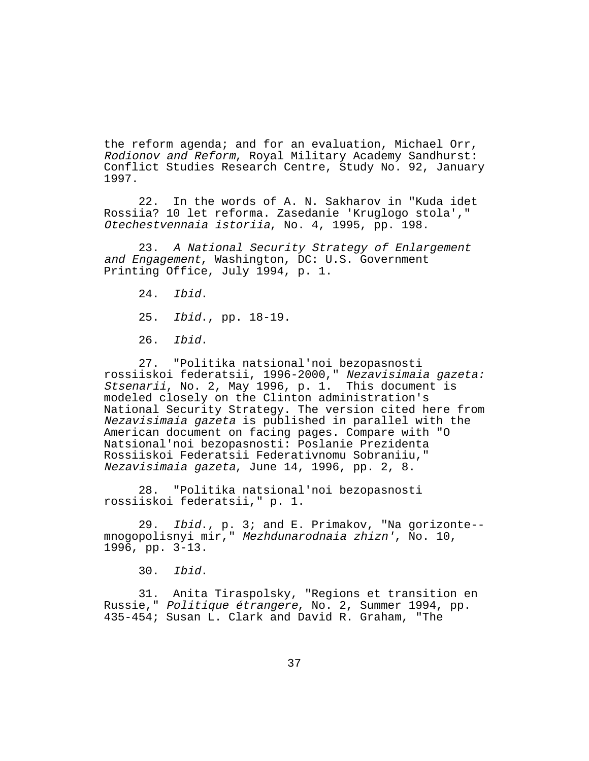the reform agenda; and for an evaluation, Michael Orr, Rodionov and Reform, Royal Military Academy Sandhurst: Conflict Studies Research Centre, Study No. 92, January 1997.

22. In the words of A. N. Sakharov in "Kuda idet Rossiia? 10 let reforma. Zasedanie 'Kruglogo stola'," Otechestvennaia istoriia, No. 4, 1995, pp. 198.

23. A National Security Strategy of Enlargement and Engagement, Washington, DC: U.S. Government Printing Office, July 1994, p. 1.

24. Ibid.

25. Ibid., pp. 18-19.

26. Ibid.

27. "Politika natsional'noi bezopasnosti rossiiskoi federatsii, 1996-2000," Nezavisimaia gazeta: Stsenarii, No. 2, May 1996, p. 1. This document is modeled closely on the Clinton administration's National Security Strategy. The version cited here from Nezavisimaia gazeta is published in parallel with the American document on facing pages. Compare with "O Natsional'noi bezopasnosti: Poslanie Prezidenta Rossiiskoi Federatsii Federativnomu Sobraniiu," Nezavisimaia gazeta, June 14, 1996, pp. 2, 8.

28. "Politika natsional'noi bezopasnosti rossiiskoi federatsii," p. 1.

29. Ibid., p. 3; and E. Primakov, "Na gorizonte- mnogopolisnyi mir," Mezhdunarodnaia zhizn', No. 10, 1996, pp. 3-13.

30. Ibid.

31. Anita Tiraspolsky, "Regions et transition en Russie," Politique étrangere, No. 2, Summer 1994, pp. 435-454; Susan L. Clark and David R. Graham, "The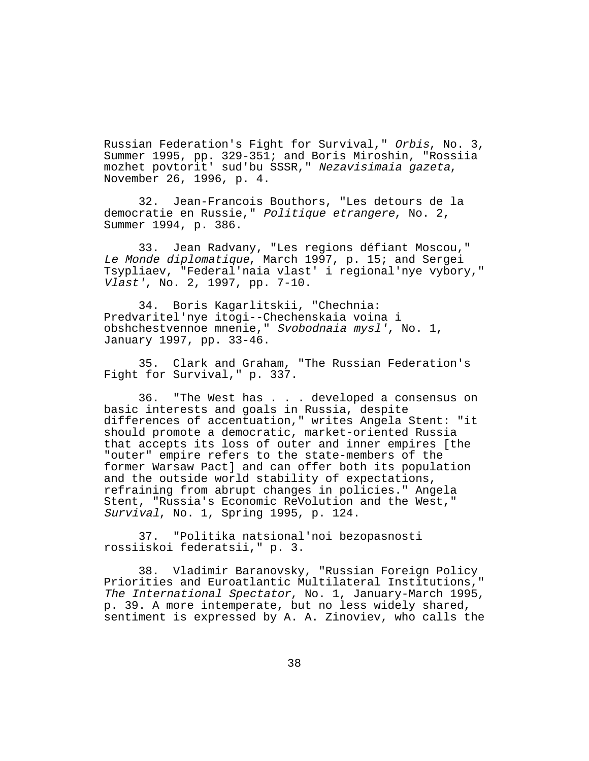Russian Federation's Fight for Survival," Orbis, No. 3, Summer 1995, pp. 329-351; and Boris Miroshin, "Rossiia mozhet povtorit' sud'bu SSSR," Nezavisimaia gazeta, November 26, 1996, p. 4.

32. Jean-Francois Bouthors, "Les detours de la democratie en Russie," Politique etrangere, No. 2, Summer 1994, p. 386.

33. Jean Radvany, "Les regions défiant Moscou," Le Monde diplomatique, March 1997, p. 15; and Sergei Tsypliaev, "Federal'naia vlast' i regional'nye vybory," Vlast', No. 2, 1997, pp. 7-10.

34. Boris Kagarlitskii, "Chechnia: Predvaritel'nye itogi--Chechenskaia voina i obshchestvennoe mnenie," Svobodnaia mysl', No. 1, January 1997, pp. 33-46.

35. Clark and Graham, "The Russian Federation's Fight for Survival," p. 337.

36. "The West has . . . developed a consensus on basic interests and goals in Russia, despite differences of accentuation," writes Angela Stent: "it should promote a democratic, market-oriented Russia that accepts its loss of outer and inner empires [the "outer" empire refers to the state-members of the former Warsaw Pact] and can offer both its population and the outside world stability of expectations, refraining from abrupt changes in policies." Angela Stent, "Russia's Economic ReVolution and the West," Survival, No. 1, Spring 1995, p. 124.

37. "Politika natsional'noi bezopasnosti rossiiskoi federatsii," p. 3.

38. Vladimir Baranovsky, "Russian Foreign Policy Priorities and Euroatlantic Multilateral Institutions," The International Spectator, No. 1, January-March 1995, p. 39. A more intemperate, but no less widely shared, sentiment is expressed by A. A. Zinoviev, who calls the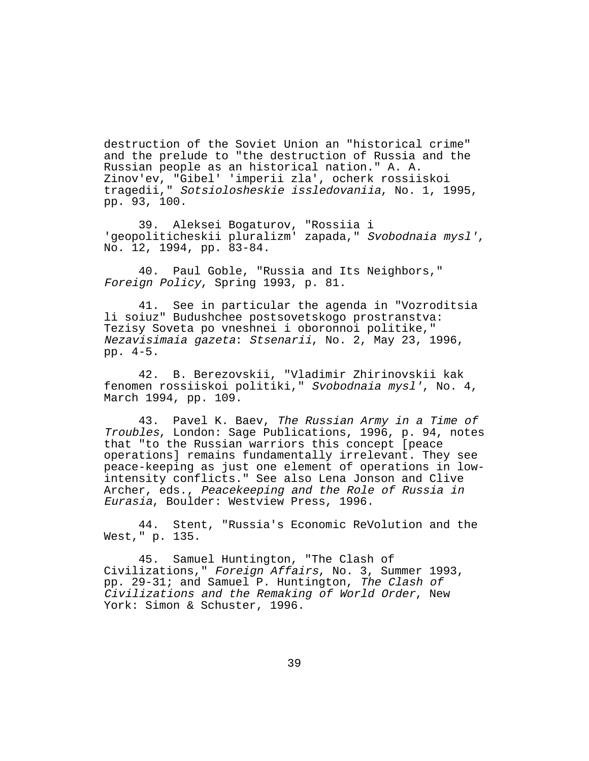destruction of the Soviet Union an "historical crime" and the prelude to "the destruction of Russia and the Russian people as an historical nation." A. A. Zinov'ev, "Gibel' 'imperii zla', ocherk rossiiskoi tragedii," Sotsiolosheskie issledovaniia, No. 1, 1995, pp. 93, 100.

39. Aleksei Bogaturov, "Rossiia i 'geopoliticheskii pluralizm' zapada," Svobodnaia mysl', No. 12, 1994, pp. 83-84.

40. Paul Goble, "Russia and Its Neighbors," Foreign Policy, Spring 1993, p. 81.

41. See in particular the agenda in "Vozroditsia li soiuz" Budushchee postsovetskogo prostranstva: Tezisy Soveta po vneshnei i oboronnoi politike," Nezavisimaia gazeta: Stsenarii, No. 2, May 23, 1996, pp. 4-5.

42. B. Berezovskii, "Vladimir Zhirinovskii kak fenomen rossiiskoi politiki," Svobodnaia mysl', No. 4, March 1994, pp. 109.

43. Pavel K. Baev, The Russian Army in a Time of Troubles, London: Sage Publications, 1996, p. 94, notes that "to the Russian warriors this concept [peace operations] remains fundamentally irrelevant. They see peace-keeping as just one element of operations in lowintensity conflicts." See also Lena Jonson and Clive Archer, eds., Peacekeeping and the Role of Russia in Eurasia, Boulder: Westview Press, 1996.

44. Stent, "Russia's Economic ReVolution and the West," p. 135.

45. Samuel Huntington, "The Clash of Civilizations," Foreign Affairs, No. 3, Summer 1993, pp. 29-31; and Samuel P. Huntington, The Clash of Civilizations and the Remaking of World Order, New York: Simon & Schuster, 1996.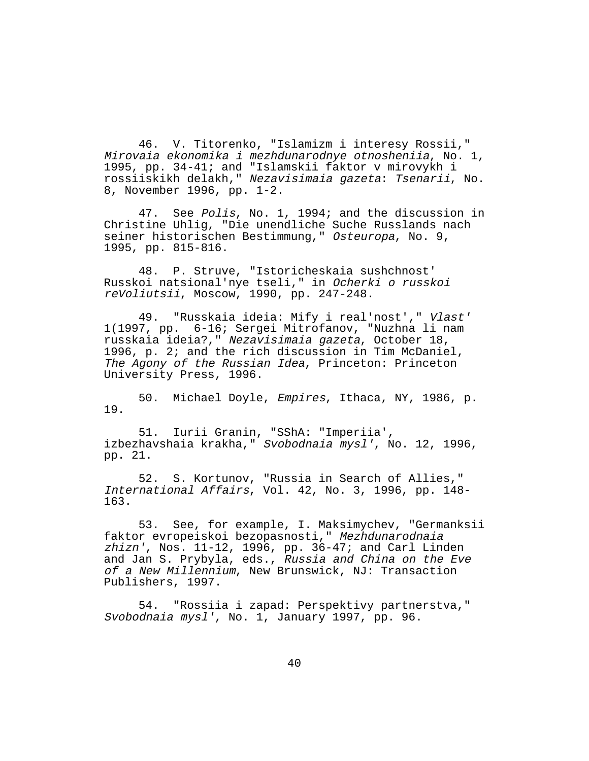46. V. Titorenko, "Islamizm i interesy Rossii," Mirovaia ekonomika i mezhdunarodnye otnosheniia, No. 1, 1995, pp. 34-41; and "Islamskii faktor v mirovykh i rossiiskikh delakh," Nezavisimaia gazeta: Tsenarii, No. 8, November 1996, pp. 1-2.

47. See Polis, No. 1, 1994; and the discussion in Christine Uhlig, "Die unendliche Suche Russlands nach seiner historischen Bestimmung," Osteuropa, No. 9, 1995, pp. 815-816.

48. P. Struve, "Istoricheskaia sushchnost' Russkoi natsional'nye tseli," in Ocherki o russkoi reVoliutsii, Moscow, 1990, pp. 247-248.

49. "Russkaia ideia: Mify i real'nost'," Vlast' 1(1997, pp. 6-16; Sergei Mitrofanov, "Nuzhna li nam russkaia ideia?," Nezavisimaia gazeta, October 18, 1996, p. 2; and the rich discussion in Tim McDaniel, The Agony of the Russian Idea, Princeton: Princeton University Press, 1996.

50. Michael Doyle, Empires, Ithaca, NY, 1986, p. 19.

51. Iurii Granin, "SShA: "Imperiia', izbezhavshaia krakha," Svobodnaia mysl', No. 12, 1996, pp. 21.

52. S. Kortunov, "Russia in Search of Allies," International Affairs, Vol. 42, No. 3, 1996, pp. 148- 163.

53. See, for example, I. Maksimychev, "Germanksii faktor evropeiskoi bezopasnosti," Mezhdunarodnaia zhizn', Nos. 11-12, 1996, pp. 36-47; and Carl Linden and Jan S. Prybyla, eds., Russia and China on the Eve of a New Millennium, New Brunswick, NJ: Transaction Publishers, 1997.

54. "Rossiia i zapad: Perspektivy partnerstva," Svobodnaia mysl', No. 1, January 1997, pp. 96.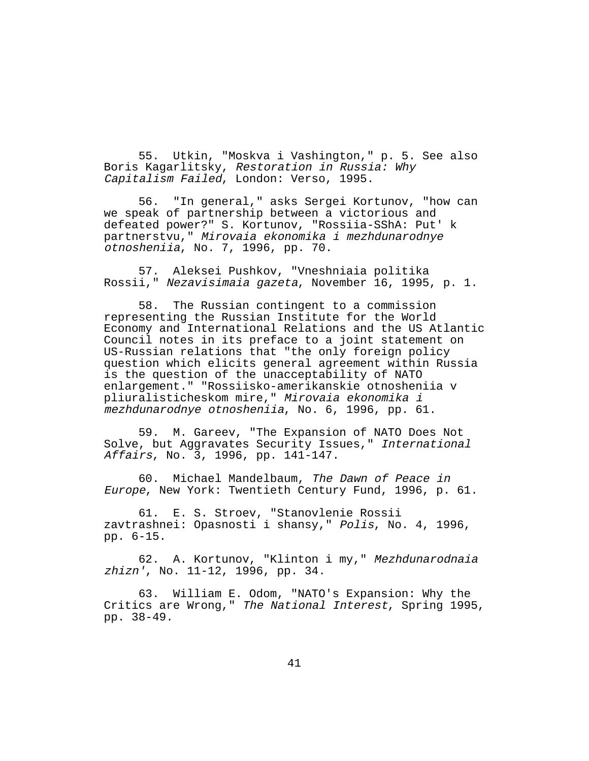55. Utkin, "Moskva i Vashington," p. 5. See also Boris Kagarlitsky, Restoration in Russia: Why Capitalism Failed, London: Verso, 1995.

56. "In general," asks Sergei Kortunov, "how can we speak of partnership between a victorious and defeated power?" S. Kortunov, "Rossiia-SShA: Put' k partnerstvu," Mirovaia ekonomika i mezhdunarodnye otnosheniia, No. 7, 1996, pp. 70.

57. Aleksei Pushkov, "Vneshniaia politika Rossii," Nezavisimaia gazeta, November 16, 1995, p. 1.

58. The Russian contingent to a commission representing the Russian Institute for the World Economy and International Relations and the US Atlantic Council notes in its preface to a joint statement on US-Russian relations that "the only foreign policy question which elicits general agreement within Russia is the question of the unacceptability of NATO enlargement." "Rossiisko-amerikanskie otnosheniia v pliuralisticheskom mire," Mirovaia ekonomika i mezhdunarodnye otnosheniia, No. 6, 1996, pp. 61.

59. M. Gareev, "The Expansion of NATO Does Not Solve, but Aggravates Security Issues," International Affairs, No. 3, 1996, pp. 141-147.

60. Michael Mandelbaum, The Dawn of Peace in Europe, New York: Twentieth Century Fund, 1996, p. 61.

61. E. S. Stroev, "Stanovlenie Rossii zavtrashnei: Opasnosti i shansy," Polis, No. 4, 1996, pp. 6-15.

62. A. Kortunov, "Klinton i my," Mezhdunarodnaia zhizn', No. 11-12, 1996, pp. 34.

63. William E. Odom, "NATO's Expansion: Why the Critics are Wrong," The National Interest, Spring 1995, pp. 38-49.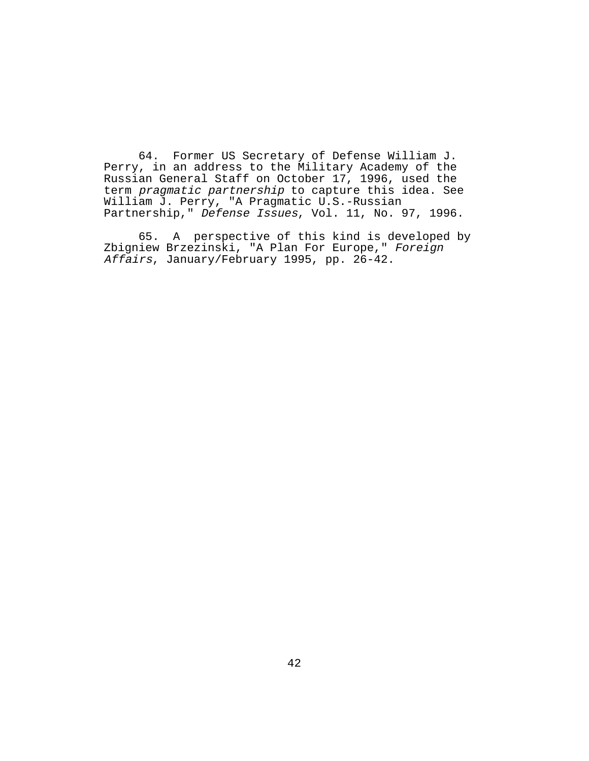64. Former US Secretary of Defense William J. Perry, in an address to the Military Academy of the Russian General Staff on October 17, 1996, used the term pragmatic partnership to capture this idea. See William J. Perry, "A Pragmatic U.S.-Russian Partnership," Defense Issues, Vol. 11, No. 97, 1996.

65. A perspective of this kind is developed by Zbigniew Brzezinski, "A Plan For Europe," Foreign Affairs, January/February 1995, pp. 26-42.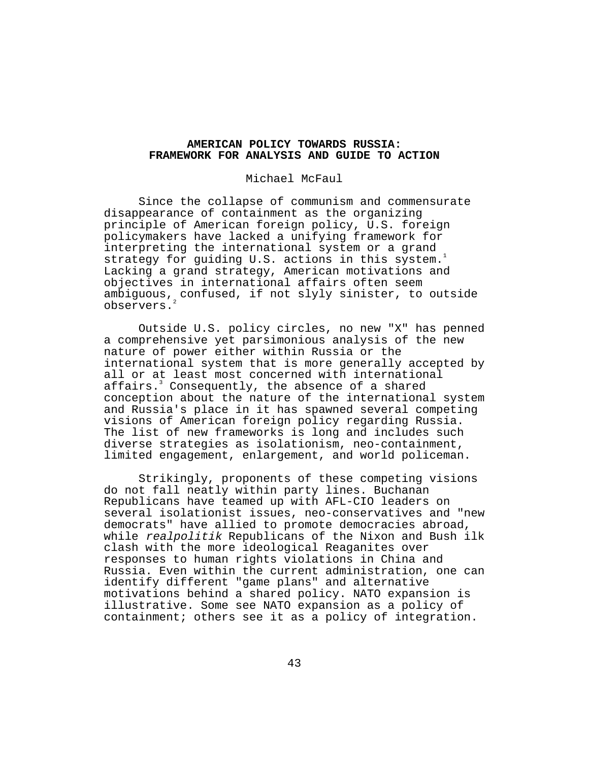# **AMERICAN POLICY TOWARDS RUSSIA: FRAMEWORK FOR ANALYSIS AND GUIDE TO ACTION**

### Michael McFaul

Since the collapse of communism and commensurate disappearance of containment as the organizing principle of American foreign policy, U.S. foreign policymakers have lacked a unifying framework for interpreting the international system or a grand strategy for guiding U.S. actions in this system.<sup>1</sup> Lacking a grand strategy, American motivations and objectives in international affairs often seem ambiguous, confused, if not slyly sinister, to outside observers.

Outside U.S. policy circles, no new "X" has penned a comprehensive yet parsimonious analysis of the new nature of power either within Russia or the international system that is more generally accepted by all or at least most concerned with international affairs. $^3$  Consequently, the absence of a shared conception about the nature of the international system and Russia's place in it has spawned several competing visions of American foreign policy regarding Russia. The list of new frameworks is long and includes such diverse strategies as isolationism, neo-containment, limited engagement, enlargement, and world policeman.

Strikingly, proponents of these competing visions do not fall neatly within party lines. Buchanan Republicans have teamed up with AFL-CIO leaders on several isolationist issues, neo-conservatives and "new democrats" have allied to promote democracies abroad, while realpolitik Republicans of the Nixon and Bush ilk clash with the more ideological Reaganites over responses to human rights violations in China and Russia. Even within the current administration, one can identify different "game plans" and alternative motivations behind a shared policy. NATO expansion is illustrative. Some see NATO expansion as a policy of containment; others see it as a policy of integration.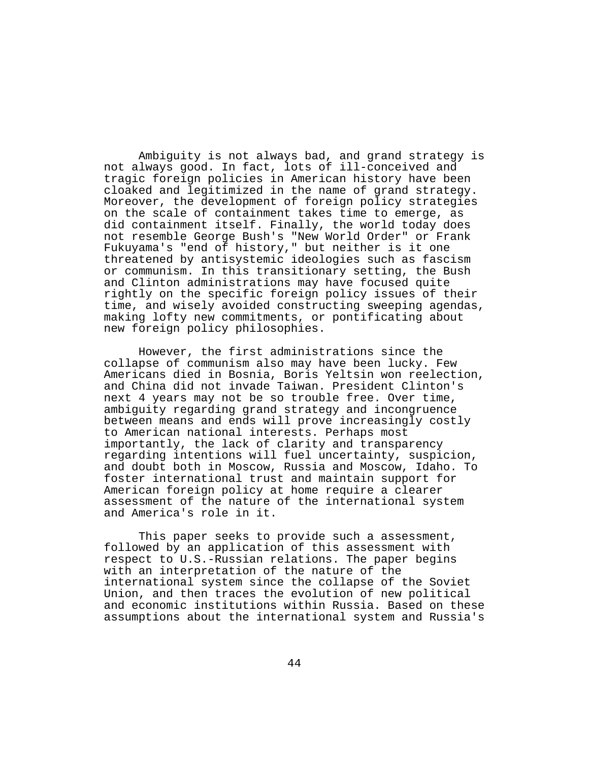Ambiguity is not always bad, and grand strategy is not always good. In fact, lots of ill-conceived and tragic foreign policies in American history have been cloaked and legitimized in the name of grand strategy. Moreover, the development of foreign policy strategies on the scale of containment takes time to emerge, as did containment itself. Finally, the world today does not resemble George Bush's "New World Order" or Frank Fukuyama's "end of history," but neither is it one threatened by antisystemic ideologies such as fascism or communism. In this transitionary setting, the Bush and Clinton administrations may have focused quite rightly on the specific foreign policy issues of their time, and wisely avoided constructing sweeping agendas, making lofty new commitments, or pontificating about new foreign policy philosophies.

However, the first administrations since the collapse of communism also may have been lucky. Few Americans died in Bosnia, Boris Yeltsin won reelection, and China did not invade Taiwan. President Clinton's next 4 years may not be so trouble free. Over time, ambiguity regarding grand strategy and incongruence between means and ends will prove increasingly costly to American national interests. Perhaps most importantly, the lack of clarity and transparency regarding intentions will fuel uncertainty, suspicion, and doubt both in Moscow, Russia and Moscow, Idaho. To foster international trust and maintain support for American foreign policy at home require a clearer assessment of the nature of the international system and America's role in it.

This paper seeks to provide such a assessment, followed by an application of this assessment with respect to U.S.-Russian relations. The paper begins with an interpretation of the nature of the international system since the collapse of the Soviet Union, and then traces the evolution of new political and economic institutions within Russia. Based on these assumptions about the international system and Russia's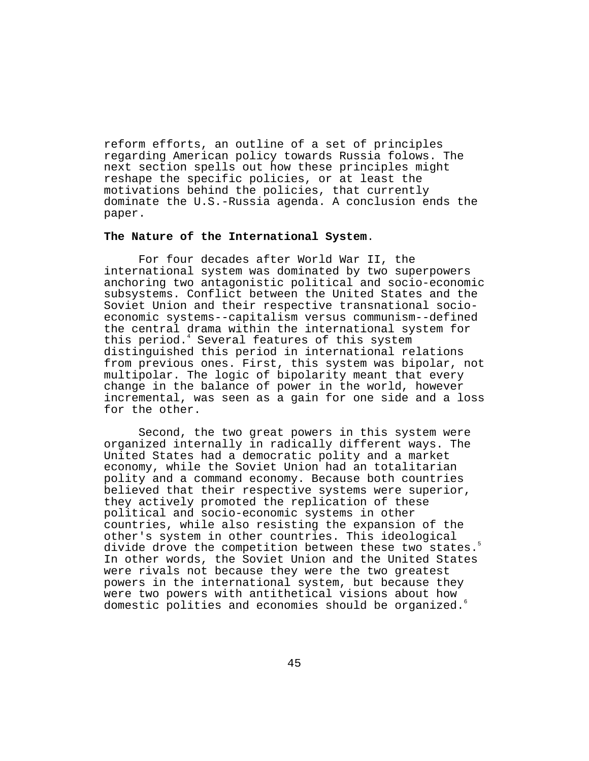reform efforts, an outline of a set of principles regarding American policy towards Russia folows. The next section spells out how these principles might reshape the specific policies, or at least the motivations behind the policies, that currently dominate the U.S.-Russia agenda. A conclusion ends the paper.

## **The Nature of the International System**.

For four decades after World War II, the international system was dominated by two superpowers anchoring two antagonistic political and socio-economic subsystems. Conflict between the United States and the Soviet Union and their respective transnational socioeconomic systems--capitalism versus communism--defined the central drama within the international system for this period.<sup>4</sup> Several features of this system distinguished this period in international relations from previous ones. First, this system was bipolar, not multipolar. The logic of bipolarity meant that every change in the balance of power in the world, however incremental, was seen as a gain for one side and a loss for the other.

Second, the two great powers in this system were organized internally in radically different ways. The United States had a democratic polity and a market economy, while the Soviet Union had an totalitarian polity and a command economy. Because both countries believed that their respective systems were superior, they actively promoted the replication of these political and socio-economic systems in other countries, while also resisting the expansion of the other's system in other countries. This ideological divide drove the competition between these two states.<sup>5</sup> In other words, the Soviet Union and the United States were rivals not because they were the two greatest powers in the international system, but because they were two powers with antithetical visions about how domestic polities and economies should be organized.6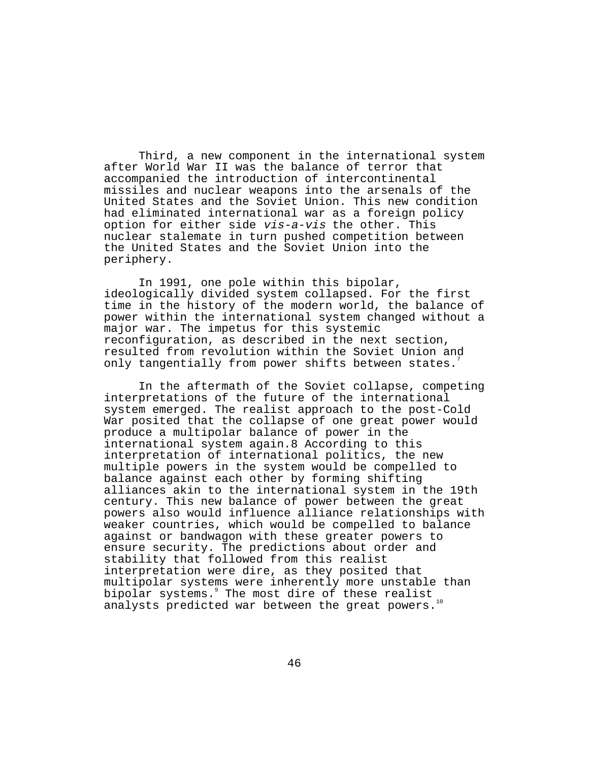Third, a new component in the international system after World War II was the balance of terror that accompanied the introduction of intercontinental missiles and nuclear weapons into the arsenals of the United States and the Soviet Union. This new condition had eliminated international war as a foreign policy option for either side vis-a-vis the other. This nuclear stalemate in turn pushed competition between the United States and the Soviet Union into the periphery.

In 1991, one pole within this bipolar, ideologically divided system collapsed. For the first time in the history of the modern world, the balance of power within the international system changed without a major war. The impetus for this systemic reconfiguration, as described in the next section, resulted from revolution within the Soviet Union and only tangentially from power shifts between states.

In the aftermath of the Soviet collapse, competing interpretations of the future of the international system emerged. The realist approach to the post-Cold War posited that the collapse of one great power would produce a multipolar balance of power in the international system again.8 According to this interpretation of international politics, the new multiple powers in the system would be compelled to balance against each other by forming shifting alliances akin to the international system in the 19th century. This new balance of power between the great powers also would influence alliance relationships with weaker countries, which would be compelled to balance against or bandwagon with these greater powers to ensure security. The predictions about order and stability that followed from this realist interpretation were dire, as they posited that multipolar systems were inherently more unstable than bipolar systems.9 The most dire of these realist analysts predicted war between the great powers.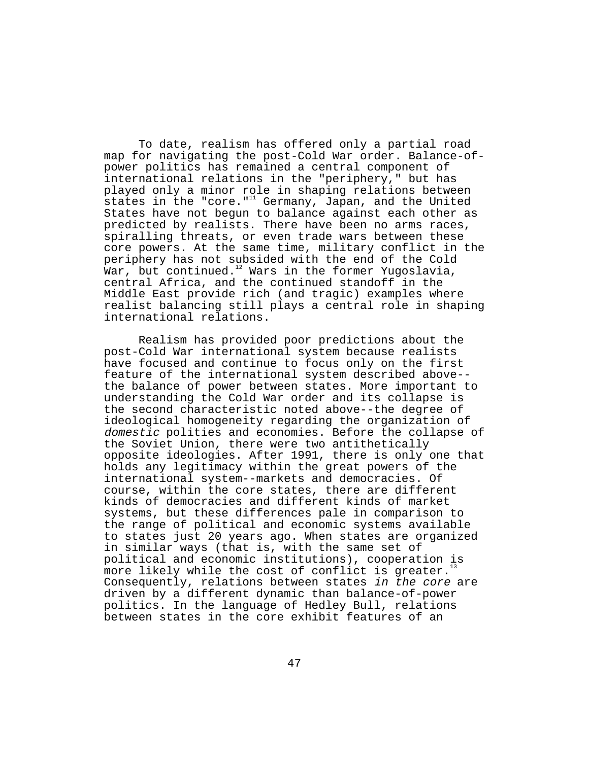To date, realism has offered only a partial road map for navigating the post-Cold War order. Balance-ofpower politics has remained a central component of international relations in the "periphery," but has played only a minor role in shaping relations between states in the "core." $11$  Germany, Japan, and the United States have not begun to balance against each other as predicted by realists. There have been no arms races, spiralling threats, or even trade wars between these core powers. At the same time, military conflict in the periphery has not subsided with the end of the Cold  $\bar{M}$ ar, but continued.<sup>12</sup> Wars in the former Yugoslavia, central Africa, and the continued standoff in the Middle East provide rich (and tragic) examples where realist balancing still plays a central role in shaping international relations.

Realism has provided poor predictions about the post-Cold War international system because realists have focused and continue to focus only on the first feature of the international system described above- the balance of power between states. More important to understanding the Cold War order and its collapse is the second characteristic noted above--the degree of ideological homogeneity regarding the organization of domestic polities and economies. Before the collapse of the Soviet Union, there were two antithetically opposite ideologies. After 1991, there is only one that holds any legitimacy within the great powers of the international system--markets and democracies. Of course, within the core states, there are different kinds of democracies and different kinds of market systems, but these differences pale in comparison to the range of political and economic systems available to states just 20 years ago. When states are organized in similar ways (that is, with the same set of political and economic institutions), cooperation is more likely while the cost of conflict is greater.<sup>1</sup> Consequently, relations between states in the core are driven by a different dynamic than balance-of-power politics. In the language of Hedley Bull, relations between states in the core exhibit features of an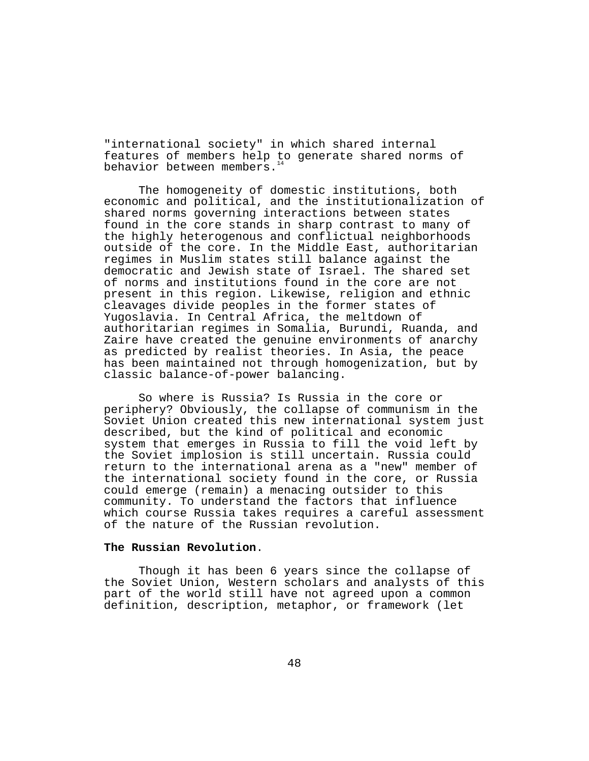"international society" in which shared internal features of members help to generate shared norms of behavior between members.<sup>14</sup>

The homogeneity of domestic institutions, both economic and political, and the institutionalization of shared norms governing interactions between states found in the core stands in sharp contrast to many of the highly heterogenous and conflictual neighborhoods outside of the core. In the Middle East, authoritarian regimes in Muslim states still balance against the democratic and Jewish state of Israel. The shared set of norms and institutions found in the core are not present in this region. Likewise, religion and ethnic cleavages divide peoples in the former states of Yugoslavia. In Central Africa, the meltdown of authoritarian regimes in Somalia, Burundi, Ruanda, and Zaire have created the genuine environments of anarchy as predicted by realist theories. In Asia, the peace has been maintained not through homogenization, but by classic balance-of-power balancing.

So where is Russia? Is Russia in the core or periphery? Obviously, the collapse of communism in the Soviet Union created this new international system just described, but the kind of political and economic system that emerges in Russia to fill the void left by the Soviet implosion is still uncertain. Russia could return to the international arena as a "new" member of the international society found in the core, or Russia could emerge (remain) a menacing outsider to this community. To understand the factors that influence which course Russia takes requires a careful assessment of the nature of the Russian revolution.

#### **The Russian Revolution**.

Though it has been 6 years since the collapse of the Soviet Union, Western scholars and analysts of this part of the world still have not agreed upon a common definition, description, metaphor, or framework (let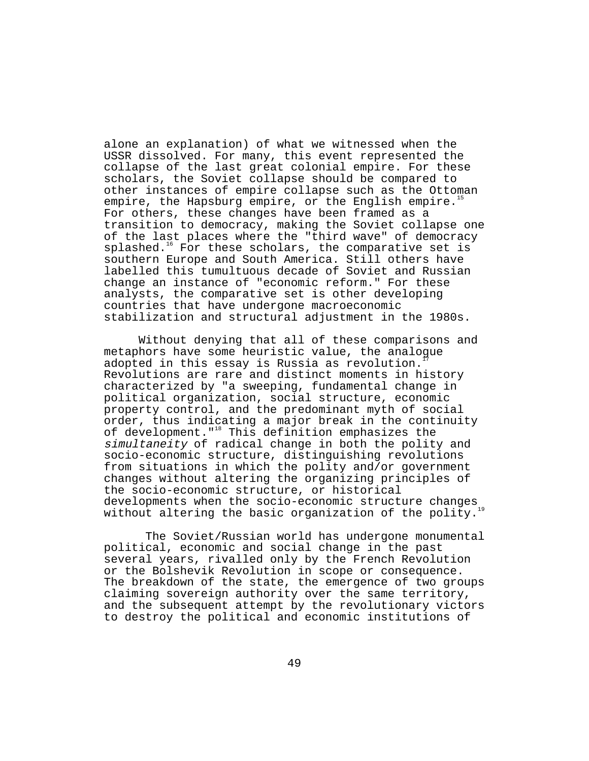alone an explanation) of what we witnessed when the USSR dissolved. For many, this event represented the collapse of the last great colonial empire. For these scholars, the Soviet collapse should be compared to other instances of empire collapse such as the Ottoman empire, the Hapsburg empire, or the English empire.<sup>11</sup> For others, these changes have been framed as a transition to democracy, making the Soviet collapse one of the last places where the "third wave" of democracy  $splashed.<sup>16</sup>$  For these scholars, the comparative set is southern Europe and South America. Still others have labelled this tumultuous decade of Soviet and Russian change an instance of "economic reform." For these analysts, the comparative set is other developing countries that have undergone macroeconomic stabilization and structural adjustment in the 1980s.

Without denying that all of these comparisons and metaphors have some heuristic value, the analogue adopted in this essay is Russia as revolution. Revolutions are rare and distinct moments in history characterized by "a sweeping, fundamental change in political organization, social structure, economic property control, and the predominant myth of social order, thus indicating a major break in the continuity of development."<sup>18</sup> This definition emphasizes the simultaneity of radical change in both the polity and socio-economic structure, distinguishing revolutions from situations in which the polity and/or government changes without altering the organizing principles of the socio-economic structure, or historical developments when the socio-economic structure changes without altering the basic organization of the polity.<sup>1</sup>

 The Soviet/Russian world has undergone monumental political, economic and social change in the past several years, rivalled only by the French Revolution or the Bolshevik Revolution in scope or consequence. The breakdown of the state, the emergence of two groups claiming sovereign authority over the same territory, and the subsequent attempt by the revolutionary victors to destroy the political and economic institutions of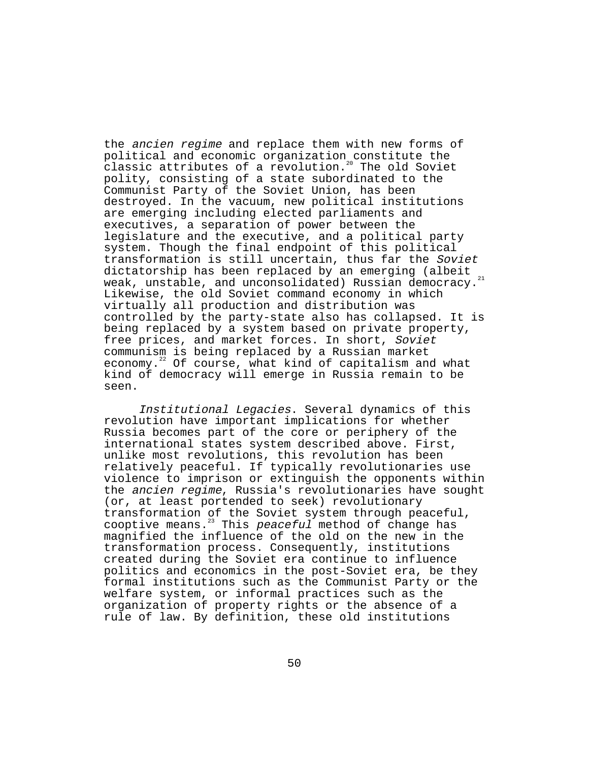the ancien regime and replace them with new forms of political and economic organization constitute the classic attributes of a revolution.20 The old Soviet polity, consisting of a state subordinated to the Communist Party of the Soviet Union, has been destroyed. In the vacuum, new political institutions are emerging including elected parliaments and executives, a separation of power between the legislature and the executive, and a political party system. Though the final endpoint of this political transformation is still uncertain, thus far the Soviet dictatorship has been replaced by an emerging (albeit weak, unstable, and unconsolidated) Russian democracy.<sup>21</sup> Likewise, the old Soviet command economy in which virtually all production and distribution was controlled by the party-state also has collapsed. It is being replaced by a system based on private property, free prices, and market forces. In short, Soviet communism is being replaced by a Russian market economy. $22$  Of course, what kind of capitalism and what kind of democracy will emerge in Russia remain to be seen.

Institutional Legacies. Several dynamics of this revolution have important implications for whether Russia becomes part of the core or periphery of the international states system described above. First, unlike most revolutions, this revolution has been relatively peaceful. If typically revolutionaries use violence to imprison or extinguish the opponents within the ancien regime, Russia's revolutionaries have sought (or, at least portended to seek) revolutionary transformation of the Soviet system through peaceful, cooptive means.<sup>23</sup> This peaceful method of change has magnified the influence of the old on the new in the transformation process. Consequently, institutions created during the Soviet era continue to influence politics and economics in the post-Soviet era, be they formal institutions such as the Communist Party or the welfare system, or informal practices such as the organization of property rights or the absence of a rule of law. By definition, these old institutions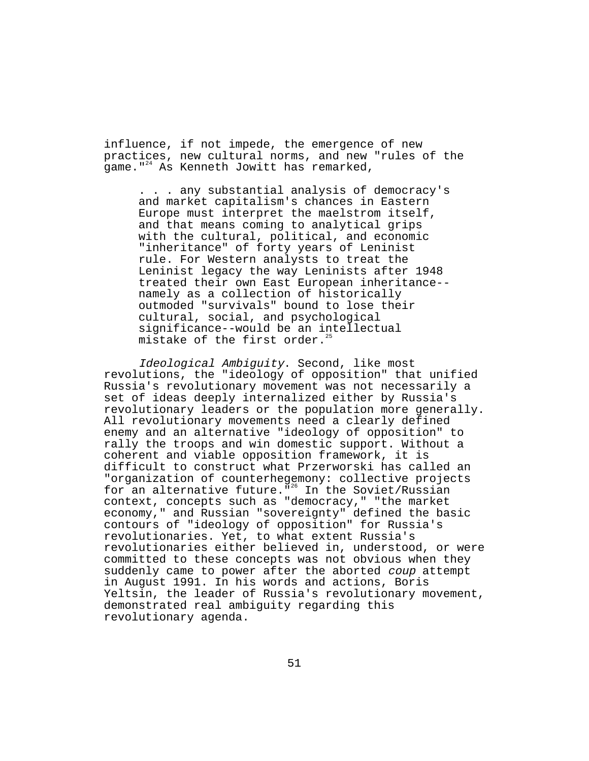influence, if not impede, the emergence of new practices, new cultural norms, and new "rules of the game." $^{24}$  As Kenneth Jowitt has remarked,

. . . any substantial analysis of democracy's and market capitalism's chances in Eastern Europe must interpret the maelstrom itself, and that means coming to analytical grips with the cultural, political, and economic "inheritance" of forty years of Leninist rule. For Western analysts to treat the Leninist legacy the way Leninists after 1948 treated their own East European inheritance- namely as a collection of historically outmoded "survivals" bound to lose their cultural, social, and psychological significance--would be an intellectual mistake of the first order.<sup>2</sup>

Ideological Ambiguity. Second, like most revolutions, the "ideology of opposition" that unified Russia's revolutionary movement was not necessarily a set of ideas deeply internalized either by Russia's revolutionary leaders or the population more generally. All revolutionary movements need a clearly defined enemy and an alternative "ideology of opposition" to rally the troops and win domestic support. Without a coherent and viable opposition framework, it is difficult to construct what Przerworski has called an "organization of counterhegemony: collective projects for an alternative future.  $\frac{1}{10}$  In the Soviet/Russian context, concepts such as "democracy," "the market economy," and Russian "sovereignty" defined the basic contours of "ideology of opposition" for Russia's revolutionaries. Yet, to what extent Russia's revolutionaries either believed in, understood, or were committed to these concepts was not obvious when they suddenly came to power after the aborted coup attempt in August 1991. In his words and actions, Boris Yeltsin, the leader of Russia's revolutionary movement, demonstrated real ambiguity regarding this revolutionary agenda.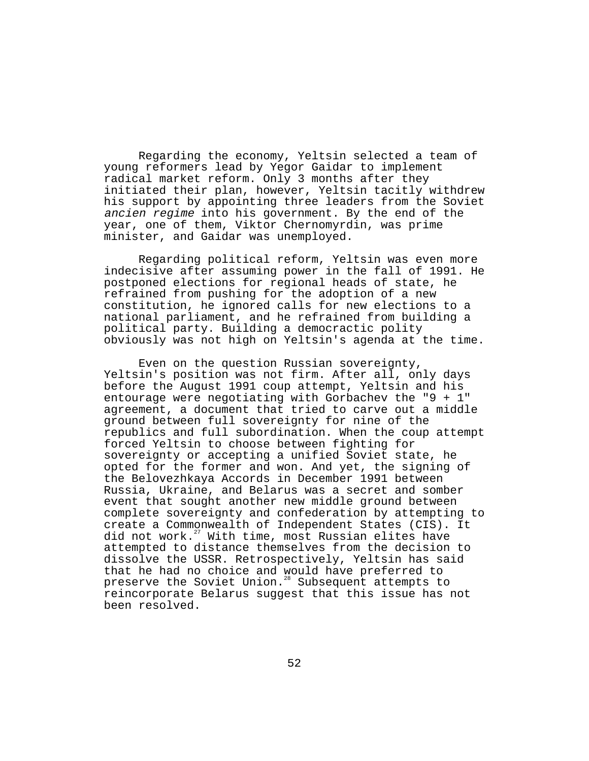Regarding the economy, Yeltsin selected a team of young reformers lead by Yegor Gaidar to implement radical market reform. Only 3 months after they initiated their plan, however, Yeltsin tacitly withdrew his support by appointing three leaders from the Soviet ancien regime into his government. By the end of the year, one of them, Viktor Chernomyrdin, was prime minister, and Gaidar was unemployed.

Regarding political reform, Yeltsin was even more indecisive after assuming power in the fall of 1991. He postponed elections for regional heads of state, he refrained from pushing for the adoption of a new constitution, he ignored calls for new elections to a national parliament, and he refrained from building a political party. Building a democractic polity obviously was not high on Yeltsin's agenda at the time.

Even on the question Russian sovereignty, Yeltsin's position was not firm. After all, only days before the August 1991 coup attempt, Yeltsin and his entourage were negotiating with Gorbachev the "9 + 1" agreement, a document that tried to carve out a middle ground between full sovereignty for nine of the republics and full subordination. When the coup attempt forced Yeltsin to choose between fighting for sovereignty or accepting a unified Soviet state, he opted for the former and won. And yet, the signing of the Belovezhkaya Accords in December 1991 between Russia, Ukraine, and Belarus was a secret and somber event that sought another new middle ground between complete sovereignty and confederation by attempting to create a Commonwealth of Independent States (CIS). It did not work.<sup>27</sup> With time, most Russian elites have attempted to distance themselves from the decision to dissolve the USSR. Retrospectively, Yeltsin has said that he had no choice and would have preferred to preserve the Soviet Union.<sup>28</sup> Subsequent attempts to reincorporate Belarus suggest that this issue has not been resolved.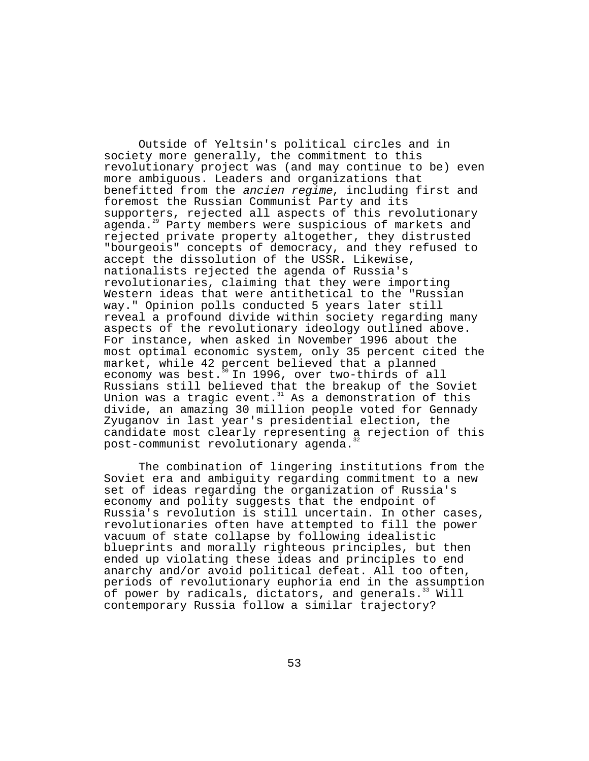Outside of Yeltsin's political circles and in society more generally, the commitment to this revolutionary project was (and may continue to be) even more ambiguous. Leaders and organizations that benefitted from the ancien regime, including first and foremost the Russian Communist Party and its supporters, rejected all aspects of this revolutionary agenda.<sup>29</sup> Party members were suspicious of markets and rejected private property altogether, they distrusted "bourgeois" concepts of democracy, and they refused to accept the dissolution of the USSR. Likewise, nationalists rejected the agenda of Russia's revolutionaries, claiming that they were importing Western ideas that were antithetical to the "Russian way." Opinion polls conducted 5 years later still reveal a profound divide within society regarding many aspects of the revolutionary ideology outlined above. For instance, when asked in November 1996 about the most optimal economic system, only 35 percent cited the market, while 42 percent believed that a planned economy was best. $30$  In 1996, over two-thirds of all Russians still believed that the breakup of the Soviet Union was a tragic event.<sup>31</sup> As a demonstration of this divide, an amazing 30 million people voted for Gennady Zyuganov in last year's presidential election, the candidate most clearly representing a rejection of this post-communist revolutionary agenda.

The combination of lingering institutions from the Soviet era and ambiguity regarding commitment to a new set of ideas regarding the organization of Russia's economy and polity suggests that the endpoint of Russia's revolution is still uncertain. In other cases, revolutionaries often have attempted to fill the power vacuum of state collapse by following idealistic blueprints and morally righteous principles, but then ended up violating these ideas and principles to end anarchy and/or avoid political defeat. All too often, periods of revolutionary euphoria end in the assumption of power by radicals, dictators, and generals.<sup>33</sup> Will contemporary Russia follow a similar trajectory?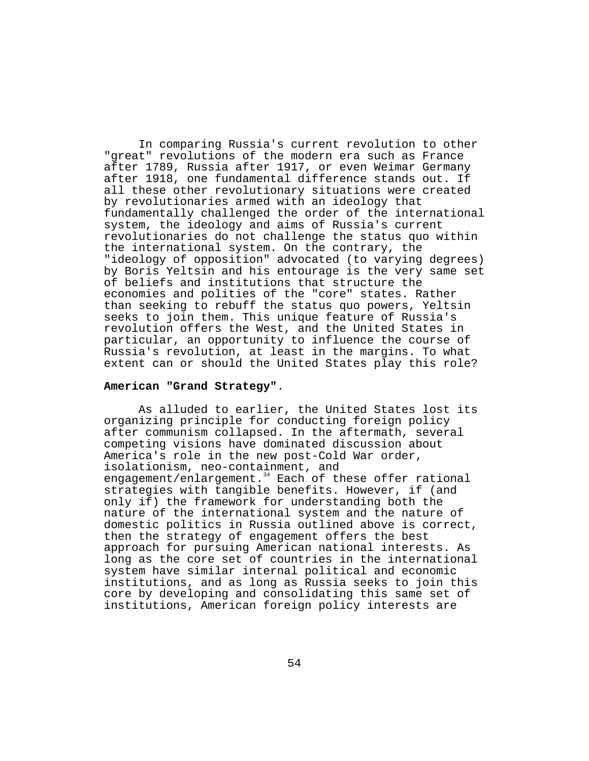In comparing Russia's current revolution to other "great" revolutions of the modern era such as France after 1789, Russia after 1917, or even Weimar Germany after 1918, one fundamental difference stands out. If all these other revolutionary situations were created by revolutionaries armed with an ideology that fundamentally challenged the order of the international system, the ideology and aims of Russia's current revolutionaries do not challenge the status quo within the international system. On the contrary, the "ideology of opposition" advocated (to varying degrees) by Boris Yeltsin and his entourage is the very same set of beliefs and institutions that structure the economies and polities of the "core" states. Rather than seeking to rebuff the status quo powers, Yeltsin seeks to join them. This unique feature of Russia's revolution offers the West, and the United States in particular, an opportunity to influence the course of Russia's revolution, at least in the margins. To what extent can or should the United States play this role?

### **American "Grand Strategy"**.

As alluded to earlier, the United States lost its organizing principle for conducting foreign policy after communism collapsed. In the aftermath, several competing visions have dominated discussion about America's role in the new post-Cold War order, isolationism, neo-containment, and engagement/enlargement.<sup>34</sup> Each of these offer rational strategies with tangible benefits. However, if (and only if) the framework for understanding both the nature of the international system and the nature of domestic politics in Russia outlined above is correct, then the strategy of engagement offers the best approach for pursuing American national interests. As long as the core set of countries in the international system have similar internal political and economic institutions, and as long as Russia seeks to join this core by developing and consolidating this same set of institutions, American foreign policy interests are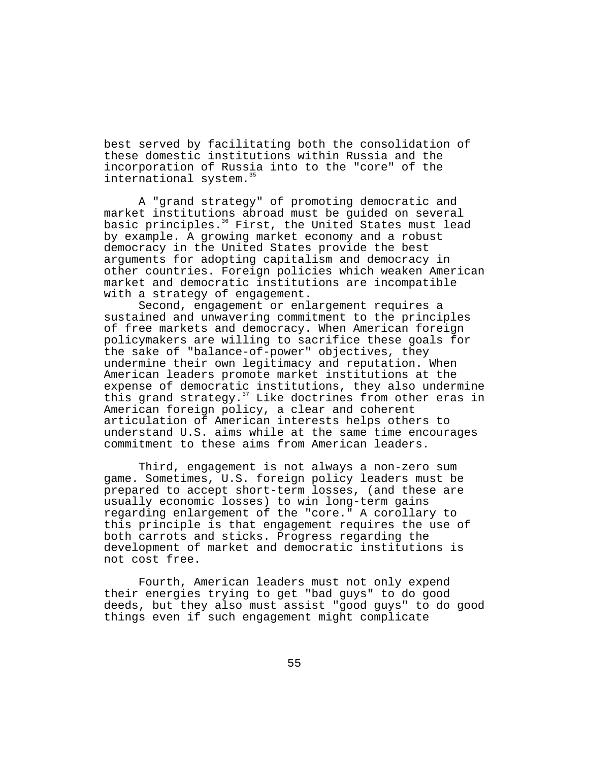best served by facilitating both the consolidation of these domestic institutions within Russia and the incorporation of Russia into to the "core" of the international system.<sup>35</sup>

A "grand strategy" of promoting democratic and market institutions abroad must be guided on several basic principles.<sup>36</sup> First, the United States must lead by example. A growing market economy and a robust democracy in the United States provide the best arguments for adopting capitalism and democracy in other countries. Foreign policies which weaken American market and democratic institutions are incompatible with a strategy of engagement.

Second, engagement or enlargement requires a sustained and unwavering commitment to the principles of free markets and democracy. When American foreign policymakers are willing to sacrifice these goals for the sake of "balance-of-power" objectives, they undermine their own legitimacy and reputation. When American leaders promote market institutions at the expense of democratic institutions, they also undermine this grand strategy.<sup>37</sup> Like doctrines from other eras in American foreign policy, a clear and coherent articulation of American interests helps others to understand U.S. aims while at the same time encourages commitment to these aims from American leaders.

Third, engagement is not always a non-zero sum game. Sometimes, U.S. foreign policy leaders must be prepared to accept short-term losses, (and these are usually economic losses) to win long-term gains regarding enlargement of the "core." A corollary to this principle is that engagement requires the use of both carrots and sticks. Progress regarding the development of market and democratic institutions is not cost free.

Fourth, American leaders must not only expend their energies trying to get "bad guys" to do good deeds, but they also must assist "good guys" to do good things even if such engagement might complicate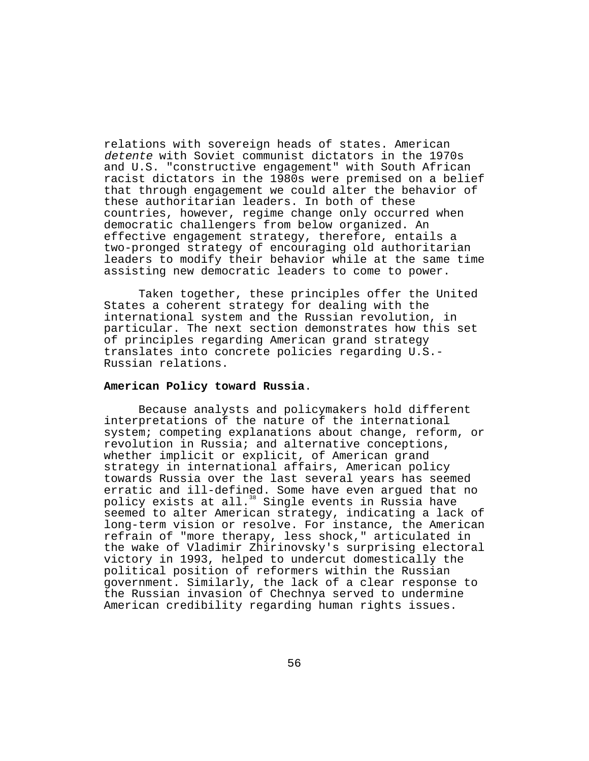relations with sovereign heads of states. American detente with Soviet communist dictators in the 1970s and U.S. "constructive engagement" with South African racist dictators in the 1980s were premised on a belief that through engagement we could alter the behavior of these authoritarian leaders. In both of these countries, however, regime change only occurred when democratic challengers from below organized. An effective engagement strategy, therefore, entails a two-pronged strategy of encouraging old authoritarian leaders to modify their behavior while at the same time assisting new democratic leaders to come to power.

Taken together, these principles offer the United States a coherent strategy for dealing with the international system and the Russian revolution, in particular. The next section demonstrates how this set of principles regarding American grand strategy translates into concrete policies regarding U.S.- Russian relations.

### **American Policy toward Russia**.

Because analysts and policymakers hold different interpretations of the nature of the international system; competing explanations about change, reform, or revolution in Russia; and alternative conceptions, whether implicit or explicit, of American grand strategy in international affairs, American policy towards Russia over the last several years has seemed erratic and ill-defined. Some have even argued that no policy exists at all.<sup>38</sup> Single events in Russia have seemed to alter American strategy, indicating a lack of long-term vision or resolve. For instance, the American refrain of "more therapy, less shock," articulated in the wake of Vladimir Zhirinovsky's surprising electoral victory in 1993, helped to undercut domestically the political position of reformers within the Russian government. Similarly, the lack of a clear response to the Russian invasion of Chechnya served to undermine American credibility regarding human rights issues.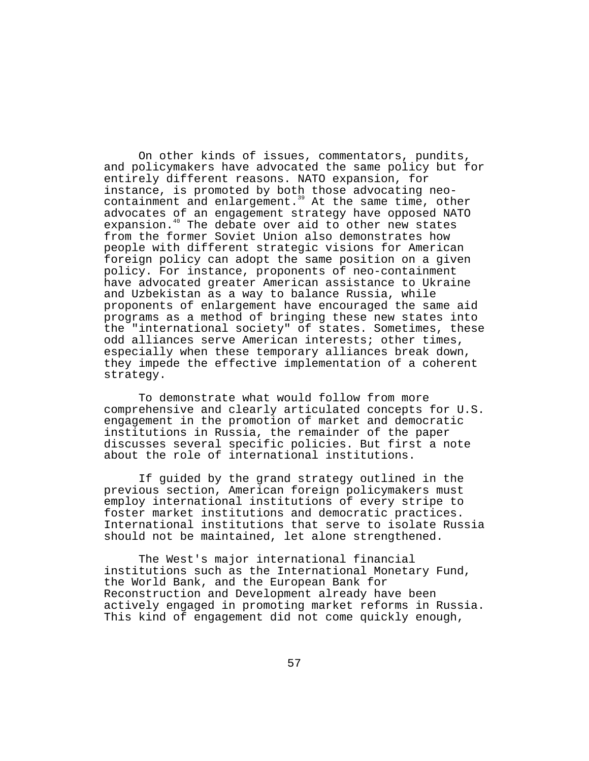On other kinds of issues, commentators, pundits, and policymakers have advocated the same policy but for entirely different reasons. NATO expansion, for instance, is promoted by both those advocating neocontainment and enlargement.<sup>39</sup> At the same time, other advocates of an engagement strategy have opposed NATO expansion.<sup>40</sup> The debate over aid to other new states from the former Soviet Union also demonstrates how people with different strategic visions for American foreign policy can adopt the same position on a given policy. For instance, proponents of neo-containment have advocated greater American assistance to Ukraine and Uzbekistan as a way to balance Russia, while proponents of enlargement have encouraged the same aid programs as a method of bringing these new states into the "international society" of states. Sometimes, these odd alliances serve American interests; other times, especially when these temporary alliances break down, they impede the effective implementation of a coherent strategy.

To demonstrate what would follow from more comprehensive and clearly articulated concepts for U.S. engagement in the promotion of market and democratic institutions in Russia, the remainder of the paper discusses several specific policies. But first a note about the role of international institutions.

If guided by the grand strategy outlined in the previous section, American foreign policymakers must employ international institutions of every stripe to foster market institutions and democratic practices. International institutions that serve to isolate Russia should not be maintained, let alone strengthened.

The West's major international financial institutions such as the International Monetary Fund, the World Bank, and the European Bank for Reconstruction and Development already have been actively engaged in promoting market reforms in Russia. This kind of engagement did not come quickly enough,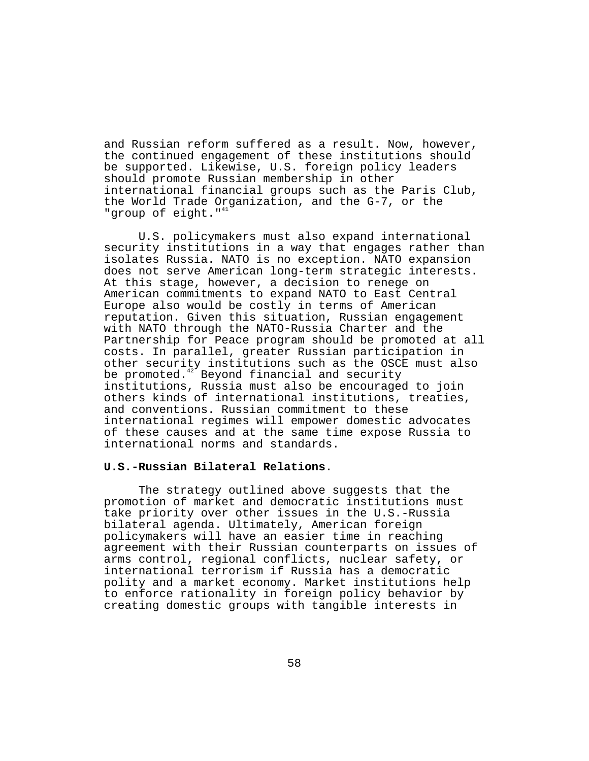and Russian reform suffered as a result. Now, however, the continued engagement of these institutions should be supported. Likewise, U.S. foreign policy leaders should promote Russian membership in other international financial groups such as the Paris Club, the World Trade Organization, and the G-7, or the "group of eight."<sup>41</sup>

U.S. policymakers must also expand international security institutions in a way that engages rather than isolates Russia. NATO is no exception. NATO expansion does not serve American long-term strategic interests. At this stage, however, a decision to renege on American commitments to expand NATO to East Central Europe also would be costly in terms of American reputation. Given this situation, Russian engagement with NATO through the NATO-Russia Charter and the Partnership for Peace program should be promoted at all costs. In parallel, greater Russian participation in other security institutions such as the OSCE must also be promoted.<sup>42</sup> Beyond financial and security institutions, Russia must also be encouraged to join others kinds of international institutions, treaties, and conventions. Russian commitment to these international regimes will empower domestic advocates of these causes and at the same time expose Russia to international norms and standards.

# **U.S.-Russian Bilateral Relations**.

The strategy outlined above suggests that the promotion of market and democratic institutions must take priority over other issues in the U.S.-Russia bilateral agenda. Ultimately, American foreign policymakers will have an easier time in reaching agreement with their Russian counterparts on issues of arms control, regional conflicts, nuclear safety, or international terrorism if Russia has a democratic polity and a market economy. Market institutions help to enforce rationality in foreign policy behavior by creating domestic groups with tangible interests in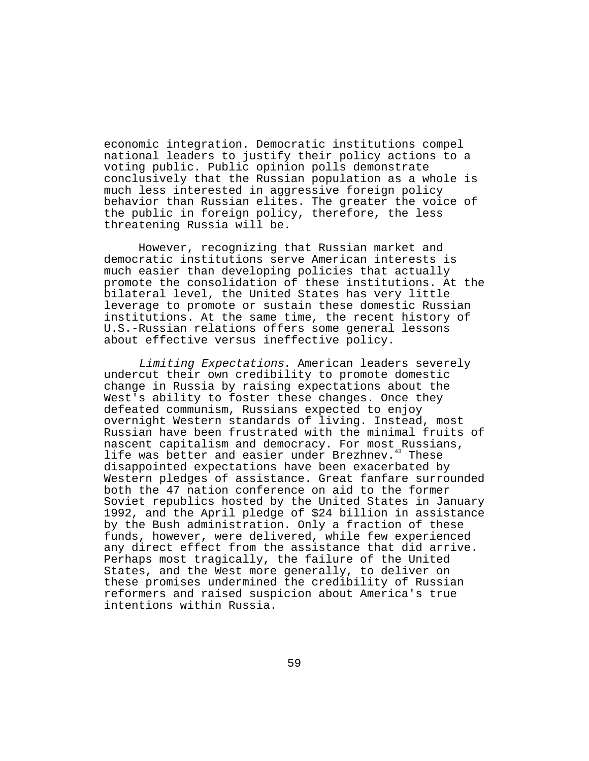economic integration. Democratic institutions compel national leaders to justify their policy actions to a voting public. Public opinion polls demonstrate conclusively that the Russian population as a whole is much less interested in aggressive foreign policy behavior than Russian elites. The greater the voice of the public in foreign policy, therefore, the less threatening Russia will be.

However, recognizing that Russian market and democratic institutions serve American interests is much easier than developing policies that actually promote the consolidation of these institutions. At the bilateral level, the United States has very little leverage to promote or sustain these domestic Russian institutions. At the same time, the recent history of U.S.-Russian relations offers some general lessons about effective versus ineffective policy.

Limiting Expectations. American leaders severely undercut their own credibility to promote domestic change in Russia by raising expectations about the West's ability to foster these changes. Once they defeated communism, Russians expected to enjoy overnight Western standards of living. Instead, most Russian have been frustrated with the minimal fruits of nascent capitalism and democracy. For most Russians, life was better and easier under Brezhnev.<sup>43</sup> These disappointed expectations have been exacerbated by Western pledges of assistance. Great fanfare surrounded both the 47 nation conference on aid to the former Soviet republics hosted by the United States in January 1992, and the April pledge of \$24 billion in assistance by the Bush administration. Only a fraction of these funds, however, were delivered, while few experienced any direct effect from the assistance that did arrive. Perhaps most tragically, the failure of the United States, and the West more generally, to deliver on these promises undermined the credibility of Russian reformers and raised suspicion about America's true intentions within Russia.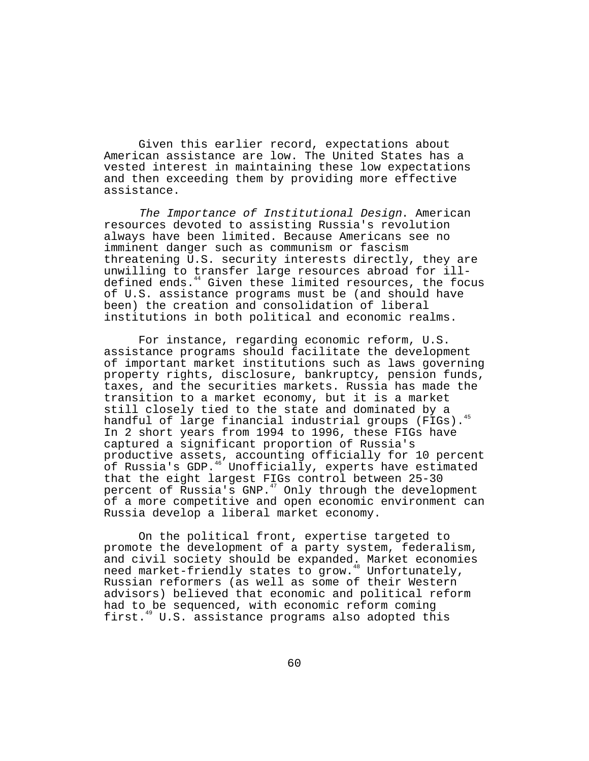Given this earlier record, expectations about American assistance are low. The United States has a vested interest in maintaining these low expectations and then exceeding them by providing more effective assistance.

The Importance of Institutional Design. American resources devoted to assisting Russia's revolution always have been limited. Because Americans see no imminent danger such as communism or fascism threatening U.S. security interests directly, they are unwilling to transfer large resources abroad for illdefined ends.<sup>44</sup> Given these limited resources, the focus of U.S. assistance programs must be (and should have been) the creation and consolidation of liberal institutions in both political and economic realms.

For instance, regarding economic reform, U.S. assistance programs should facilitate the development of important market institutions such as laws governing property rights, disclosure, bankruptcy, pension funds, taxes, and the securities markets. Russia has made the transition to a market economy, but it is a market still closely tied to the state and dominated by a handful of large financial industrial groups (FIGs).<sup>45</sup> In 2 short years from 1994 to 1996, these FIGs have captured a significant proportion of Russia's productive assets, accounting officially for 10 percent of Russia's GDP.<sup>46</sup> Unofficially, experts have estimated that the eight largest FIGs control between 25-30 percent of Russia's GNP.<sup>47</sup> Only through the development of a more competitive and open economic environment can Russia develop a liberal market economy.

On the political front, expertise targeted to promote the development of a party system, federalism, and civil society should be expanded. Market economies need market-friendly states to grow.<sup>48</sup> Unfortunately, Russian reformers (as well as some of their Western advisors) believed that economic and political reform had to be sequenced, with economic reform coming first.49 U.S. assistance programs also adopted this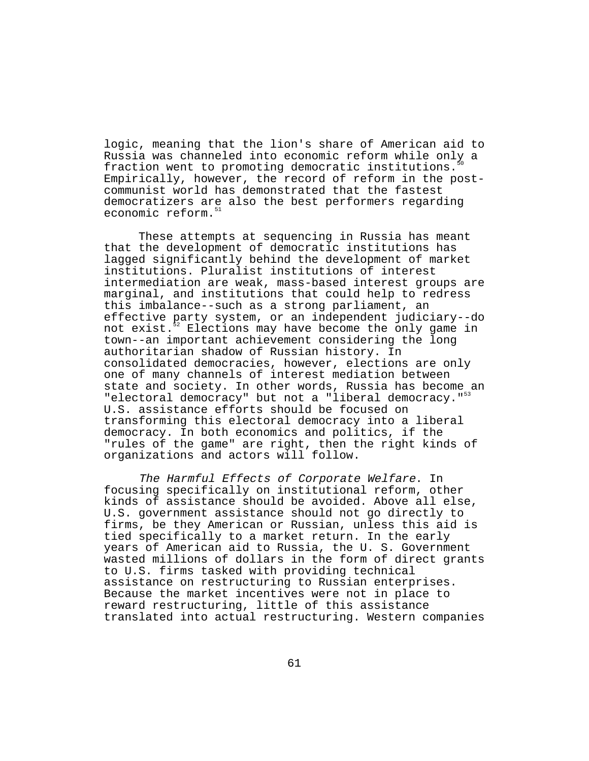logic, meaning that the lion's share of American aid to Russia was channeled into economic reform while only a fraction went to promoting democratic institutions. Empirically, however, the record of reform in the postcommunist world has demonstrated that the fastest democratizers are also the best performers regarding economic reform.<sup>51</sup>

These attempts at sequencing in Russia has meant that the development of democratic institutions has lagged significantly behind the development of market institutions. Pluralist institutions of interest intermediation are weak, mass-based interest groups are marginal, and institutions that could help to redress this imbalance--such as a strong parliament, an effective party system, or an independent judiciary--do not exist.<sup>52</sup> Elections may have become the only game in town--an important achievement considering the long authoritarian shadow of Russian history. In consolidated democracies, however, elections are only one of many channels of interest mediation between state and society. In other words, Russia has become an "electoral democracy" but not a "liberal democracy."<sup>53</sup> U.S. assistance efforts should be focused on transforming this electoral democracy into a liberal democracy. In both economics and politics, if the "rules of the game" are right, then the right kinds of organizations and actors will follow.

The Harmful Effects of Corporate Welfare. In focusing specifically on institutional reform, other kinds of assistance should be avoided. Above all else, U.S. government assistance should not go directly to firms, be they American or Russian, unless this aid is tied specifically to a market return. In the early years of American aid to Russia, the U. S. Government wasted millions of dollars in the form of direct grants to U.S. firms tasked with providing technical assistance on restructuring to Russian enterprises. Because the market incentives were not in place to reward restructuring, little of this assistance translated into actual restructuring. Western companies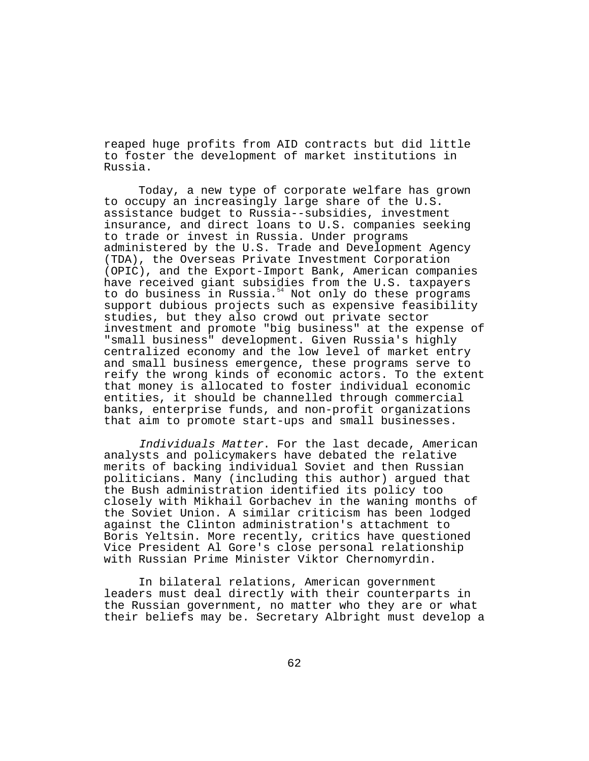reaped huge profits from AID contracts but did little to foster the development of market institutions in Russia.

Today, a new type of corporate welfare has grown to occupy an increasingly large share of the U.S. assistance budget to Russia--subsidies, investment insurance, and direct loans to U.S. companies seeking to trade or invest in Russia. Under programs administered by the U.S. Trade and Development Agency (TDA), the Overseas Private Investment Corporation (OPIC), and the Export-Import Bank, American companies have received giant subsidies from the U.S. taxpayers to do business in Russia.<sup>54</sup> Not only do these programs support dubious projects such as expensive feasibility studies, but they also crowd out private sector investment and promote "big business" at the expense of "small business" development. Given Russia's highly centralized economy and the low level of market entry and small business emergence, these programs serve to reify the wrong kinds of economic actors. To the extent that money is allocated to foster individual economic entities, it should be channelled through commercial banks, enterprise funds, and non-profit organizations that aim to promote start-ups and small businesses.

Individuals Matter. For the last decade, American analysts and policymakers have debated the relative merits of backing individual Soviet and then Russian politicians. Many (including this author) argued that the Bush administration identified its policy too closely with Mikhail Gorbachev in the waning months of the Soviet Union. A similar criticism has been lodged against the Clinton administration's attachment to Boris Yeltsin. More recently, critics have questioned Vice President Al Gore's close personal relationship with Russian Prime Minister Viktor Chernomyrdin.

In bilateral relations, American government leaders must deal directly with their counterparts in the Russian government, no matter who they are or what their beliefs may be. Secretary Albright must develop a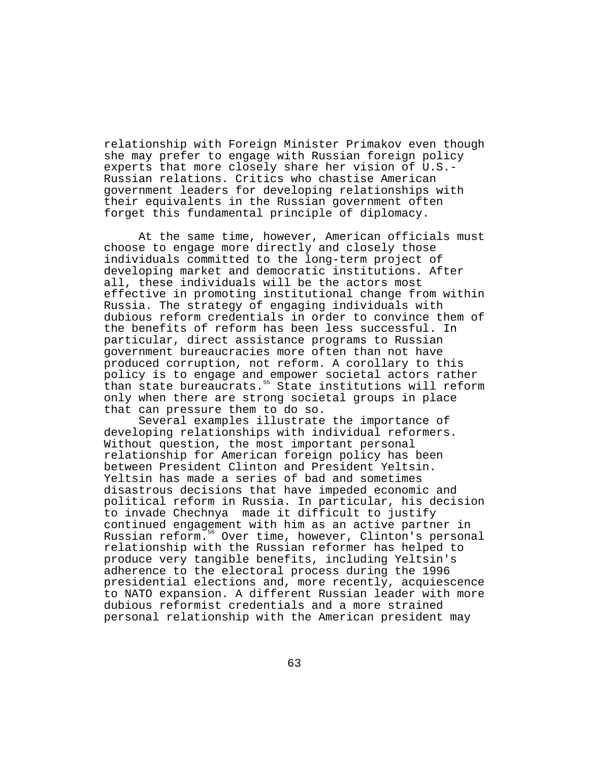relationship with Foreign Minister Primakov even though she may prefer to engage with Russian foreign policy experts that more closely share her vision of U.S.- Russian relations. Critics who chastise American government leaders for developing relationships with their equivalents in the Russian government often forget this fundamental principle of diplomacy.

At the same time, however, American officials must choose to engage more directly and closely those individuals committed to the long-term project of developing market and democratic institutions. After all, these individuals will be the actors most effective in promoting institutional change from within Russia. The strategy of engaging individuals with dubious reform credentials in order to convince them of the benefits of reform has been less successful. In particular, direct assistance programs to Russian government bureaucracies more often than not have produced corruption, not reform. A corollary to this policy is to engage and empower societal actors rather than state bureaucrats.<sup>55</sup> State institutions will reform only when there are strong societal groups in place that can pressure them to do so.

Several examples illustrate the importance of developing relationships with individual reformers. Without question, the most important personal relationship for American foreign policy has been between President Clinton and President Yeltsin. Yeltsin has made a series of bad and sometimes disastrous decisions that have impeded economic and political reform in Russia. In particular, his decision to invade Chechnya made it difficult to justify continued engagement with him as an active partner in Russian reform.<sup>56</sup> Over time, however, Clinton's personal relationship with the Russian reformer has helped to produce very tangible benefits, including Yeltsin's adherence to the electoral process during the 1996 presidential elections and, more recently, acquiescence to NATO expansion. A different Russian leader with more dubious reformist credentials and a more strained personal relationship with the American president may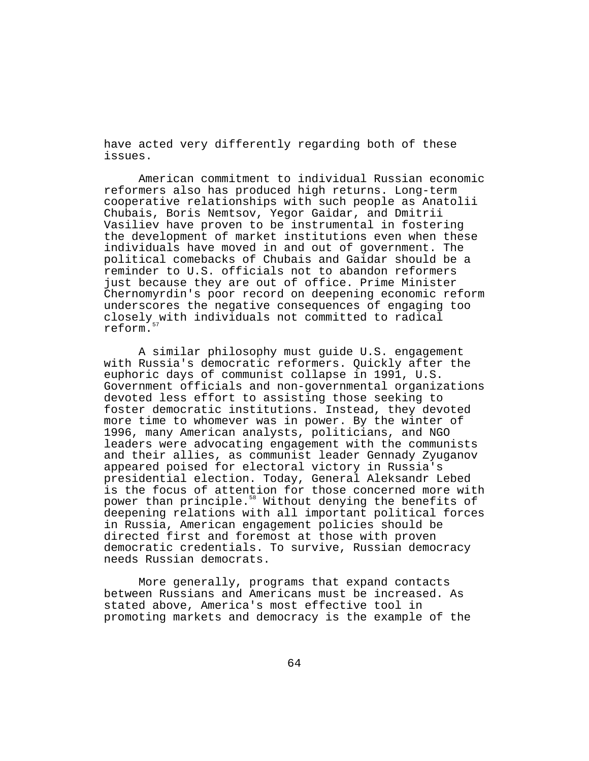have acted very differently regarding both of these issues.

American commitment to individual Russian economic reformers also has produced high returns. Long-term cooperative relationships with such people as Anatolii Chubais, Boris Nemtsov, Yegor Gaidar, and Dmitrii Vasiliev have proven to be instrumental in fostering the development of market institutions even when these individuals have moved in and out of government. The political comebacks of Chubais and Gaidar should be a reminder to U.S. officials not to abandon reformers just because they are out of office. Prime Minister Chernomyrdin's poor record on deepening economic reform underscores the negative consequences of engaging too closely with individuals not committed to radical reform.

A similar philosophy must guide U.S. engagement with Russia's democratic reformers. Quickly after the euphoric days of communist collapse in 1991, U.S. Government officials and non-governmental organizations devoted less effort to assisting those seeking to foster democratic institutions. Instead, they devoted more time to whomever was in power. By the winter of 1996, many American analysts, politicians, and NGO leaders were advocating engagement with the communists and their allies, as communist leader Gennady Zyuganov appeared poised for electoral victory in Russia's presidential election. Today, General Aleksandr Lebed is the focus of attention for those concerned more with power than principle.<sup>58</sup> Without denying the benefits of deepening relations with all important political forces in Russia, American engagement policies should be directed first and foremost at those with proven democratic credentials. To survive, Russian democracy needs Russian democrats.

More generally, programs that expand contacts between Russians and Americans must be increased. As stated above, America's most effective tool in promoting markets and democracy is the example of the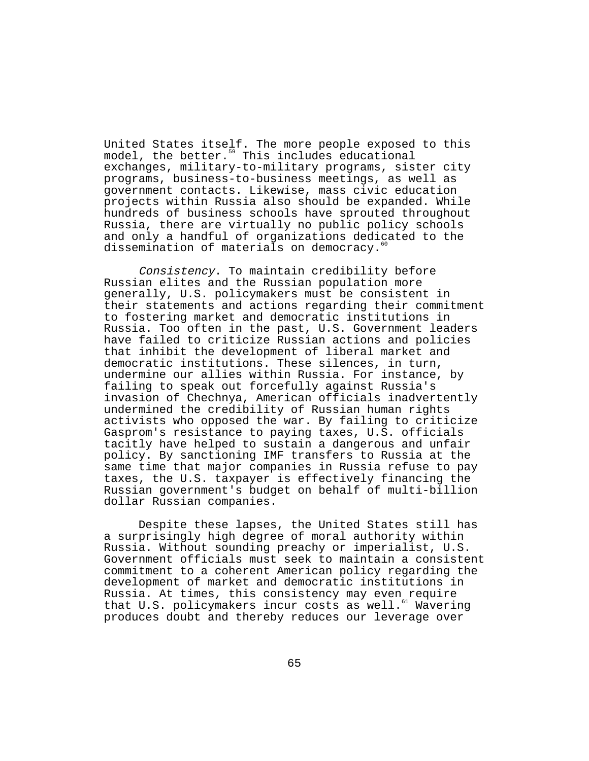United States itself. The more people exposed to this model, the better.<sup>59</sup> This includes educational exchanges, military-to-military programs, sister city programs, business-to-business meetings, as well as government contacts. Likewise, mass civic education projects within Russia also should be expanded. While hundreds of business schools have sprouted throughout Russia, there are virtually no public policy schools and only a handful of organizations dedicated to the dissemination of materials on democracy.<sup>6</sup>

Consistency. To maintain credibility before Russian elites and the Russian population more generally, U.S. policymakers must be consistent in their statements and actions regarding their commitment to fostering market and democratic institutions in Russia. Too often in the past, U.S. Government leaders have failed to criticize Russian actions and policies that inhibit the development of liberal market and democratic institutions. These silences, in turn, undermine our allies within Russia. For instance, by failing to speak out forcefully against Russia's invasion of Chechnya, American officials inadvertently undermined the credibility of Russian human rights activists who opposed the war. By failing to criticize Gasprom's resistance to paying taxes, U.S. officials tacitly have helped to sustain a dangerous and unfair policy. By sanctioning IMF transfers to Russia at the same time that major companies in Russia refuse to pay taxes, the U.S. taxpayer is effectively financing the Russian government's budget on behalf of multi-billion dollar Russian companies.

Despite these lapses, the United States still has a surprisingly high degree of moral authority within Russia. Without sounding preachy or imperialist, U.S. Government officials must seek to maintain a consistent commitment to a coherent American policy regarding the development of market and democratic institutions in Russia. At times, this consistency may even require that U.S. policymakers incur costs as well. $^{61}$  Wavering produces doubt and thereby reduces our leverage over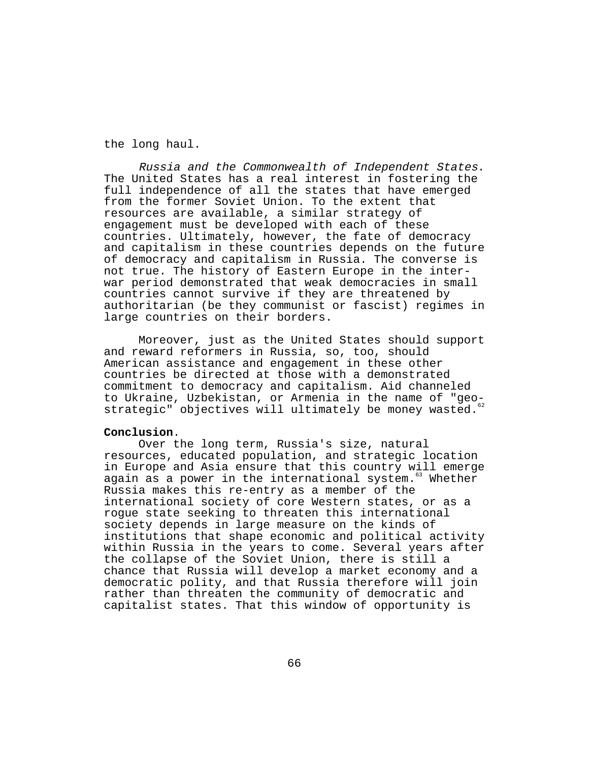the long haul.

Russia and the Commonwealth of Independent States. The United States has a real interest in fostering the full independence of all the states that have emerged from the former Soviet Union. To the extent that resources are available, a similar strategy of engagement must be developed with each of these countries. Ultimately, however, the fate of democracy and capitalism in these countries depends on the future of democracy and capitalism in Russia. The converse is not true. The history of Eastern Europe in the interwar period demonstrated that weak democracies in small countries cannot survive if they are threatened by authoritarian (be they communist or fascist) regimes in large countries on their borders.

Moreover, just as the United States should support and reward reformers in Russia, so, too, should American assistance and engagement in these other countries be directed at those with a demonstrated commitment to democracy and capitalism. Aid channeled to Ukraine, Uzbekistan, or Armenia in the name of "geostrategic" objectives will ultimately be money wasted. $62$ 

## **Conclusion**.

Over the long term, Russia's size, natural resources, educated population, and strategic location in Europe and Asia ensure that this country will emerge again as a power in the international system.<sup>63</sup> Whether Russia makes this re-entry as a member of the international society of core Western states, or as a rogue state seeking to threaten this international society depends in large measure on the kinds of institutions that shape economic and political activity within Russia in the years to come. Several years after the collapse of the Soviet Union, there is still a chance that Russia will develop a market economy and a democratic polity, and that Russia therefore will join rather than threaten the community of democratic and capitalist states. That this window of opportunity is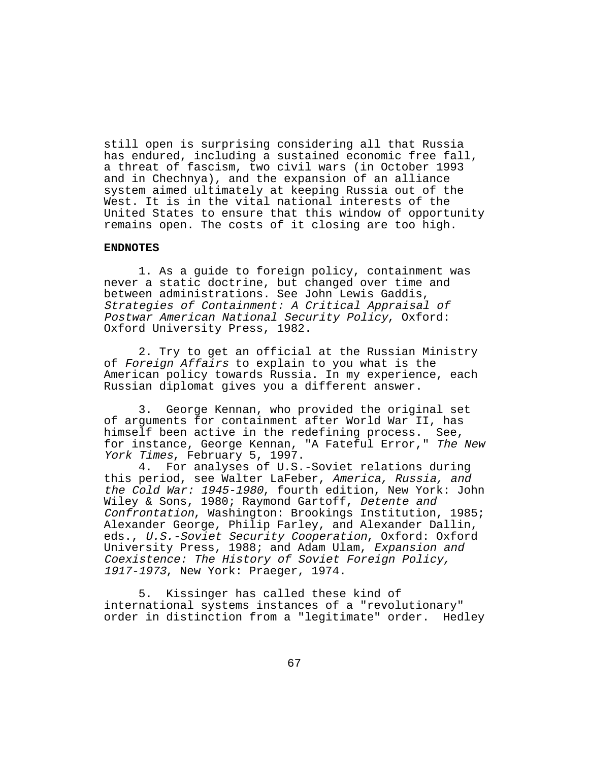still open is surprising considering all that Russia has endured, including a sustained economic free fall, a threat of fascism, two civil wars (in October 1993 and in Chechnya), and the expansion of an alliance system aimed ultimately at keeping Russia out of the West. It is in the vital national interests of the United States to ensure that this window of opportunity remains open. The costs of it closing are too high.

### **ENDNOTES**

1. As a guide to foreign policy, containment was never a static doctrine, but changed over time and between administrations. See John Lewis Gaddis, Strategies of Containment: A Critical Appraisal of Postwar American National Security Policy, Oxford: Oxford University Press, 1982.

2. Try to get an official at the Russian Ministry of Foreign Affairs to explain to you what is the American policy towards Russia. In my experience, each Russian diplomat gives you a different answer.

3. George Kennan, who provided the original set of arguments for containment after World War II, has himself been active in the redefining process. See, for instance, George Kennan, "A Fateful Error," The New York Times, February 5, 1997.<br>4. For analyses of U.S.

For analyses of U.S.-Soviet relations during this period, see Walter LaFeber, America, Russia, and the Cold War: 1945-1980, fourth edition, New York: John Wiley & Sons, 1980; Raymond Gartoff, Detente and Confrontation, Washington: Brookings Institution, 1985; Alexander George, Philip Farley, and Alexander Dallin, eds., U.S.-Soviet Security Cooperation, Oxford: Oxford University Press, 1988; and Adam Ulam, Expansion and Coexistence: The History of Soviet Foreign Policy, 1917-1973, New York: Praeger, 1974.

5. Kissinger has called these kind of international systems instances of a "revolutionary" order in distinction from a "legitimate" order. Hedley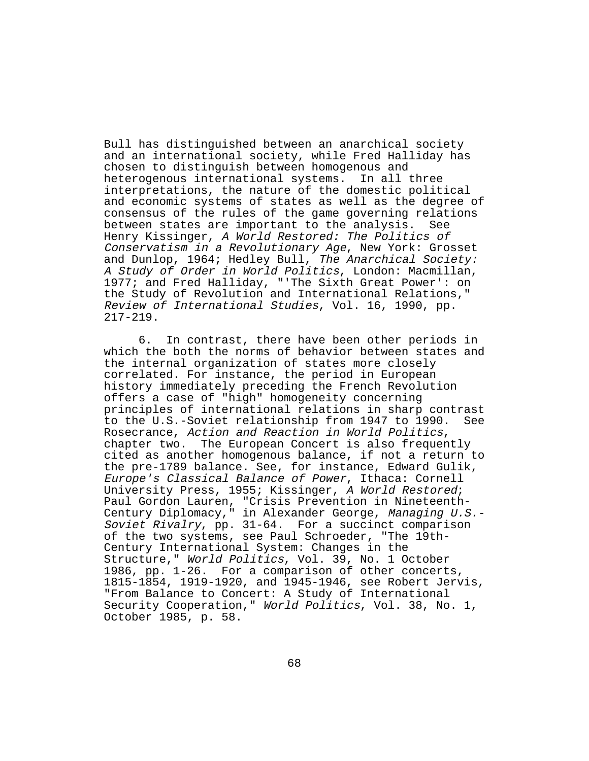Bull has distinguished between an anarchical society and an international society, while Fred Halliday has chosen to distinguish between homogenous and heterogenous international systems. In all three interpretations, the nature of the domestic political and economic systems of states as well as the degree of consensus of the rules of the game governing relations between states are important to the analysis. See Henry Kissinger, A World Restored: The Politics of Conservatism in a Revolutionary Age, New York: Grosset and Dunlop, 1964; Hedley Bull, The Anarchical Society: A Study of Order in World Politics, London: Macmillan, 1977; and Fred Halliday, "'The Sixth Great Power': on the Study of Revolution and International Relations," Review of International Studies, Vol. 16, 1990, pp. 217-219.

6. In contrast, there have been other periods in which the both the norms of behavior between states and the internal organization of states more closely correlated. For instance, the period in European history immediately preceding the French Revolution offers a case of "high" homogeneity concerning principles of international relations in sharp contrast to the U.S.-Soviet relationship from 1947 to 1990. See Rosecrance, Action and Reaction in World Politics, chapter two. The European Concert is also frequently cited as another homogenous balance, if not a return to the pre-1789 balance. See, for instance, Edward Gulik, Europe's Classical Balance of Power, Ithaca: Cornell University Press, 1955; Kissinger, A World Restored; Paul Gordon Lauren, "Crisis Prevention in Nineteenth-Century Diplomacy," in Alexander George, Managing U.S.- Soviet Rivalry, pp. 31-64. For a succinct comparison of the two systems, see Paul Schroeder, "The 19th-Century International System: Changes in the Structure," World Politics, Vol. 39, No. 1 October 1986, pp. 1-26. For a comparison of other concerts, 1815-1854, 1919-1920, and 1945-1946, see Robert Jervis, "From Balance to Concert: A Study of International Security Cooperation," World Politics, Vol. 38, No. 1, October 1985, p. 58.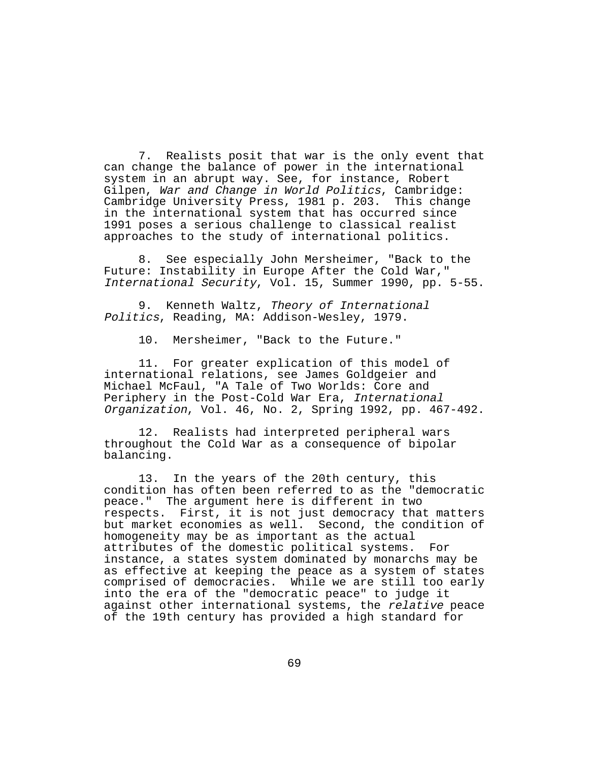7. Realists posit that war is the only event that can change the balance of power in the international system in an abrupt way. See, for instance, Robert Gilpen, War and Change in World Politics, Cambridge: Cambridge University Press, 1981 p. 203. This change in the international system that has occurred since 1991 poses a serious challenge to classical realist approaches to the study of international politics.

8. See especially John Mersheimer, "Back to the Future: Instability in Europe After the Cold War," International Security, Vol. 15, Summer 1990, pp. 5-55.

9. Kenneth Waltz, Theory of International Politics, Reading, MA: Addison-Wesley, 1979.

10. Mersheimer, "Back to the Future."

11. For greater explication of this model of international relations, see James Goldgeier and Michael McFaul, "A Tale of Two Worlds: Core and Periphery in the Post-Cold War Era, International Organization, Vol. 46, No. 2, Spring 1992, pp. 467-492.

12. Realists had interpreted peripheral wars throughout the Cold War as a consequence of bipolar balancing.

13. In the years of the 20th century, this condition has often been referred to as the "democratic peace." The argument here is different in two respects. First, it is not just democracy that matters but market economies as well. Second, the condition of homogeneity may be as important as the actual attributes of the domestic political systems. For instance, a states system dominated by monarchs may be as effective at keeping the peace as a system of states comprised of democracies. While we are still too early into the era of the "democratic peace" to judge it against other international systems, the relative peace of the 19th century has provided a high standard for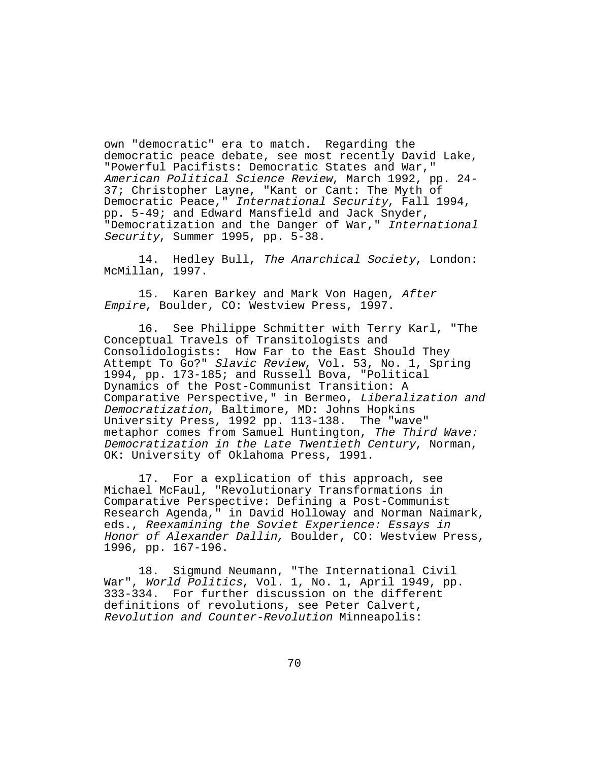own "democratic" era to match. Regarding the democratic peace debate, see most recently David Lake, "Powerful Pacifists: Democratic States and War," American Political Science Review, March 1992, pp. 24- 37; Christopher Layne, "Kant or Cant: The Myth of Democratic Peace," International Security, Fall 1994, pp. 5-49; and Edward Mansfield and Jack Snyder, "Democratization and the Danger of War," International Security, Summer 1995, pp. 5-38.

14. Hedley Bull, The Anarchical Society, London: McMillan, 1997.

15. Karen Barkey and Mark Von Hagen, After Empire, Boulder, CO: Westview Press, 1997.

16. See Philippe Schmitter with Terry Karl, "The Conceptual Travels of Transitologists and Consolidologists: How Far to the East Should They Attempt To Go?" Slavic Review, Vol. 53, No. 1, Spring 1994, pp. 173-185; and Russell Bova, "Political Dynamics of the Post-Communist Transition: A Comparative Perspective," in Bermeo, Liberalization and Democratization, Baltimore, MD: Johns Hopkins University Press, 1992 pp. 113-138. The "wave" metaphor comes from Samuel Huntington, The Third Wave: Democratization in the Late Twentieth Century, Norman, OK: University of Oklahoma Press, 1991.

17. For a explication of this approach, see Michael McFaul, "Revolutionary Transformations in Comparative Perspective: Defining a Post-Communist Research Agenda," in David Holloway and Norman Naimark, eds., Reexamining the Soviet Experience: Essays in Honor of Alexander Dallin, Boulder, CO: Westview Press, 1996, pp. 167-196.

18. Sigmund Neumann, "The International Civil War", World Politics, Vol. 1, No. 1, April 1949, pp. 333-334. For further discussion on the different definitions of revolutions, see Peter Calvert, Revolution and Counter-Revolution Minneapolis: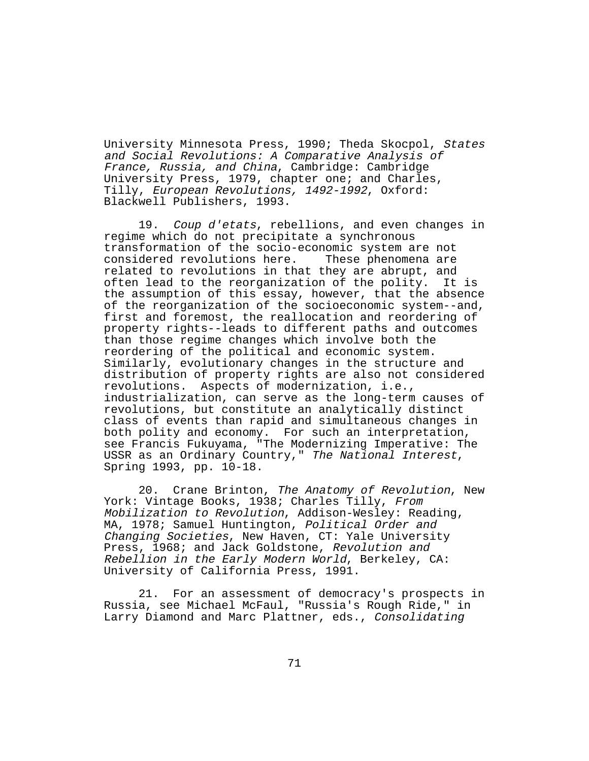University Minnesota Press, 1990; Theda Skocpol, States and Social Revolutions: A Comparative Analysis of France, Russia, and China, Cambridge: Cambridge University Press, 1979, chapter one; and Charles, Tilly, European Revolutions, 1492-1992, Oxford: Blackwell Publishers, 1993.

19. Coup d'etats, rebellions, and even changes in regime which do not precipitate a synchronous transformation of the socio-economic system are not considered revolutions here. These phenomena are related to revolutions in that they are abrupt, and often lead to the reorganization of the polity. It is the assumption of this essay, however, that the absence of the reorganization of the socioeconomic system--and, first and foremost, the reallocation and reordering of property rights--leads to different paths and outcomes than those regime changes which involve both the reordering of the political and economic system. Similarly, evolutionary changes in the structure and distribution of property rights are also not considered revolutions. Aspects of modernization, i.e., industrialization, can serve as the long-term causes of revolutions, but constitute an analytically distinct class of events than rapid and simultaneous changes in both polity and economy. For such an interpretation, see Francis Fukuyama, "The Modernizing Imperative: The USSR as an Ordinary Country," The National Interest, Spring 1993, pp. 10-18.

20. Crane Brinton, The Anatomy of Revolution, New York: Vintage Books, 1938; Charles Tilly, From Mobilization to Revolution, Addison-Wesley: Reading, MA, 1978; Samuel Huntington, Political Order and Changing Societies, New Haven, CT: Yale University Press, 1968; and Jack Goldstone, Revolution and Rebellion in the Early Modern World, Berkeley, CA: University of California Press, 1991.

21. For an assessment of democracy's prospects in Russia, see Michael McFaul, "Russia's Rough Ride," in Larry Diamond and Marc Plattner, eds., Consolidating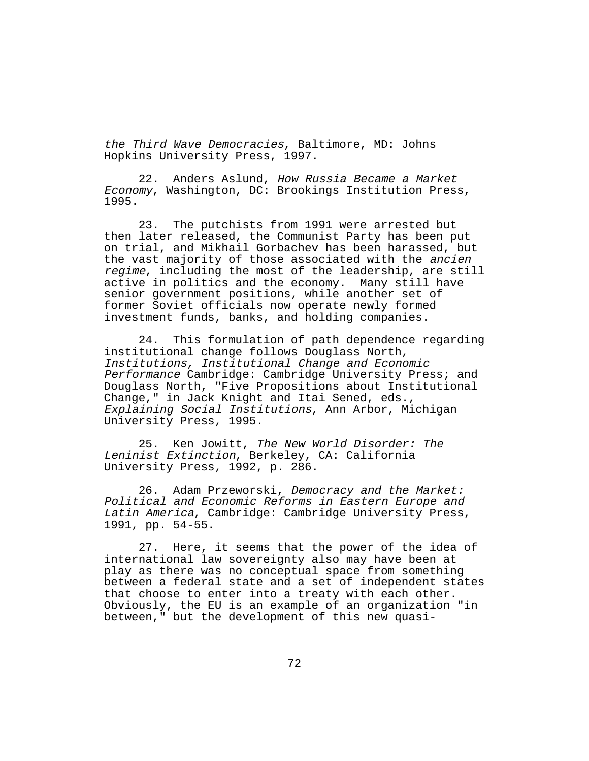the Third Wave Democracies, Baltimore, MD: Johns Hopkins University Press, 1997.

22. Anders Aslund, How Russia Became a Market Economy, Washington, DC: Brookings Institution Press, 1995.

23. The putchists from 1991 were arrested but then later released, the Communist Party has been put on trial, and Mikhail Gorbachev has been harassed, but the vast majority of those associated with the ancien regime, including the most of the leadership, are still active in politics and the economy. Many still have senior government positions, while another set of former Soviet officials now operate newly formed investment funds, banks, and holding companies.

24. This formulation of path dependence regarding institutional change follows Douglass North, Institutions, Institutional Change and Economic Performance Cambridge: Cambridge University Press; and Douglass North, "Five Propositions about Institutional Change," in Jack Knight and Itai Sened, eds., Explaining Social Institutions, Ann Arbor, Michigan University Press, 1995.

25. Ken Jowitt, The New World Disorder: The Leninist Extinction, Berkeley, CA: California University Press, 1992, p. 286.

26. Adam Przeworski, Democracy and the Market: Political and Economic Reforms in Eastern Europe and Latin America, Cambridge: Cambridge University Press, 1991, pp. 54-55.

27. Here, it seems that the power of the idea of international law sovereignty also may have been at play as there was no conceptual space from something between a federal state and a set of independent states that choose to enter into a treaty with each other. Obviously, the EU is an example of an organization "in between," but the development of this new quasi-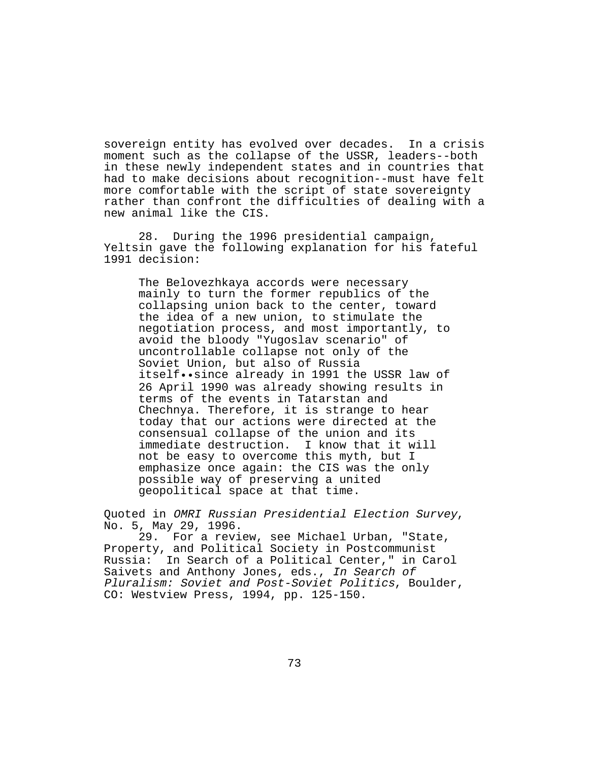sovereign entity has evolved over decades. In a crisis moment such as the collapse of the USSR, leaders--both in these newly independent states and in countries that had to make decisions about recognition--must have felt more comfortable with the script of state sovereignty rather than confront the difficulties of dealing with a new animal like the CIS.

28. During the 1996 presidential campaign, Yeltsin gave the following explanation for his fateful 1991 decision:

The Belovezhkaya accords were necessary mainly to turn the former republics of the collapsing union back to the center, toward the idea of a new union, to stimulate the negotiation process, and most importantly, to avoid the bloody "Yugoslav scenario" of uncontrollable collapse not only of the Soviet Union, but also of Russia itself••since already in 1991 the USSR law of 26 April 1990 was already showing results in terms of the events in Tatarstan and Chechnya. Therefore, it is strange to hear today that our actions were directed at the consensual collapse of the union and its<br>immediate destruction. I know that it will immediate destruction. not be easy to overcome this myth, but I emphasize once again: the CIS was the only possible way of preserving a united geopolitical space at that time.

Quoted in OMRI Russian Presidential Election Survey, No. 5, May 29, 1996.

29. For a review, see Michael Urban, "State, Property, and Political Society in Postcommunist Russia: In Search of a Political Center," in Carol Saivets and Anthony Jones, eds., In Search of Pluralism: Soviet and Post-Soviet Politics, Boulder, CO: Westview Press, 1994, pp. 125-150.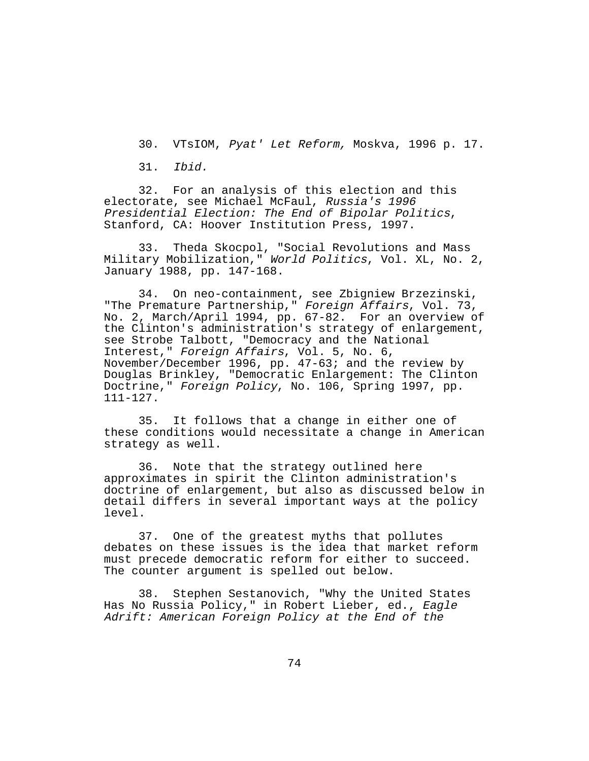30. VTsIOM, Pyat' Let Reform, Moskva, 1996 p. 17.

31. Ibid.

32. For an analysis of this election and this electorate, see Michael McFaul, Russia's 1996 Presidential Election: The End of Bipolar Politics, Stanford, CA: Hoover Institution Press, 1997.

33. Theda Skocpol, "Social Revolutions and Mass Military Mobilization," World Politics, Vol. XL, No. 2, January 1988, pp. 147-168.

34. On neo-containment, see Zbigniew Brzezinski, "The Premature Partnership," Foreign Affairs, Vol. 73, No. 2, March/April 1994, pp. 67-82. For an overview of the Clinton's administration's strategy of enlargement, see Strobe Talbott, "Democracy and the National Interest," Foreign Affairs, Vol. 5, No. 6, November/December 1996, pp. 47-63; and the review by Douglas Brinkley, "Democratic Enlargement: The Clinton Doctrine," Foreign Policy, No. 106, Spring 1997, pp. 111-127.

35. It follows that a change in either one of these conditions would necessitate a change in American strategy as well.

36. Note that the strategy outlined here approximates in spirit the Clinton administration's doctrine of enlargement, but also as discussed below in detail differs in several important ways at the policy level.

37. One of the greatest myths that pollutes debates on these issues is the idea that market reform must precede democratic reform for either to succeed. The counter argument is spelled out below.

38. Stephen Sestanovich, "Why the United States Has No Russia Policy," in Robert Lieber, ed., Eagle Adrift: American Foreign Policy at the End of the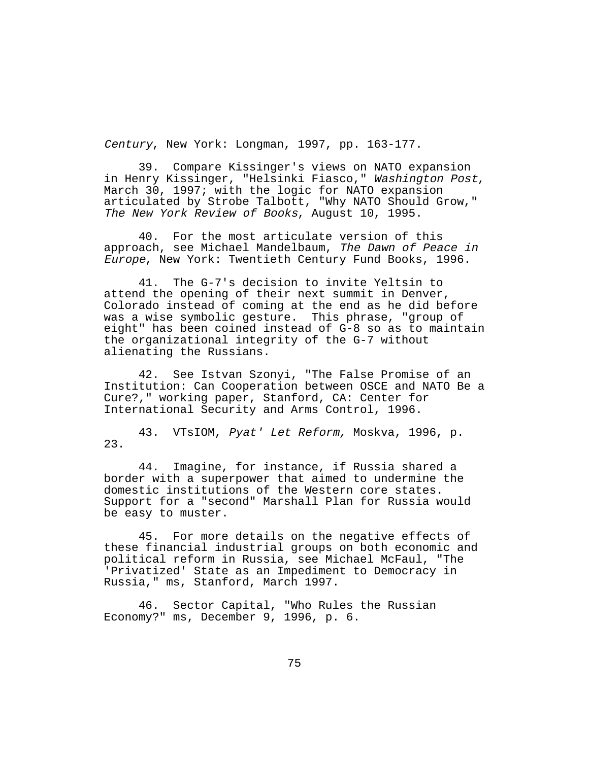Century, New York: Longman, 1997, pp. 163-177.

39. Compare Kissinger's views on NATO expansion in Henry Kissinger, "Helsinki Fiasco," Washington Post, March 30, 1997; with the logic for NATO expansion articulated by Strobe Talbott, "Why NATO Should Grow," The New York Review of Books, August 10, 1995.

40. For the most articulate version of this approach, see Michael Mandelbaum, The Dawn of Peace in Europe, New York: Twentieth Century Fund Books, 1996.

41. The G-7's decision to invite Yeltsin to attend the opening of their next summit in Denver, Colorado instead of coming at the end as he did before was a wise symbolic gesture. This phrase, "group of eight" has been coined instead of G-8 so as to maintain the organizational integrity of the G-7 without alienating the Russians.

42. See Istvan Szonyi, "The False Promise of an Institution: Can Cooperation between OSCE and NATO Be a Cure?," working paper, Stanford, CA: Center for International Security and Arms Control, 1996.

43. VTsIOM, Pyat' Let Reform, Moskva, 1996, p. 23.

44. Imagine, for instance, if Russia shared a border with a superpower that aimed to undermine the domestic institutions of the Western core states. Support for a "second" Marshall Plan for Russia would be easy to muster.

45. For more details on the negative effects of these financial industrial groups on both economic and political reform in Russia, see Michael McFaul, "The 'Privatized' State as an Impediment to Democracy in Russia," ms, Stanford, March 1997.

46. Sector Capital, "Who Rules the Russian Economy?" ms, December 9, 1996, p. 6.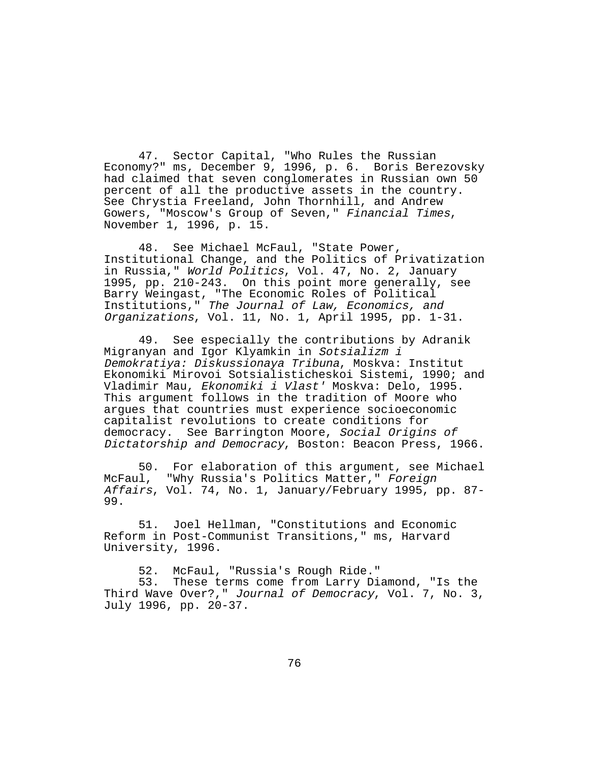47. Sector Capital, "Who Rules the Russian Economy?" ms, December 9, 1996, p. 6. Boris Berezovsky had claimed that seven conglomerates in Russian own 50 percent of all the productive assets in the country. See Chrystia Freeland, John Thornhill, and Andrew Gowers, "Moscow's Group of Seven," Financial Times, November 1, 1996, p. 15.

48. See Michael McFaul, "State Power, Institutional Change, and the Politics of Privatization in Russia," World Politics, Vol. 47, No. 2, January 1995, pp. 210-243. On this point more generally, see Barry Weingast, "The Economic Roles of Political Institutions," The Journal of Law, Economics, and Organizations, Vol. 11, No. 1, April 1995, pp. 1-31.

49. See especially the contributions by Adranik Migranyan and Igor Klyamkin in Sotsializm i Demokratiya: Diskussionaya Tribuna, Moskva: Institut Ekonomiki Mirovoi Sotsialisticheskoi Sistemi, 1990; and Vladimir Mau, Ekonomiki i Vlast' Moskva: Delo, 1995. This argument follows in the tradition of Moore who argues that countries must experience socioeconomic capitalist revolutions to create conditions for democracy. See Barrington Moore, Social Origins of Dictatorship and Democracy, Boston: Beacon Press, 1966.

50. For elaboration of this argument, see Michael McFaul, "Why Russia's Politics Matter," Foreign Affairs, Vol. 74, No. 1, January/February 1995, pp. 87- 99.

51. Joel Hellman, "Constitutions and Economic Reform in Post-Communist Transitions," ms, Harvard University, 1996.

52. McFaul, "Russia's Rough Ride." 53. These terms come from Larry Diamond, "Is the Third Wave Over?," Journal of Democracy, Vol. 7, No. 3, July 1996, pp. 20-37.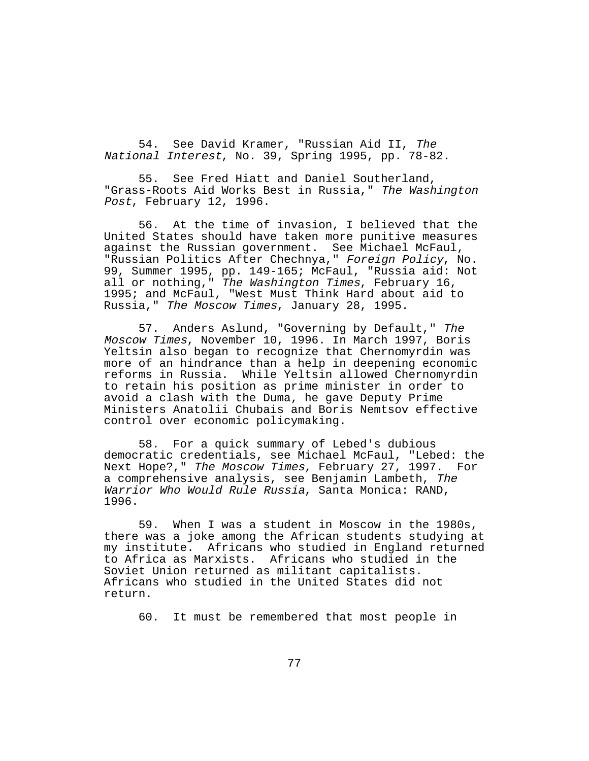54. See David Kramer, "Russian Aid II, The National Interest, No. 39, Spring 1995, pp. 78-82.

55. See Fred Hiatt and Daniel Southerland, "Grass-Roots Aid Works Best in Russia," The Washington Post, February 12, 1996.

56. At the time of invasion, I believed that the United States should have taken more punitive measures against the Russian government. See Michael McFaul, "Russian Politics After Chechnya," Foreign Policy, No. 99, Summer 1995, pp. 149-165; McFaul, "Russia aid: Not all or nothing," The Washington Times, February 16, 1995; and McFaul, "West Must Think Hard about aid to Russia," The Moscow Times, January 28, 1995.

57. Anders Aslund, "Governing by Default," The Moscow Times, November 10, 1996. In March 1997, Boris Yeltsin also began to recognize that Chernomyrdin was more of an hindrance than a help in deepening economic reforms in Russia. While Yeltsin allowed Chernomyrdin to retain his position as prime minister in order to avoid a clash with the Duma, he gave Deputy Prime Ministers Anatolii Chubais and Boris Nemtsov effective control over economic policymaking.

58. For a quick summary of Lebed's dubious democratic credentials, see Michael McFaul, "Lebed: the Next Hope?," The Moscow Times, February 27, 1997. For a comprehensive analysis, see Benjamin Lambeth, The Warrior Who Would Rule Russia, Santa Monica: RAND, 1996.

59. When I was a student in Moscow in the 1980s, there was a joke among the African students studying at my institute. Africans who studied in England returned to Africa as Marxists. Africans who studied in the Soviet Union returned as militant capitalists. Africans who studied in the United States did not return.

60. It must be remembered that most people in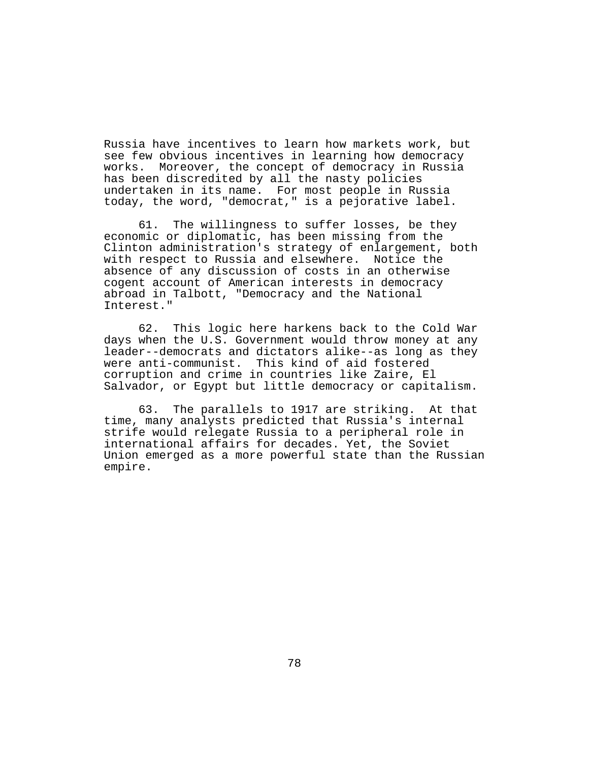Russia have incentives to learn how markets work, but see few obvious incentives in learning how democracy works. Moreover, the concept of democracy in Russia has been discredited by all the nasty policies undertaken in its name. For most people in Russia today, the word, "democrat," is a pejorative label.

61. The willingness to suffer losses, be they economic or diplomatic, has been missing from the Clinton administration's strategy of enlargement, both with respect to Russia and elsewhere. Notice the absence of any discussion of costs in an otherwise cogent account of American interests in democracy abroad in Talbott, "Democracy and the National Interest."

62. This logic here harkens back to the Cold War days when the U.S. Government would throw money at any leader--democrats and dictators alike--as long as they were anti-communist. This kind of aid fostered corruption and crime in countries like Zaire, El Salvador, or Egypt but little democracy or capitalism.

63. The parallels to 1917 are striking. At that time, many analysts predicted that Russia's internal strife would relegate Russia to a peripheral role in international affairs for decades. Yet, the Soviet Union emerged as a more powerful state than the Russian empire.